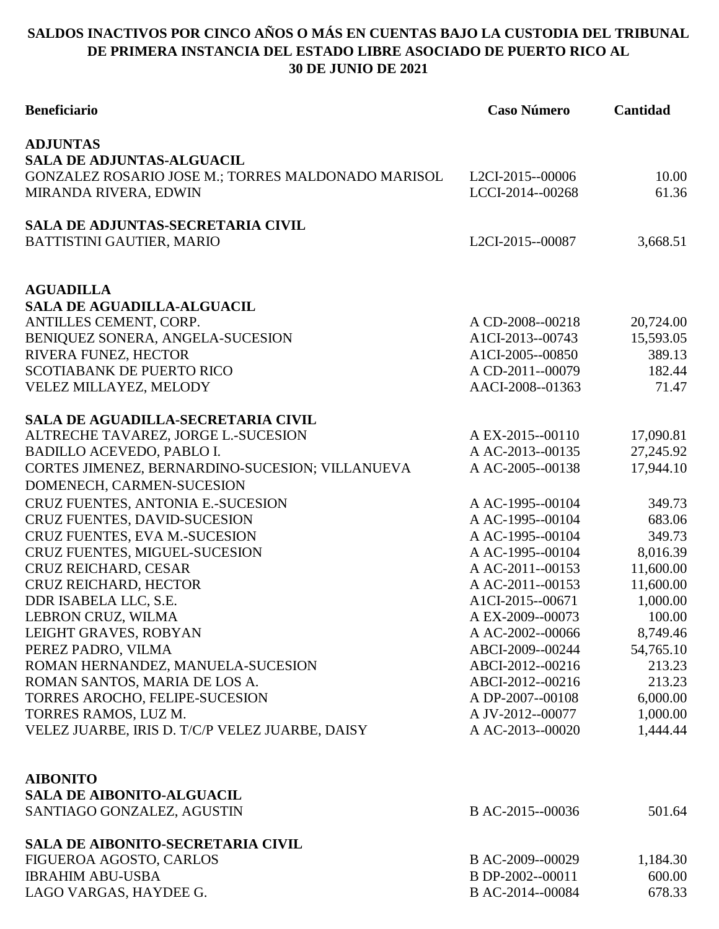## **SALDOS INACTIVOS POR CINCO AÑOS O MÁS EN CUENTAS BAJO LA CUSTODIA DEL TRIBUNAL DE PRIMERA INSTANCIA DEL ESTADO LIBRE ASOCIADO DE PUERTO RICO AL 30 DE JUNIO DE 2021**

| <b>Beneficiario</b>                                      | <b>Caso Número</b>                   | Cantidad               |
|----------------------------------------------------------|--------------------------------------|------------------------|
| <b>ADJUNTAS</b>                                          |                                      |                        |
| <b>SALA DE ADJUNTAS-ALGUACIL</b>                         |                                      |                        |
| GONZALEZ ROSARIO JOSE M.; TORRES MALDONADO MARISOL       | L2CI-2015--00006                     | 10.00                  |
| MIRANDA RIVERA, EDWIN                                    | LCCI-2014--00268                     | 61.36                  |
| <b>SALA DE ADJUNTAS-SECRETARIA CIVIL</b>                 |                                      |                        |
| BATTISTINI GAUTIER, MARIO                                | L2CI-2015--00087                     | 3,668.51               |
|                                                          |                                      |                        |
| <b>AGUADILLA</b>                                         |                                      |                        |
| <b>SALA DE AGUADILLA-ALGUACIL</b>                        |                                      |                        |
| ANTILLES CEMENT, CORP.                                   | A CD-2008--00218<br>A1CI-2013--00743 | 20,724.00<br>15,593.05 |
| BENIQUEZ SONERA, ANGELA-SUCESION                         | A1CI-2005--00850                     | 389.13                 |
| RIVERA FUNEZ, HECTOR<br><b>SCOTIABANK DE PUERTO RICO</b> | A CD-2011--00079                     | 182.44                 |
| VELEZ MILLAYEZ, MELODY                                   | AACI-2008--01363                     | 71.47                  |
|                                                          |                                      |                        |
| SALA DE AGUADILLA-SECRETARIA CIVIL                       |                                      |                        |
| ALTRECHE TAVAREZ, JORGE L.-SUCESION                      | A EX-2015--00110                     | 17,090.81              |
| <b>BADILLO ACEVEDO, PABLO I.</b>                         | A AC-2013--00135                     | 27,245.92              |
| CORTES JIMENEZ, BERNARDINO-SUCESION; VILLANUEVA          | A AC-2005--00138                     | 17,944.10              |
| DOMENECH, CARMEN-SUCESION                                |                                      |                        |
| CRUZ FUENTES, ANTONIA E.-SUCESION                        | A AC-1995--00104                     | 349.73                 |
| CRUZ FUENTES, DAVID-SUCESION                             | A AC-1995--00104                     | 683.06                 |
| CRUZ FUENTES, EVA M.-SUCESION                            | A AC-1995--00104                     | 349.73                 |
| CRUZ FUENTES, MIGUEL-SUCESION                            | A AC-1995--00104                     | 8,016.39               |
| CRUZ REICHARD, CESAR                                     | A AC-2011--00153                     | 11,600.00              |
| CRUZ REICHARD, HECTOR                                    | A AC-2011--00153                     | 11,600.00              |
| DDR ISABELA LLC, S.E.                                    | A1CI-2015--00671                     | 1,000.00               |
| LEBRON CRUZ, WILMA                                       | A EX-2009--00073                     | 100.00                 |
| LEIGHT GRAVES, ROBYAN                                    | A AC-2002--00066                     | 8,749.46               |
| PEREZ PADRO, VILMA                                       | ABCI-2009--00244                     | 54,765.10              |
| ROMAN HERNANDEZ, MANUELA-SUCESION                        | ABCI-2012--00216                     | 213.23                 |
| ROMAN SANTOS, MARIA DE LOS A.                            | ABCI-2012--00216                     | 213.23                 |
| TORRES AROCHO, FELIPE-SUCESION                           | A DP-2007--00108                     | 6,000.00               |
| TORRES RAMOS, LUZ M.                                     | A JV-2012--00077                     | 1,000.00               |
| VELEZ JUARBE, IRIS D. T/C/P VELEZ JUARBE, DAISY          | A AC-2013--00020                     | 1,444.44               |
|                                                          |                                      |                        |
| <b>AIBONITO</b>                                          |                                      |                        |
| <b>SALA DE AIBONITO-ALGUACIL</b>                         |                                      |                        |
| SANTIAGO GONZALEZ, AGUSTIN                               | B AC-2015--00036                     | 501.64                 |
| SALA DE AIBONITO-SECRETARIA CIVIL                        |                                      |                        |
| FIGUEROA AGOSTO, CARLOS                                  | B AC-2009--00029                     | 1,184.30               |
| <b>IBRAHIM ABU-USBA</b>                                  | B DP-2002--00011                     | 600.00                 |
| LAGO VARGAS, HAYDEE G.                                   | B AC-2014--00084                     | 678.33                 |
|                                                          |                                      |                        |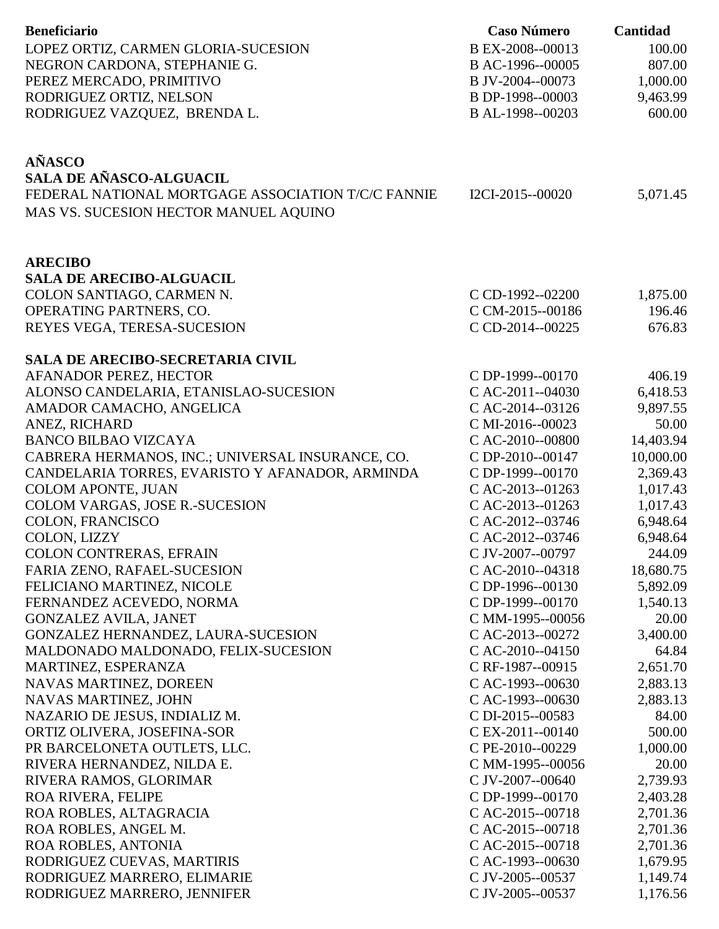| <b>Beneficiario</b>                                | <b>Caso Número</b>                   | Cantidad  |
|----------------------------------------------------|--------------------------------------|-----------|
|                                                    |                                      |           |
| LOPEZ ORTIZ, CARMEN GLORIA-SUCESION                | B EX-2008--00013                     | 100.00    |
| NEGRON CARDONA, STEPHANIE G.                       | B AC-1996--00005                     | 807.00    |
| PEREZ MERCADO, PRIMITIVO                           | B JV-2004--00073                     | 1,000.00  |
| RODRIGUEZ ORTIZ, NELSON                            | B DP-1998--00003                     | 9,463.99  |
| RODRIGUEZ VAZQUEZ, BRENDA L.                       | B AL-1998--00203                     | 600.00    |
|                                                    |                                      |           |
|                                                    |                                      |           |
| <b>AÑASCO</b>                                      |                                      |           |
| <b>SALA DE AÑASCO-ALGUACIL</b>                     |                                      |           |
| FEDERAL NATIONAL MORTGAGE ASSOCIATION T/C/C FANNIE | I2CI-2015--00020                     | 5,071.45  |
| MAS VS. SUCESION HECTOR MANUEL AQUINO              |                                      |           |
|                                                    |                                      |           |
|                                                    |                                      |           |
| <b>ARECIBO</b><br><b>SALA DE ARECIBO-ALGUACIL</b>  |                                      |           |
|                                                    |                                      |           |
| COLON SANTIAGO, CARMEN N.                          | C CD-1992--02200                     | 1,875.00  |
| OPERATING PARTNERS, CO.                            | C CM-2015--00186                     | 196.46    |
| REYES VEGA, TERESA-SUCESION                        | C CD-2014--00225                     | 676.83    |
| SALA DE ARECIBO-SECRETARIA CIVIL                   |                                      |           |
| AFANADOR PEREZ, HECTOR                             | C DP-1999--00170                     | 406.19    |
| ALONSO CANDELARIA, ETANISLAO-SUCESION              | C AC-2011--04030                     | 6,418.53  |
| AMADOR CAMACHO, ANGELICA                           | C AC-2014--03126                     | 9,897.55  |
| ANEZ, RICHARD                                      | C MI-2016--00023                     | 50.00     |
| <b>BANCO BILBAO VIZCAYA</b>                        | C AC-2010--00800                     | 14,403.94 |
| CABRERA HERMANOS, INC.; UNIVERSAL INSURANCE, CO.   | C DP-2010--00147                     | 10,000.00 |
| CANDELARIA TORRES, EVARISTO Y AFANADOR, ARMINDA    | C DP-1999--00170                     | 2,369.43  |
| <b>COLOM APONTE, JUAN</b>                          | C AC-2013--01263                     | 1,017.43  |
| COLOM VARGAS, JOSE R.-SUCESION                     | C AC-2013--01263                     | 1,017.43  |
| COLON, FRANCISCO                                   | C AC-2012--03746                     | 6,948.64  |
| <b>COLON, LIZZY</b>                                | C AC-2012--03746                     | 6,948.64  |
| <b>COLON CONTRERAS, EFRAIN</b>                     | C JV-2007--00797                     | 244.09    |
| FARIA ZENO, RAFAEL-SUCESION                        | C AC-2010--04318                     | 18,680.75 |
| FELICIANO MARTINEZ, NICOLE                         | C DP-1996--00130                     | 5,892.09  |
|                                                    | C DP-1999--00170                     | 1,540.13  |
| FERNANDEZ ACEVEDO, NORMA                           |                                      | 20.00     |
| <b>GONZALEZ AVILA, JANET</b>                       | C MM-1995--00056                     |           |
| GONZALEZ HERNANDEZ, LAURA-SUCESION                 | C AC-2013--00272<br>C AC-2010--04150 | 3,400.00  |
| MALDONADO MALDONADO, FELIX-SUCESION                |                                      | 64.84     |
| MARTINEZ, ESPERANZA                                | C RF-1987--00915                     | 2,651.70  |
| <b>NAVAS MARTINEZ, DOREEN</b>                      | C AC-1993--00630                     | 2,883.13  |
| NAVAS MARTINEZ, JOHN                               | C AC-1993--00630                     | 2,883.13  |
| NAZARIO DE JESUS, INDIALIZ M.                      | C DI-2015--00583                     | 84.00     |
| ORTIZ OLIVERA, JOSEFINA-SOR                        | C EX-2011--00140                     | 500.00    |
| PR BARCELONETA OUTLETS, LLC.                       | C PE-2010--00229                     | 1,000.00  |
| RIVERA HERNANDEZ, NILDA E.                         | C MM-1995--00056                     | 20.00     |
| RIVERA RAMOS, GLORIMAR                             | C JV-2007--00640                     | 2,739.93  |
| <b>ROA RIVERA, FELIPE</b>                          | C DP-1999--00170                     | 2,403.28  |
| ROA ROBLES, ALTAGRACIA                             | C AC-2015--00718                     | 2,701.36  |
| ROA ROBLES, ANGEL M.                               | C AC-2015--00718                     | 2,701.36  |
| ROA ROBLES, ANTONIA                                | C AC-2015--00718                     | 2,701.36  |
| RODRIGUEZ CUEVAS, MARTIRIS                         | C AC-1993--00630                     | 1,679.95  |
| RODRIGUEZ MARRERO, ELIMARIE                        | C JV-2005--00537                     | 1,149.74  |
| RODRIGUEZ MARRERO, JENNIFER                        | C JV-2005--00537                     | 1,176.56  |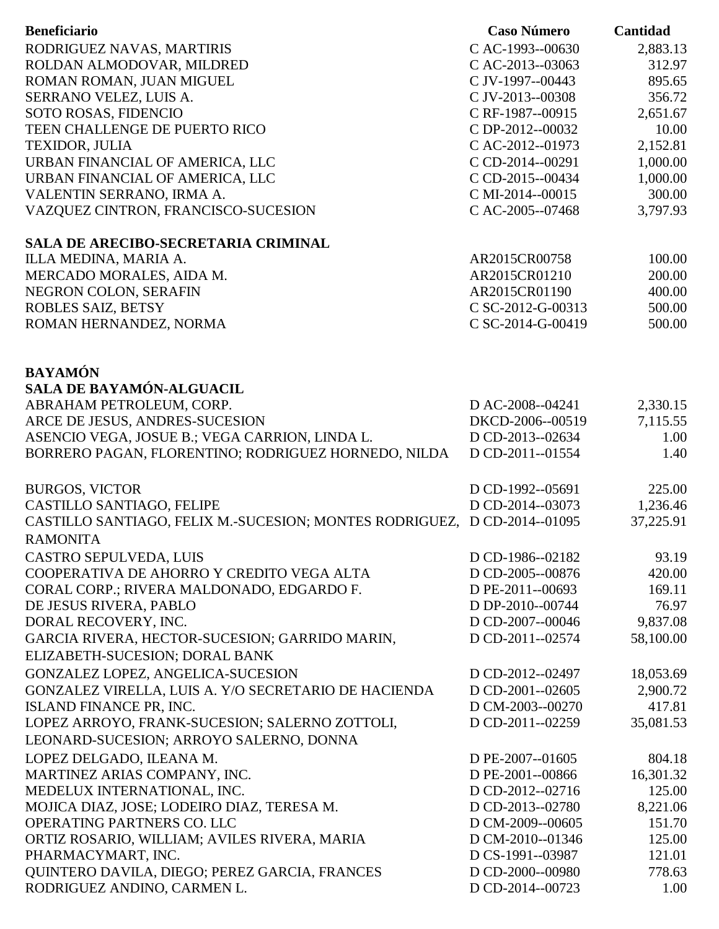| <b>Beneficiario</b>                                                                                   | <b>Caso Número</b>                   | Cantidad         |
|-------------------------------------------------------------------------------------------------------|--------------------------------------|------------------|
| RODRIGUEZ NAVAS, MARTIRIS                                                                             | C AC-1993--00630                     | 2,883.13         |
| ROLDAN ALMODOVAR, MILDRED                                                                             | C AC-2013--03063                     | 312.97           |
| ROMAN ROMAN, JUAN MIGUEL                                                                              | C JV-1997--00443                     | 895.65           |
| SERRANO VELEZ, LUIS A.                                                                                | C JV-2013--00308                     | 356.72           |
| SOTO ROSAS, FIDENCIO                                                                                  | C RF-1987--00915                     | 2,651.67         |
| TEEN CHALLENGE DE PUERTO RICO                                                                         | C DP-2012--00032                     | 10.00            |
| TEXIDOR, JULIA                                                                                        | C AC-2012--01973                     | 2,152.81         |
| URBAN FINANCIAL OF AMERICA, LLC                                                                       | C CD-2014--00291                     | 1,000.00         |
| URBAN FINANCIAL OF AMERICA, LLC                                                                       | C CD-2015--00434                     | 1,000.00         |
| VALENTIN SERRANO, IRMA A.                                                                             | C MI-2014--00015                     | 300.00           |
| VAZQUEZ CINTRON, FRANCISCO-SUCESION                                                                   | C AC-2005--07468                     | 3,797.93         |
| SALA DE ARECIBO-SECRETARIA CRIMINAL                                                                   |                                      |                  |
| ILLA MEDINA, MARIA A.                                                                                 | AR2015CR00758                        | 100.00           |
| MERCADO MORALES, AIDA M.                                                                              | AR2015CR01210                        | 200.00           |
| NEGRON COLON, SERAFIN                                                                                 | AR2015CR01190                        | 400.00           |
| ROBLES SAIZ, BETSY                                                                                    | C SC-2012-G-00313                    | 500.00           |
| ROMAN HERNANDEZ, NORMA                                                                                | C SC-2014-G-00419                    | 500.00           |
|                                                                                                       |                                      |                  |
| <b>BAYAMÓN</b>                                                                                        |                                      |                  |
| <b>SALA DE BAYAMÓN-ALGUACIL</b>                                                                       |                                      |                  |
| ABRAHAM PETROLEUM, CORP.                                                                              | D AC-2008--04241<br>DKCD-2006--00519 | 2,330.15         |
| ARCE DE JESUS, ANDRES-SUCESION                                                                        | D CD-2013--02634                     | 7,115.55<br>1.00 |
| ASENCIO VEGA, JOSUE B.; VEGA CARRION, LINDA L.<br>BORRERO PAGAN, FLORENTINO; RODRIGUEZ HORNEDO, NILDA | D CD-2011--01554                     | 1.40             |
|                                                                                                       |                                      |                  |
| <b>BURGOS, VICTOR</b>                                                                                 | D CD-1992--05691                     | 225.00           |
| CASTILLO SANTIAGO, FELIPE                                                                             | D CD-2014--03073                     | 1,236.46         |
| CASTILLO SANTIAGO, FELIX M.-SUCESION; MONTES RODRIGUEZ, D CD-2014--01095                              |                                      | 37,225.91        |
| <b>RAMONITA</b>                                                                                       |                                      |                  |
| CASTRO SEPULVEDA, LUIS                                                                                | D CD-1986--02182                     | 93.19            |
| COOPERATIVA DE AHORRO Y CREDITO VEGA ALTA                                                             | D CD-2005--00876                     | 420.00           |
| CORAL CORP.; RIVERA MALDONADO, EDGARDO F.                                                             | D PE-2011--00693                     | 169.11           |
| DE JESUS RIVERA, PABLO                                                                                | D DP-2010--00744                     | 76.97            |
| DORAL RECOVERY, INC.                                                                                  | D CD-2007--00046                     | 9,837.08         |
| GARCIA RIVERA, HECTOR-SUCESION; GARRIDO MARIN,                                                        | D CD-2011--02574                     | 58,100.00        |
| ELIZABETH-SUCESION; DORAL BANK                                                                        |                                      |                  |
| GONZALEZ LOPEZ, ANGELICA-SUCESION                                                                     | D CD-2012--02497                     | 18,053.69        |
| GONZALEZ VIRELLA, LUIS A. Y/O SECRETARIO DE HACIENDA                                                  | D CD-2001--02605                     | 2,900.72         |
| ISLAND FINANCE PR, INC.                                                                               | D CM-2003--00270                     | 417.81           |
| LOPEZ ARROYO, FRANK-SUCESION; SALERNO ZOTTOLI,                                                        | D CD-2011--02259                     | 35,081.53        |
|                                                                                                       |                                      |                  |
| LEONARD-SUCESION; ARROYO SALERNO, DONNA                                                               |                                      |                  |
| LOPEZ DELGADO, ILEANA M.                                                                              | D PE-2007--01605                     | 804.18           |
| MARTINEZ ARIAS COMPANY, INC.                                                                          | D PE-2001--00866                     | 16,301.32        |
| MEDELUX INTERNATIONAL, INC.                                                                           | D CD-2012--02716                     | 125.00           |
| MOJICA DIAZ, JOSE; LODEIRO DIAZ, TERESA M.                                                            | D CD-2013--02780                     | 8,221.06         |
| OPERATING PARTNERS CO. LLC                                                                            | D CM-2009--00605                     | 151.70           |
| ORTIZ ROSARIO, WILLIAM; AVILES RIVERA, MARIA                                                          | D CM-2010--01346                     | 125.00           |
| PHARMACYMART, INC.<br>QUINTERO DAVILA, DIEGO; PEREZ GARCIA, FRANCES                                   | D CS-1991--03987<br>D CD-2000--00980 | 121.01<br>778.63 |
| RODRIGUEZ ANDINO, CARMEN L.                                                                           | D CD-2014--00723                     | 1.00             |
|                                                                                                       |                                      |                  |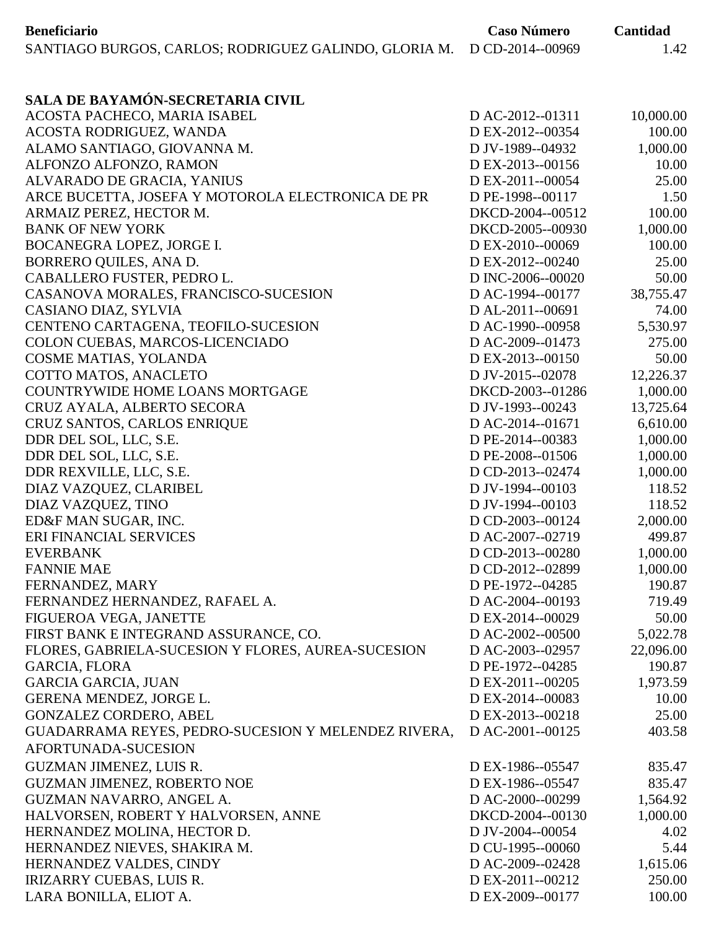| D CD-2014--00969<br>SANTIAGO BURGOS, CARLOS; RODRIGUEZ GALINDO, GLORIA M.<br>1.42<br>SALA DE BAYAMÓN-SECRETARIA CIVIL<br>ACOSTA PACHECO, MARIA ISABEL<br>D AC-2012--01311<br>10,000.00<br>ACOSTA RODRIGUEZ, WANDA<br>D EX-2012--00354<br>100.00<br>ALAMO SANTIAGO, GIOVANNA M.<br>D JV-1989--04932<br>1,000.00<br>ALFONZO ALFONZO, RAMON<br>D EX-2013--00156<br>10.00<br>ALVARADO DE GRACIA, YANIUS<br>D EX-2011--00054<br>25.00<br>ARCE BUCETTA, JOSEFA Y MOTOROLA ELECTRONICA DE PR<br>D PE-1998--00117<br>1.50<br>ARMAIZ PEREZ, HECTOR M.<br>DKCD-2004--00512<br>100.00<br><b>BANK OF NEW YORK</b><br>DKCD-2005--00930<br>1,000.00<br>BOCANEGRA LOPEZ, JORGE I.<br>D EX-2010--00069<br>100.00<br>BORRERO QUILES, ANA D.<br>DEX-2012--00240<br>25.00<br>CABALLERO FUSTER, PEDRO L.<br>D INC-2006--00020<br>50.00<br>CASANOVA MORALES, FRANCISCO-SUCESION<br>D AC-1994--00177<br>38,755.47<br>D AL-2011--00691<br>74.00<br>CASIANO DIAZ, SYLVIA<br>CENTENO CARTAGENA, TEOFILO-SUCESION<br>D AC-1990--00958<br>5,530.97<br>COLON CUEBAS, MARCOS-LICENCIADO<br>D AC-2009--01473<br>275.00<br>COSME MATIAS, YOLANDA<br>D EX-2013--00150<br>50.00<br>COTTO MATOS, ANACLETO<br>D JV-2015--02078<br>12,226.37<br>COUNTRYWIDE HOME LOANS MORTGAGE<br>DKCD-2003--01286<br>1,000.00<br>13,725.64<br>CRUZ AYALA, ALBERTO SECORA<br>D JV-1993--00243<br>CRUZ SANTOS, CARLOS ENRIQUE<br>D AC-2014--01671<br>6,610.00<br>1,000.00<br>DDR DEL SOL, LLC, S.E.<br>D PE-2014--00383<br>DDR DEL SOL, LLC, S.E.<br>D PE-2008--01506<br>1,000.00<br>DDR REXVILLE, LLC, S.E.<br>D CD-2013--02474<br>1,000.00<br>DIAZ VAZQUEZ, CLARIBEL<br>D JV-1994--00103<br>118.52<br>DIAZ VAZQUEZ, TINO<br>D JV-1994--00103<br>118.52<br>ED&F MAN SUGAR, INC.<br>D CD-2003--00124<br>2,000.00<br>ERI FINANCIAL SERVICES<br>D AC-2007--02719<br>499.87<br>1,000.00<br><b>EVERBANK</b><br>D CD-2013--00280<br><b>FANNIE MAE</b><br>D CD-2012--02899<br>1,000.00<br>FERNANDEZ, MARY<br>D PE-1972--04285<br>190.87<br>FERNANDEZ HERNANDEZ, RAFAEL A.<br>D AC-2004--00193<br>719.49<br>50.00<br>FIGUEROA VEGA, JANETTE<br>D EX-2014--00029<br>FIRST BANK E INTEGRAND ASSURANCE, CO.<br>D AC-2002--00500<br>5,022.78<br>FLORES, GABRIELA-SUCESION Y FLORES, AUREA-SUCESION<br>22,096.00<br>D AC-2003--02957<br><b>GARCIA, FLORA</b><br>D PE-1972--04285<br>190.87<br><b>GARCIA GARCIA, JUAN</b><br>D EX-2011--00205<br>1,973.59<br>D EX-2014--00083<br>GERENA MENDEZ, JORGE L.<br>10.00<br>D EX-2013--00218<br>25.00<br><b>GONZALEZ CORDERO, ABEL</b><br>D AC-2001--00125<br>403.58<br>GUADARRAMA REYES, PEDRO-SUCESION Y MELENDEZ RIVERA,<br>AFORTUNADA-SUCESION<br>GUZMAN JIMENEZ, LUIS R.<br>D EX-1986--05547<br>835.47<br>GUZMAN JIMENEZ, ROBERTO NOE<br>D EX-1986--05547<br>835.47<br>GUZMAN NAVARRO, ANGEL A.<br>D AC-2000--00299<br>1,564.92<br>HALVORSEN, ROBERT Y HALVORSEN, ANNE<br>DKCD-2004--00130<br>1,000.00<br>D JV-2004--00054<br>HERNANDEZ MOLINA, HECTOR D.<br>4.02<br>HERNANDEZ NIEVES, SHAKIRA M.<br>D CU-1995--00060<br>5.44<br>D AC-2009--02428<br>1,615.06<br>HERNANDEZ VALDES, CINDY<br>D EX-2011--00212<br>250.00<br><b>IRIZARRY CUEBAS, LUIS R.</b> | <b>Beneficiario</b>    | <b>Caso Número</b> | Cantidad |
|----------------------------------------------------------------------------------------------------------------------------------------------------------------------------------------------------------------------------------------------------------------------------------------------------------------------------------------------------------------------------------------------------------------------------------------------------------------------------------------------------------------------------------------------------------------------------------------------------------------------------------------------------------------------------------------------------------------------------------------------------------------------------------------------------------------------------------------------------------------------------------------------------------------------------------------------------------------------------------------------------------------------------------------------------------------------------------------------------------------------------------------------------------------------------------------------------------------------------------------------------------------------------------------------------------------------------------------------------------------------------------------------------------------------------------------------------------------------------------------------------------------------------------------------------------------------------------------------------------------------------------------------------------------------------------------------------------------------------------------------------------------------------------------------------------------------------------------------------------------------------------------------------------------------------------------------------------------------------------------------------------------------------------------------------------------------------------------------------------------------------------------------------------------------------------------------------------------------------------------------------------------------------------------------------------------------------------------------------------------------------------------------------------------------------------------------------------------------------------------------------------------------------------------------------------------------------------------------------------------------------------------------------------------------------------------------------------------------------------------------------------------------------------------------------------------------------------------------------------------------------------------------------------------------------------------------------------------------------------------------------------------------------------------------------------------------------------------------------------------------------------------|------------------------|--------------------|----------|
|                                                                                                                                                                                                                                                                                                                                                                                                                                                                                                                                                                                                                                                                                                                                                                                                                                                                                                                                                                                                                                                                                                                                                                                                                                                                                                                                                                                                                                                                                                                                                                                                                                                                                                                                                                                                                                                                                                                                                                                                                                                                                                                                                                                                                                                                                                                                                                                                                                                                                                                                                                                                                                                                                                                                                                                                                                                                                                                                                                                                                                                                                                                                        |                        |                    |          |
|                                                                                                                                                                                                                                                                                                                                                                                                                                                                                                                                                                                                                                                                                                                                                                                                                                                                                                                                                                                                                                                                                                                                                                                                                                                                                                                                                                                                                                                                                                                                                                                                                                                                                                                                                                                                                                                                                                                                                                                                                                                                                                                                                                                                                                                                                                                                                                                                                                                                                                                                                                                                                                                                                                                                                                                                                                                                                                                                                                                                                                                                                                                                        |                        |                    |          |
|                                                                                                                                                                                                                                                                                                                                                                                                                                                                                                                                                                                                                                                                                                                                                                                                                                                                                                                                                                                                                                                                                                                                                                                                                                                                                                                                                                                                                                                                                                                                                                                                                                                                                                                                                                                                                                                                                                                                                                                                                                                                                                                                                                                                                                                                                                                                                                                                                                                                                                                                                                                                                                                                                                                                                                                                                                                                                                                                                                                                                                                                                                                                        |                        |                    |          |
|                                                                                                                                                                                                                                                                                                                                                                                                                                                                                                                                                                                                                                                                                                                                                                                                                                                                                                                                                                                                                                                                                                                                                                                                                                                                                                                                                                                                                                                                                                                                                                                                                                                                                                                                                                                                                                                                                                                                                                                                                                                                                                                                                                                                                                                                                                                                                                                                                                                                                                                                                                                                                                                                                                                                                                                                                                                                                                                                                                                                                                                                                                                                        |                        |                    |          |
|                                                                                                                                                                                                                                                                                                                                                                                                                                                                                                                                                                                                                                                                                                                                                                                                                                                                                                                                                                                                                                                                                                                                                                                                                                                                                                                                                                                                                                                                                                                                                                                                                                                                                                                                                                                                                                                                                                                                                                                                                                                                                                                                                                                                                                                                                                                                                                                                                                                                                                                                                                                                                                                                                                                                                                                                                                                                                                                                                                                                                                                                                                                                        |                        |                    |          |
|                                                                                                                                                                                                                                                                                                                                                                                                                                                                                                                                                                                                                                                                                                                                                                                                                                                                                                                                                                                                                                                                                                                                                                                                                                                                                                                                                                                                                                                                                                                                                                                                                                                                                                                                                                                                                                                                                                                                                                                                                                                                                                                                                                                                                                                                                                                                                                                                                                                                                                                                                                                                                                                                                                                                                                                                                                                                                                                                                                                                                                                                                                                                        |                        |                    |          |
|                                                                                                                                                                                                                                                                                                                                                                                                                                                                                                                                                                                                                                                                                                                                                                                                                                                                                                                                                                                                                                                                                                                                                                                                                                                                                                                                                                                                                                                                                                                                                                                                                                                                                                                                                                                                                                                                                                                                                                                                                                                                                                                                                                                                                                                                                                                                                                                                                                                                                                                                                                                                                                                                                                                                                                                                                                                                                                                                                                                                                                                                                                                                        |                        |                    |          |
|                                                                                                                                                                                                                                                                                                                                                                                                                                                                                                                                                                                                                                                                                                                                                                                                                                                                                                                                                                                                                                                                                                                                                                                                                                                                                                                                                                                                                                                                                                                                                                                                                                                                                                                                                                                                                                                                                                                                                                                                                                                                                                                                                                                                                                                                                                                                                                                                                                                                                                                                                                                                                                                                                                                                                                                                                                                                                                                                                                                                                                                                                                                                        |                        |                    |          |
|                                                                                                                                                                                                                                                                                                                                                                                                                                                                                                                                                                                                                                                                                                                                                                                                                                                                                                                                                                                                                                                                                                                                                                                                                                                                                                                                                                                                                                                                                                                                                                                                                                                                                                                                                                                                                                                                                                                                                                                                                                                                                                                                                                                                                                                                                                                                                                                                                                                                                                                                                                                                                                                                                                                                                                                                                                                                                                                                                                                                                                                                                                                                        |                        |                    |          |
|                                                                                                                                                                                                                                                                                                                                                                                                                                                                                                                                                                                                                                                                                                                                                                                                                                                                                                                                                                                                                                                                                                                                                                                                                                                                                                                                                                                                                                                                                                                                                                                                                                                                                                                                                                                                                                                                                                                                                                                                                                                                                                                                                                                                                                                                                                                                                                                                                                                                                                                                                                                                                                                                                                                                                                                                                                                                                                                                                                                                                                                                                                                                        |                        |                    |          |
|                                                                                                                                                                                                                                                                                                                                                                                                                                                                                                                                                                                                                                                                                                                                                                                                                                                                                                                                                                                                                                                                                                                                                                                                                                                                                                                                                                                                                                                                                                                                                                                                                                                                                                                                                                                                                                                                                                                                                                                                                                                                                                                                                                                                                                                                                                                                                                                                                                                                                                                                                                                                                                                                                                                                                                                                                                                                                                                                                                                                                                                                                                                                        |                        |                    |          |
|                                                                                                                                                                                                                                                                                                                                                                                                                                                                                                                                                                                                                                                                                                                                                                                                                                                                                                                                                                                                                                                                                                                                                                                                                                                                                                                                                                                                                                                                                                                                                                                                                                                                                                                                                                                                                                                                                                                                                                                                                                                                                                                                                                                                                                                                                                                                                                                                                                                                                                                                                                                                                                                                                                                                                                                                                                                                                                                                                                                                                                                                                                                                        |                        |                    |          |
|                                                                                                                                                                                                                                                                                                                                                                                                                                                                                                                                                                                                                                                                                                                                                                                                                                                                                                                                                                                                                                                                                                                                                                                                                                                                                                                                                                                                                                                                                                                                                                                                                                                                                                                                                                                                                                                                                                                                                                                                                                                                                                                                                                                                                                                                                                                                                                                                                                                                                                                                                                                                                                                                                                                                                                                                                                                                                                                                                                                                                                                                                                                                        |                        |                    |          |
|                                                                                                                                                                                                                                                                                                                                                                                                                                                                                                                                                                                                                                                                                                                                                                                                                                                                                                                                                                                                                                                                                                                                                                                                                                                                                                                                                                                                                                                                                                                                                                                                                                                                                                                                                                                                                                                                                                                                                                                                                                                                                                                                                                                                                                                                                                                                                                                                                                                                                                                                                                                                                                                                                                                                                                                                                                                                                                                                                                                                                                                                                                                                        |                        |                    |          |
|                                                                                                                                                                                                                                                                                                                                                                                                                                                                                                                                                                                                                                                                                                                                                                                                                                                                                                                                                                                                                                                                                                                                                                                                                                                                                                                                                                                                                                                                                                                                                                                                                                                                                                                                                                                                                                                                                                                                                                                                                                                                                                                                                                                                                                                                                                                                                                                                                                                                                                                                                                                                                                                                                                                                                                                                                                                                                                                                                                                                                                                                                                                                        |                        |                    |          |
|                                                                                                                                                                                                                                                                                                                                                                                                                                                                                                                                                                                                                                                                                                                                                                                                                                                                                                                                                                                                                                                                                                                                                                                                                                                                                                                                                                                                                                                                                                                                                                                                                                                                                                                                                                                                                                                                                                                                                                                                                                                                                                                                                                                                                                                                                                                                                                                                                                                                                                                                                                                                                                                                                                                                                                                                                                                                                                                                                                                                                                                                                                                                        |                        |                    |          |
|                                                                                                                                                                                                                                                                                                                                                                                                                                                                                                                                                                                                                                                                                                                                                                                                                                                                                                                                                                                                                                                                                                                                                                                                                                                                                                                                                                                                                                                                                                                                                                                                                                                                                                                                                                                                                                                                                                                                                                                                                                                                                                                                                                                                                                                                                                                                                                                                                                                                                                                                                                                                                                                                                                                                                                                                                                                                                                                                                                                                                                                                                                                                        |                        |                    |          |
|                                                                                                                                                                                                                                                                                                                                                                                                                                                                                                                                                                                                                                                                                                                                                                                                                                                                                                                                                                                                                                                                                                                                                                                                                                                                                                                                                                                                                                                                                                                                                                                                                                                                                                                                                                                                                                                                                                                                                                                                                                                                                                                                                                                                                                                                                                                                                                                                                                                                                                                                                                                                                                                                                                                                                                                                                                                                                                                                                                                                                                                                                                                                        |                        |                    |          |
|                                                                                                                                                                                                                                                                                                                                                                                                                                                                                                                                                                                                                                                                                                                                                                                                                                                                                                                                                                                                                                                                                                                                                                                                                                                                                                                                                                                                                                                                                                                                                                                                                                                                                                                                                                                                                                                                                                                                                                                                                                                                                                                                                                                                                                                                                                                                                                                                                                                                                                                                                                                                                                                                                                                                                                                                                                                                                                                                                                                                                                                                                                                                        |                        |                    |          |
|                                                                                                                                                                                                                                                                                                                                                                                                                                                                                                                                                                                                                                                                                                                                                                                                                                                                                                                                                                                                                                                                                                                                                                                                                                                                                                                                                                                                                                                                                                                                                                                                                                                                                                                                                                                                                                                                                                                                                                                                                                                                                                                                                                                                                                                                                                                                                                                                                                                                                                                                                                                                                                                                                                                                                                                                                                                                                                                                                                                                                                                                                                                                        |                        |                    |          |
|                                                                                                                                                                                                                                                                                                                                                                                                                                                                                                                                                                                                                                                                                                                                                                                                                                                                                                                                                                                                                                                                                                                                                                                                                                                                                                                                                                                                                                                                                                                                                                                                                                                                                                                                                                                                                                                                                                                                                                                                                                                                                                                                                                                                                                                                                                                                                                                                                                                                                                                                                                                                                                                                                                                                                                                                                                                                                                                                                                                                                                                                                                                                        |                        |                    |          |
|                                                                                                                                                                                                                                                                                                                                                                                                                                                                                                                                                                                                                                                                                                                                                                                                                                                                                                                                                                                                                                                                                                                                                                                                                                                                                                                                                                                                                                                                                                                                                                                                                                                                                                                                                                                                                                                                                                                                                                                                                                                                                                                                                                                                                                                                                                                                                                                                                                                                                                                                                                                                                                                                                                                                                                                                                                                                                                                                                                                                                                                                                                                                        |                        |                    |          |
|                                                                                                                                                                                                                                                                                                                                                                                                                                                                                                                                                                                                                                                                                                                                                                                                                                                                                                                                                                                                                                                                                                                                                                                                                                                                                                                                                                                                                                                                                                                                                                                                                                                                                                                                                                                                                                                                                                                                                                                                                                                                                                                                                                                                                                                                                                                                                                                                                                                                                                                                                                                                                                                                                                                                                                                                                                                                                                                                                                                                                                                                                                                                        |                        |                    |          |
|                                                                                                                                                                                                                                                                                                                                                                                                                                                                                                                                                                                                                                                                                                                                                                                                                                                                                                                                                                                                                                                                                                                                                                                                                                                                                                                                                                                                                                                                                                                                                                                                                                                                                                                                                                                                                                                                                                                                                                                                                                                                                                                                                                                                                                                                                                                                                                                                                                                                                                                                                                                                                                                                                                                                                                                                                                                                                                                                                                                                                                                                                                                                        |                        |                    |          |
|                                                                                                                                                                                                                                                                                                                                                                                                                                                                                                                                                                                                                                                                                                                                                                                                                                                                                                                                                                                                                                                                                                                                                                                                                                                                                                                                                                                                                                                                                                                                                                                                                                                                                                                                                                                                                                                                                                                                                                                                                                                                                                                                                                                                                                                                                                                                                                                                                                                                                                                                                                                                                                                                                                                                                                                                                                                                                                                                                                                                                                                                                                                                        |                        |                    |          |
|                                                                                                                                                                                                                                                                                                                                                                                                                                                                                                                                                                                                                                                                                                                                                                                                                                                                                                                                                                                                                                                                                                                                                                                                                                                                                                                                                                                                                                                                                                                                                                                                                                                                                                                                                                                                                                                                                                                                                                                                                                                                                                                                                                                                                                                                                                                                                                                                                                                                                                                                                                                                                                                                                                                                                                                                                                                                                                                                                                                                                                                                                                                                        |                        |                    |          |
|                                                                                                                                                                                                                                                                                                                                                                                                                                                                                                                                                                                                                                                                                                                                                                                                                                                                                                                                                                                                                                                                                                                                                                                                                                                                                                                                                                                                                                                                                                                                                                                                                                                                                                                                                                                                                                                                                                                                                                                                                                                                                                                                                                                                                                                                                                                                                                                                                                                                                                                                                                                                                                                                                                                                                                                                                                                                                                                                                                                                                                                                                                                                        |                        |                    |          |
|                                                                                                                                                                                                                                                                                                                                                                                                                                                                                                                                                                                                                                                                                                                                                                                                                                                                                                                                                                                                                                                                                                                                                                                                                                                                                                                                                                                                                                                                                                                                                                                                                                                                                                                                                                                                                                                                                                                                                                                                                                                                                                                                                                                                                                                                                                                                                                                                                                                                                                                                                                                                                                                                                                                                                                                                                                                                                                                                                                                                                                                                                                                                        |                        |                    |          |
|                                                                                                                                                                                                                                                                                                                                                                                                                                                                                                                                                                                                                                                                                                                                                                                                                                                                                                                                                                                                                                                                                                                                                                                                                                                                                                                                                                                                                                                                                                                                                                                                                                                                                                                                                                                                                                                                                                                                                                                                                                                                                                                                                                                                                                                                                                                                                                                                                                                                                                                                                                                                                                                                                                                                                                                                                                                                                                                                                                                                                                                                                                                                        |                        |                    |          |
|                                                                                                                                                                                                                                                                                                                                                                                                                                                                                                                                                                                                                                                                                                                                                                                                                                                                                                                                                                                                                                                                                                                                                                                                                                                                                                                                                                                                                                                                                                                                                                                                                                                                                                                                                                                                                                                                                                                                                                                                                                                                                                                                                                                                                                                                                                                                                                                                                                                                                                                                                                                                                                                                                                                                                                                                                                                                                                                                                                                                                                                                                                                                        |                        |                    |          |
|                                                                                                                                                                                                                                                                                                                                                                                                                                                                                                                                                                                                                                                                                                                                                                                                                                                                                                                                                                                                                                                                                                                                                                                                                                                                                                                                                                                                                                                                                                                                                                                                                                                                                                                                                                                                                                                                                                                                                                                                                                                                                                                                                                                                                                                                                                                                                                                                                                                                                                                                                                                                                                                                                                                                                                                                                                                                                                                                                                                                                                                                                                                                        |                        |                    |          |
|                                                                                                                                                                                                                                                                                                                                                                                                                                                                                                                                                                                                                                                                                                                                                                                                                                                                                                                                                                                                                                                                                                                                                                                                                                                                                                                                                                                                                                                                                                                                                                                                                                                                                                                                                                                                                                                                                                                                                                                                                                                                                                                                                                                                                                                                                                                                                                                                                                                                                                                                                                                                                                                                                                                                                                                                                                                                                                                                                                                                                                                                                                                                        |                        |                    |          |
|                                                                                                                                                                                                                                                                                                                                                                                                                                                                                                                                                                                                                                                                                                                                                                                                                                                                                                                                                                                                                                                                                                                                                                                                                                                                                                                                                                                                                                                                                                                                                                                                                                                                                                                                                                                                                                                                                                                                                                                                                                                                                                                                                                                                                                                                                                                                                                                                                                                                                                                                                                                                                                                                                                                                                                                                                                                                                                                                                                                                                                                                                                                                        |                        |                    |          |
|                                                                                                                                                                                                                                                                                                                                                                                                                                                                                                                                                                                                                                                                                                                                                                                                                                                                                                                                                                                                                                                                                                                                                                                                                                                                                                                                                                                                                                                                                                                                                                                                                                                                                                                                                                                                                                                                                                                                                                                                                                                                                                                                                                                                                                                                                                                                                                                                                                                                                                                                                                                                                                                                                                                                                                                                                                                                                                                                                                                                                                                                                                                                        |                        |                    |          |
|                                                                                                                                                                                                                                                                                                                                                                                                                                                                                                                                                                                                                                                                                                                                                                                                                                                                                                                                                                                                                                                                                                                                                                                                                                                                                                                                                                                                                                                                                                                                                                                                                                                                                                                                                                                                                                                                                                                                                                                                                                                                                                                                                                                                                                                                                                                                                                                                                                                                                                                                                                                                                                                                                                                                                                                                                                                                                                                                                                                                                                                                                                                                        |                        |                    |          |
|                                                                                                                                                                                                                                                                                                                                                                                                                                                                                                                                                                                                                                                                                                                                                                                                                                                                                                                                                                                                                                                                                                                                                                                                                                                                                                                                                                                                                                                                                                                                                                                                                                                                                                                                                                                                                                                                                                                                                                                                                                                                                                                                                                                                                                                                                                                                                                                                                                                                                                                                                                                                                                                                                                                                                                                                                                                                                                                                                                                                                                                                                                                                        |                        |                    |          |
|                                                                                                                                                                                                                                                                                                                                                                                                                                                                                                                                                                                                                                                                                                                                                                                                                                                                                                                                                                                                                                                                                                                                                                                                                                                                                                                                                                                                                                                                                                                                                                                                                                                                                                                                                                                                                                                                                                                                                                                                                                                                                                                                                                                                                                                                                                                                                                                                                                                                                                                                                                                                                                                                                                                                                                                                                                                                                                                                                                                                                                                                                                                                        |                        |                    |          |
|                                                                                                                                                                                                                                                                                                                                                                                                                                                                                                                                                                                                                                                                                                                                                                                                                                                                                                                                                                                                                                                                                                                                                                                                                                                                                                                                                                                                                                                                                                                                                                                                                                                                                                                                                                                                                                                                                                                                                                                                                                                                                                                                                                                                                                                                                                                                                                                                                                                                                                                                                                                                                                                                                                                                                                                                                                                                                                                                                                                                                                                                                                                                        |                        |                    |          |
|                                                                                                                                                                                                                                                                                                                                                                                                                                                                                                                                                                                                                                                                                                                                                                                                                                                                                                                                                                                                                                                                                                                                                                                                                                                                                                                                                                                                                                                                                                                                                                                                                                                                                                                                                                                                                                                                                                                                                                                                                                                                                                                                                                                                                                                                                                                                                                                                                                                                                                                                                                                                                                                                                                                                                                                                                                                                                                                                                                                                                                                                                                                                        |                        |                    |          |
|                                                                                                                                                                                                                                                                                                                                                                                                                                                                                                                                                                                                                                                                                                                                                                                                                                                                                                                                                                                                                                                                                                                                                                                                                                                                                                                                                                                                                                                                                                                                                                                                                                                                                                                                                                                                                                                                                                                                                                                                                                                                                                                                                                                                                                                                                                                                                                                                                                                                                                                                                                                                                                                                                                                                                                                                                                                                                                                                                                                                                                                                                                                                        |                        |                    |          |
|                                                                                                                                                                                                                                                                                                                                                                                                                                                                                                                                                                                                                                                                                                                                                                                                                                                                                                                                                                                                                                                                                                                                                                                                                                                                                                                                                                                                                                                                                                                                                                                                                                                                                                                                                                                                                                                                                                                                                                                                                                                                                                                                                                                                                                                                                                                                                                                                                                                                                                                                                                                                                                                                                                                                                                                                                                                                                                                                                                                                                                                                                                                                        |                        |                    |          |
|                                                                                                                                                                                                                                                                                                                                                                                                                                                                                                                                                                                                                                                                                                                                                                                                                                                                                                                                                                                                                                                                                                                                                                                                                                                                                                                                                                                                                                                                                                                                                                                                                                                                                                                                                                                                                                                                                                                                                                                                                                                                                                                                                                                                                                                                                                                                                                                                                                                                                                                                                                                                                                                                                                                                                                                                                                                                                                                                                                                                                                                                                                                                        |                        |                    |          |
|                                                                                                                                                                                                                                                                                                                                                                                                                                                                                                                                                                                                                                                                                                                                                                                                                                                                                                                                                                                                                                                                                                                                                                                                                                                                                                                                                                                                                                                                                                                                                                                                                                                                                                                                                                                                                                                                                                                                                                                                                                                                                                                                                                                                                                                                                                                                                                                                                                                                                                                                                                                                                                                                                                                                                                                                                                                                                                                                                                                                                                                                                                                                        |                        |                    |          |
|                                                                                                                                                                                                                                                                                                                                                                                                                                                                                                                                                                                                                                                                                                                                                                                                                                                                                                                                                                                                                                                                                                                                                                                                                                                                                                                                                                                                                                                                                                                                                                                                                                                                                                                                                                                                                                                                                                                                                                                                                                                                                                                                                                                                                                                                                                                                                                                                                                                                                                                                                                                                                                                                                                                                                                                                                                                                                                                                                                                                                                                                                                                                        |                        |                    |          |
|                                                                                                                                                                                                                                                                                                                                                                                                                                                                                                                                                                                                                                                                                                                                                                                                                                                                                                                                                                                                                                                                                                                                                                                                                                                                                                                                                                                                                                                                                                                                                                                                                                                                                                                                                                                                                                                                                                                                                                                                                                                                                                                                                                                                                                                                                                                                                                                                                                                                                                                                                                                                                                                                                                                                                                                                                                                                                                                                                                                                                                                                                                                                        |                        |                    |          |
|                                                                                                                                                                                                                                                                                                                                                                                                                                                                                                                                                                                                                                                                                                                                                                                                                                                                                                                                                                                                                                                                                                                                                                                                                                                                                                                                                                                                                                                                                                                                                                                                                                                                                                                                                                                                                                                                                                                                                                                                                                                                                                                                                                                                                                                                                                                                                                                                                                                                                                                                                                                                                                                                                                                                                                                                                                                                                                                                                                                                                                                                                                                                        |                        |                    |          |
|                                                                                                                                                                                                                                                                                                                                                                                                                                                                                                                                                                                                                                                                                                                                                                                                                                                                                                                                                                                                                                                                                                                                                                                                                                                                                                                                                                                                                                                                                                                                                                                                                                                                                                                                                                                                                                                                                                                                                                                                                                                                                                                                                                                                                                                                                                                                                                                                                                                                                                                                                                                                                                                                                                                                                                                                                                                                                                                                                                                                                                                                                                                                        |                        |                    |          |
|                                                                                                                                                                                                                                                                                                                                                                                                                                                                                                                                                                                                                                                                                                                                                                                                                                                                                                                                                                                                                                                                                                                                                                                                                                                                                                                                                                                                                                                                                                                                                                                                                                                                                                                                                                                                                                                                                                                                                                                                                                                                                                                                                                                                                                                                                                                                                                                                                                                                                                                                                                                                                                                                                                                                                                                                                                                                                                                                                                                                                                                                                                                                        |                        |                    |          |
|                                                                                                                                                                                                                                                                                                                                                                                                                                                                                                                                                                                                                                                                                                                                                                                                                                                                                                                                                                                                                                                                                                                                                                                                                                                                                                                                                                                                                                                                                                                                                                                                                                                                                                                                                                                                                                                                                                                                                                                                                                                                                                                                                                                                                                                                                                                                                                                                                                                                                                                                                                                                                                                                                                                                                                                                                                                                                                                                                                                                                                                                                                                                        |                        |                    |          |
|                                                                                                                                                                                                                                                                                                                                                                                                                                                                                                                                                                                                                                                                                                                                                                                                                                                                                                                                                                                                                                                                                                                                                                                                                                                                                                                                                                                                                                                                                                                                                                                                                                                                                                                                                                                                                                                                                                                                                                                                                                                                                                                                                                                                                                                                                                                                                                                                                                                                                                                                                                                                                                                                                                                                                                                                                                                                                                                                                                                                                                                                                                                                        |                        |                    |          |
|                                                                                                                                                                                                                                                                                                                                                                                                                                                                                                                                                                                                                                                                                                                                                                                                                                                                                                                                                                                                                                                                                                                                                                                                                                                                                                                                                                                                                                                                                                                                                                                                                                                                                                                                                                                                                                                                                                                                                                                                                                                                                                                                                                                                                                                                                                                                                                                                                                                                                                                                                                                                                                                                                                                                                                                                                                                                                                                                                                                                                                                                                                                                        |                        |                    |          |
|                                                                                                                                                                                                                                                                                                                                                                                                                                                                                                                                                                                                                                                                                                                                                                                                                                                                                                                                                                                                                                                                                                                                                                                                                                                                                                                                                                                                                                                                                                                                                                                                                                                                                                                                                                                                                                                                                                                                                                                                                                                                                                                                                                                                                                                                                                                                                                                                                                                                                                                                                                                                                                                                                                                                                                                                                                                                                                                                                                                                                                                                                                                                        |                        |                    |          |
|                                                                                                                                                                                                                                                                                                                                                                                                                                                                                                                                                                                                                                                                                                                                                                                                                                                                                                                                                                                                                                                                                                                                                                                                                                                                                                                                                                                                                                                                                                                                                                                                                                                                                                                                                                                                                                                                                                                                                                                                                                                                                                                                                                                                                                                                                                                                                                                                                                                                                                                                                                                                                                                                                                                                                                                                                                                                                                                                                                                                                                                                                                                                        | LARA BONILLA, ELIOT A. | D EX-2009--00177   | 100.00   |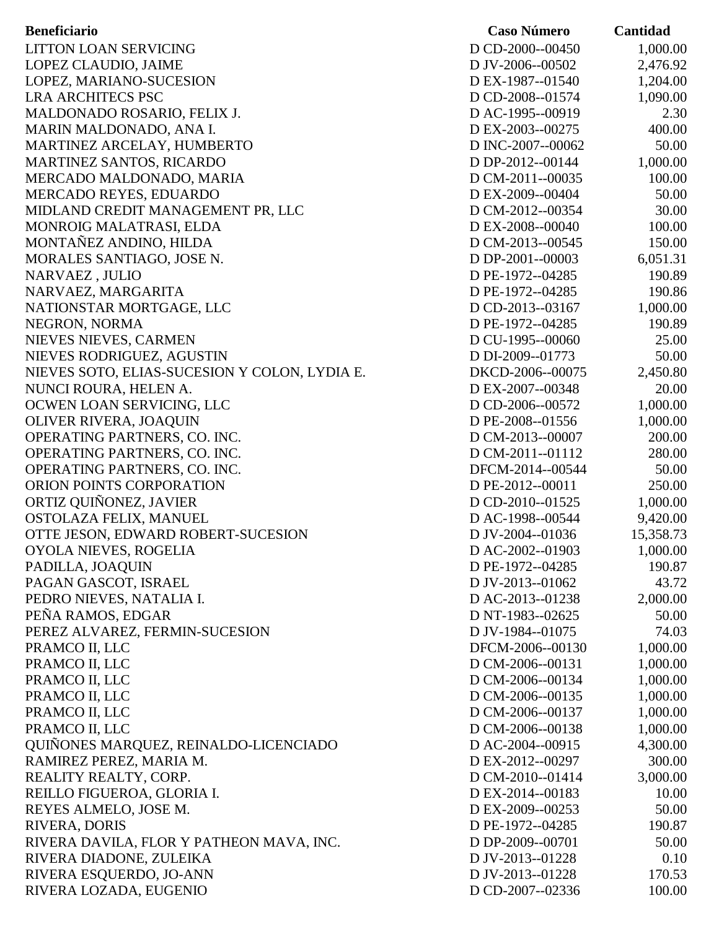| <b>Beneficiario</b>                           | <b>Caso Número</b> | Cantidad  |
|-----------------------------------------------|--------------------|-----------|
| LITTON LOAN SERVICING                         | D CD-2000--00450   | 1,000.00  |
| LOPEZ CLAUDIO, JAIME                          | D JV-2006--00502   | 2,476.92  |
| LOPEZ, MARIANO-SUCESION                       | D EX-1987--01540   | 1,204.00  |
| <b>LRA ARCHITECS PSC</b>                      | D CD-2008--01574   | 1,090.00  |
| MALDONADO ROSARIO, FELIX J.                   | D AC-1995--00919   | 2.30      |
| MARIN MALDONADO, ANA I.                       | D EX-2003--00275   | 400.00    |
| MARTINEZ ARCELAY, HUMBERTO                    | D INC-2007--00062  | 50.00     |
| MARTINEZ SANTOS, RICARDO                      | D DP-2012--00144   | 1,000.00  |
| MERCADO MALDONADO, MARIA                      | D CM-2011--00035   | 100.00    |
| MERCADO REYES, EDUARDO                        | D EX-2009--00404   | 50.00     |
| MIDLAND CREDIT MANAGEMENT PR, LLC             | D CM-2012--00354   | 30.00     |
| MONROIG MALATRASI, ELDA                       | D EX-2008--00040   | 100.00    |
| MONTAÑEZ ANDINO, HILDA                        | D CM-2013--00545   | 150.00    |
| MORALES SANTIAGO, JOSE N.                     | D DP-2001--00003   | 6,051.31  |
| NARVAEZ, JULIO                                | D PE-1972--04285   | 190.89    |
| NARVAEZ, MARGARITA                            | D PE-1972--04285   | 190.86    |
| NATIONSTAR MORTGAGE, LLC                      | D CD-2013--03167   | 1,000.00  |
| NEGRON, NORMA                                 | D PE-1972--04285   | 190.89    |
| NIEVES NIEVES, CARMEN                         | D CU-1995--00060   | 25.00     |
| NIEVES RODRIGUEZ, AGUSTIN                     | D DI-2009--01773   | 50.00     |
| NIEVES SOTO, ELIAS-SUCESION Y COLON, LYDIA E. | DKCD-2006--00075   | 2,450.80  |
| NUNCI ROURA, HELEN A.                         | D EX-2007--00348   | 20.00     |
| OCWEN LOAN SERVICING, LLC                     | D CD-2006--00572   | 1,000.00  |
| OLIVER RIVERA, JOAQUIN                        | D PE-2008--01556   | 1,000.00  |
| OPERATING PARTNERS, CO. INC.                  | D CM-2013--00007   | 200.00    |
| OPERATING PARTNERS, CO. INC.                  | D CM-2011--01112   | 280.00    |
| OPERATING PARTNERS, CO. INC.                  | DFCM-2014--00544   | 50.00     |
| ORION POINTS CORPORATION                      | D PE-2012--00011   | 250.00    |
| ORTIZ QUIÑONEZ, JAVIER                        | D CD-2010--01525   | 1,000.00  |
| OSTOLAZA FELIX, MANUEL                        | D AC-1998--00544   | 9,420.00  |
| OTTE JESON, EDWARD ROBERT-SUCESION            | D JV-2004--01036   | 15,358.73 |
| OYOLA NIEVES, ROGELIA                         | D AC-2002--01903   | 1,000.00  |
| PADILLA, JOAQUIN                              | D PE-1972--04285   | 190.87    |
| PAGAN GASCOT, ISRAEL                          | D JV-2013--01062   | 43.72     |
| PEDRO NIEVES, NATALIA I.                      | D AC-2013--01238   | 2,000.00  |
| PEÑA RAMOS, EDGAR                             | D NT-1983--02625   | 50.00     |
| PEREZ ALVAREZ, FERMIN-SUCESION                | D JV-1984--01075   | 74.03     |
| PRAMCO II, LLC                                | DFCM-2006--00130   | 1,000.00  |
| PRAMCO II, LLC                                | D CM-2006--00131   | 1,000.00  |
| PRAMCO II, LLC                                | D CM-2006--00134   | 1,000.00  |
| PRAMCO II, LLC                                | D CM-2006--00135   | 1,000.00  |
| PRAMCO II, LLC                                | D CM-2006--00137   | 1,000.00  |
| PRAMCO II, LLC                                | D CM-2006--00138   | 1,000.00  |
| QUIÑONES MARQUEZ, REINALDO-LICENCIADO         | D AC-2004--00915   | 4,300.00  |
| RAMIREZ PEREZ, MARIA M.                       | D EX-2012--00297   | 300.00    |
| REALITY REALTY, CORP.                         | D CM-2010--01414   | 3,000.00  |
| REILLO FIGUEROA, GLORIA I.                    | D EX-2014--00183   | 10.00     |
| REYES ALMELO, JOSE M.                         | D EX-2009--00253   | 50.00     |
| RIVERA, DORIS                                 | D PE-1972--04285   | 190.87    |
| RIVERA DAVILA, FLOR Y PATHEON MAVA, INC.      | D DP-2009--00701   | 50.00     |
| RIVERA DIADONE, ZULEIKA                       | D JV-2013--01228   | 0.10      |
| RIVERA ESQUERDO, JO-ANN                       | D JV-2013--01228   | 170.53    |
| RIVERA LOZADA, EUGENIO                        | D CD-2007--02336   | 100.00    |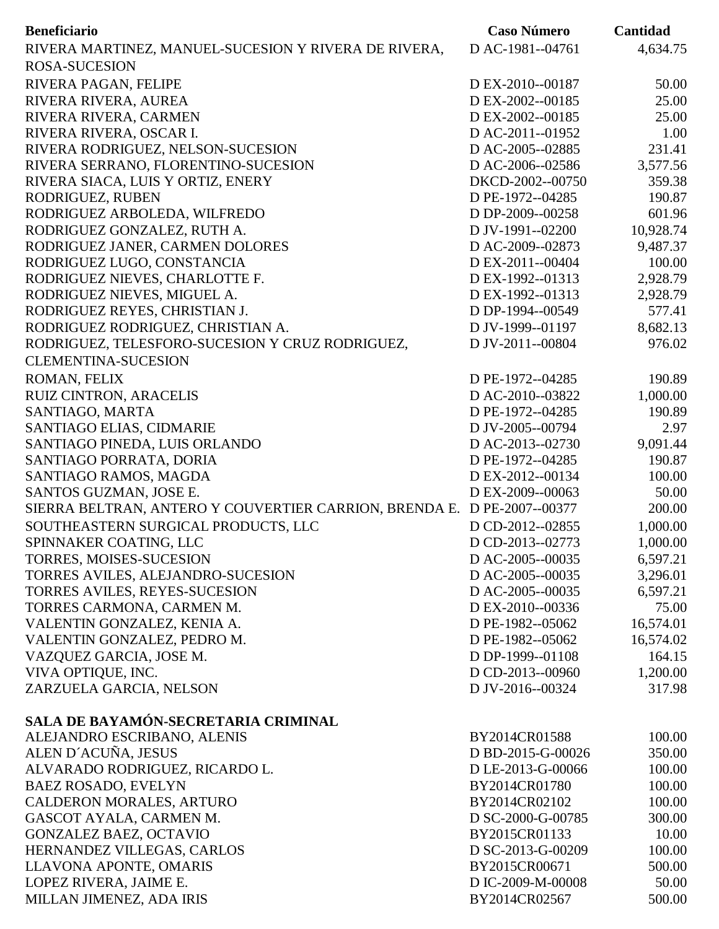| <b>Beneficiario</b>                                    | <b>Caso Número</b> | Cantidad  |
|--------------------------------------------------------|--------------------|-----------|
| RIVERA MARTINEZ, MANUEL-SUCESION Y RIVERA DE RIVERA,   | D AC-1981--04761   | 4,634.75  |
| <b>ROSA-SUCESION</b>                                   |                    |           |
| RIVERA PAGAN, FELIPE                                   | D EX-2010--00187   | 50.00     |
| RIVERA RIVERA, AUREA                                   | D EX-2002--00185   | 25.00     |
| RIVERA RIVERA, CARMEN                                  | D EX-2002--00185   | 25.00     |
| RIVERA RIVERA, OSCAR I.                                | D AC-2011--01952   | 1.00      |
| RIVERA RODRIGUEZ, NELSON-SUCESION                      | D AC-2005--02885   | 231.41    |
| RIVERA SERRANO, FLORENTINO-SUCESION                    | D AC-2006--02586   | 3,577.56  |
| RIVERA SIACA, LUIS Y ORTIZ, ENERY                      | DKCD-2002--00750   | 359.38    |
| RODRIGUEZ, RUBEN                                       | D PE-1972--04285   | 190.87    |
| RODRIGUEZ ARBOLEDA, WILFREDO                           | D DP-2009--00258   | 601.96    |
| RODRIGUEZ GONZALEZ, RUTH A.                            | D JV-1991--02200   | 10,928.74 |
| RODRIGUEZ JANER, CARMEN DOLORES                        | D AC-2009--02873   | 9,487.37  |
| RODRIGUEZ LUGO, CONSTANCIA                             | D EX-2011--00404   | 100.00    |
| RODRIGUEZ NIEVES, CHARLOTTE F.                         | D EX-1992--01313   | 2,928.79  |
| RODRIGUEZ NIEVES, MIGUEL A.                            | D EX-1992--01313   | 2,928.79  |
| RODRIGUEZ REYES, CHRISTIAN J.                          | D DP-1994--00549   | 577.41    |
| RODRIGUEZ RODRIGUEZ, CHRISTIAN A.                      | D JV-1999--01197   | 8,682.13  |
| RODRIGUEZ, TELESFORO-SUCESION Y CRUZ RODRIGUEZ,        | D JV-2011--00804   | 976.02    |
| <b>CLEMENTINA-SUCESION</b>                             |                    |           |
| ROMAN, FELIX                                           | D PE-1972--04285   | 190.89    |
| RUIZ CINTRON, ARACELIS                                 | D AC-2010--03822   | 1,000.00  |
| SANTIAGO, MARTA                                        | D PE-1972--04285   | 190.89    |
| SANTIAGO ELIAS, CIDMARIE                               | D JV-2005--00794   | 2.97      |
| SANTIAGO PINEDA, LUIS ORLANDO                          | D AC-2013--02730   | 9,091.44  |
| SANTIAGO PORRATA, DORIA                                | D PE-1972--04285   | 190.87    |
| SANTIAGO RAMOS, MAGDA                                  | D EX-2012--00134   | 100.00    |
| SANTOS GUZMAN, JOSE E.                                 | D EX-2009--00063   | 50.00     |
| SIERRA BELTRAN, ANTERO Y COUVERTIER CARRION, BRENDA E. | D PE-2007--00377   | 200.00    |
| SOUTHEASTERN SURGICAL PRODUCTS, LLC                    | D CD-2012--02855   | 1,000.00  |
| SPINNAKER COATING, LLC                                 | D CD-2013--02773   | 1,000.00  |
| TORRES, MOISES-SUCESION                                | D AC-2005--00035   | 6,597.21  |
| TORRES AVILES, ALEJANDRO-SUCESION                      | D AC-2005--00035   | 3,296.01  |
| TORRES AVILES, REYES-SUCESION                          | D AC-2005--00035   | 6,597.21  |
| TORRES CARMONA, CARMEN M.                              | D EX-2010--00336   | 75.00     |
| VALENTIN GONZALEZ, KENIA A.                            | D PE-1982--05062   | 16,574.01 |
| VALENTIN GONZALEZ, PEDRO M.                            | D PE-1982--05062   | 16,574.02 |
| VAZQUEZ GARCIA, JOSE M.                                | D DP-1999--01108   | 164.15    |
| VIVA OPTIQUE, INC.                                     | D CD-2013--00960   | 1,200.00  |
| ZARZUELA GARCIA, NELSON                                | D JV-2016--00324   | 317.98    |
| SALA DE BAYAMÓN-SECRETARIA CRIMINAL                    |                    |           |
| ALEJANDRO ESCRIBANO, ALENIS                            | BY2014CR01588      | 100.00    |
| ALEN D'ACUÑA, JESUS                                    | D BD-2015-G-00026  | 350.00    |
| ALVARADO RODRIGUEZ, RICARDO L.                         | D LE-2013-G-00066  | 100.00    |
| <b>BAEZ ROSADO, EVELYN</b>                             | BY2014CR01780      | 100.00    |
| CALDERON MORALES, ARTURO                               | BY2014CR02102      | 100.00    |
| GASCOT AYALA, CARMEN M.                                | D SC-2000-G-00785  | 300.00    |
| <b>GONZALEZ BAEZ, OCTAVIO</b>                          | BY2015CR01133      | 10.00     |
| HERNANDEZ VILLEGAS, CARLOS                             | D SC-2013-G-00209  | 100.00    |
| LLAVONA APONTE, OMARIS                                 | BY2015CR00671      | 500.00    |
| LOPEZ RIVERA, JAIME E.                                 | D IC-2009-M-00008  | 50.00     |
| MILLAN JIMENEZ, ADA IRIS                               | BY2014CR02567      | 500.00    |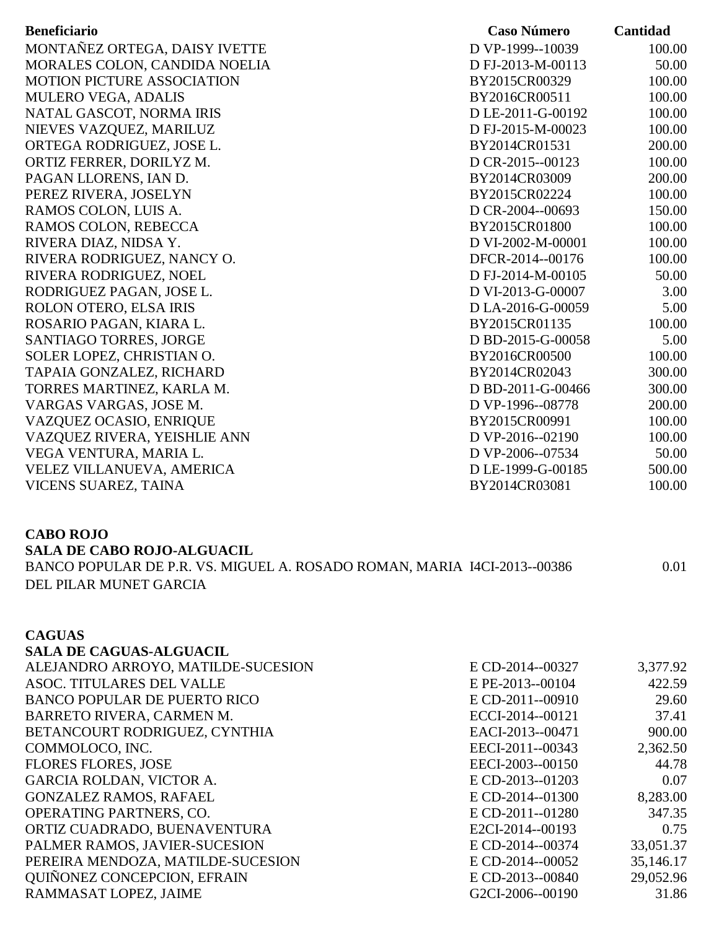| <b>Beneficiario</b>                                                      | <b>Caso Número</b>                   | Cantidad               |
|--------------------------------------------------------------------------|--------------------------------------|------------------------|
| MONTAÑEZ ORTEGA, DAISY IVETTE                                            | D VP-1999--10039                     | 100.00                 |
| MORALES COLON, CANDIDA NOELIA                                            | D FJ-2013-M-00113                    | 50.00                  |
| <b>MOTION PICTURE ASSOCIATION</b>                                        | BY2015CR00329                        | 100.00                 |
| <b>MULERO VEGA, ADALIS</b>                                               | BY2016CR00511                        | 100.00                 |
| NATAL GASCOT, NORMA IRIS                                                 | D LE-2011-G-00192                    | 100.00                 |
| NIEVES VAZQUEZ, MARILUZ                                                  | D FJ-2015-M-00023                    | 100.00                 |
| ORTEGA RODRIGUEZ, JOSE L.                                                | BY2014CR01531                        | 200.00                 |
| ORTIZ FERRER, DORILYZ M.                                                 | D CR-2015--00123                     | 100.00                 |
| PAGAN LLORENS, IAN D.                                                    | BY2014CR03009                        | 200.00                 |
| PEREZ RIVERA, JOSELYN                                                    | BY2015CR02224                        | 100.00                 |
| RAMOS COLON, LUIS A.                                                     | D CR-2004--00693                     | 150.00                 |
| RAMOS COLON, REBECCA                                                     | BY2015CR01800                        | 100.00                 |
| RIVERA DIAZ, NIDSA Y.                                                    | D VI-2002-M-00001                    | 100.00                 |
| RIVERA RODRIGUEZ, NANCY O.                                               | DFCR-2014--00176                     | 100.00                 |
| RIVERA RODRIGUEZ, NOEL                                                   | D FJ-2014-M-00105                    | 50.00                  |
| RODRIGUEZ PAGAN, JOSE L.                                                 | D VI-2013-G-00007                    | 3.00                   |
| ROLON OTERO, ELSA IRIS                                                   | D LA-2016-G-00059                    | 5.00                   |
| ROSARIO PAGAN, KIARA L.                                                  | BY2015CR01135                        | 100.00                 |
| SANTIAGO TORRES, JORGE                                                   | D BD-2015-G-00058                    | 5.00                   |
| SOLER LOPEZ, CHRISTIAN O.                                                | BY2016CR00500                        | 100.00                 |
| TAPAIA GONZALEZ, RICHARD                                                 | BY2014CR02043                        | 300.00                 |
| TORRES MARTINEZ, KARLA M.                                                | D BD-2011-G-00466                    | 300.00                 |
| VARGAS VARGAS, JOSE M.                                                   | D VP-1996--08778                     | 200.00                 |
| VAZQUEZ OCASIO, ENRIQUE                                                  | BY2015CR00991                        | 100.00                 |
| VAZQUEZ RIVERA, YEISHLIE ANN                                             | D VP-2016--02190                     | 100.00                 |
| VEGA VENTURA, MARIA L.                                                   | D VP-2006--07534                     | 50.00                  |
| VELEZ VILLANUEVA, AMERICA                                                | D LE-1999-G-00185                    | 500.00                 |
| VICENS SUAREZ, TAINA                                                     | BY2014CR03081                        | 100.00                 |
| <b>CABO ROJO</b>                                                         |                                      |                        |
| <b>SALA DE CABO ROJO-ALGUACIL</b>                                        |                                      |                        |
| BANCO POPULAR DE P.R. VS. MIGUEL A. ROSADO ROMAN, MARIA I4CI-2013--00386 |                                      | 0.01                   |
| DEL PILAR MUNET GARCIA                                                   |                                      |                        |
|                                                                          |                                      |                        |
| <b>CAGUAS</b>                                                            |                                      |                        |
| <b>SALA DE CAGUAS-ALGUACIL</b>                                           |                                      |                        |
| ALEJANDRO ARROYO, MATILDE-SUCESION                                       | E CD-2014--00327                     | 3,377.92               |
| ASOC. TITULARES DEL VALLE                                                | E PE-2013--00104                     | 422.59                 |
| <b>BANCO POPULAR DE PUERTO RICO</b>                                      | E CD-2011--00910                     | 29.60                  |
| BARRETO RIVERA, CARMEN M.                                                | ECCI-2014--00121                     | 37.41                  |
| BETANCOURT RODRIGUEZ, CYNTHIA                                            | EACI-2013--00471                     | 900.00                 |
| COMMOLOCO, INC.                                                          | EECI-2011--00343                     | 2,362.50               |
| <b>FLORES FLORES, JOSE</b>                                               | EECI-2003--00150                     | 44.78                  |
| GARCIA ROLDAN, VICTOR A.                                                 | E CD-2013--01203                     | 0.07                   |
| <b>GONZALEZ RAMOS, RAFAEL</b>                                            | E CD-2014--01300                     | 8,283.00               |
| OPERATING PARTNERS, CO.                                                  | E CD-2011--01280                     | 347.35                 |
| ORTIZ CUADRADO, BUENAVENTURA                                             | E2CI-2014--00193                     | 0.75                   |
| PALMER RAMOS, JAVIER-SUCESION                                            | E CD-2014--00374                     | 33,051.37              |
| PEREIRA MENDOZA, MATILDE-SUCESION<br>QUIÑONEZ CONCEPCION, EFRAIN         | E CD-2014--00052<br>E CD-2013--00840 | 35,146.17<br>29,052.96 |
| RAMMASAT LOPEZ, JAIME                                                    | G2CI-2006--00190                     | 31.86                  |
|                                                                          |                                      |                        |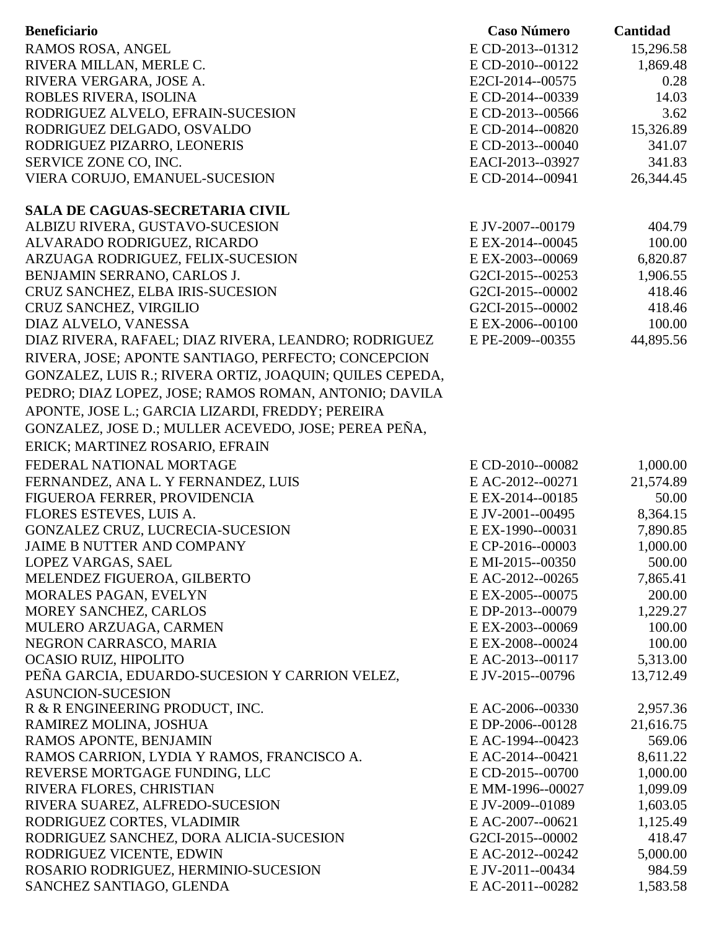|                                                          |                  | Cantidad  |
|----------------------------------------------------------|------------------|-----------|
| RAMOS ROSA, ANGEL                                        | E CD-2013--01312 | 15,296.58 |
| RIVERA MILLAN, MERLE C.                                  | E CD-2010--00122 | 1,869.48  |
| RIVERA VERGARA, JOSE A.                                  | E2CI-2014--00575 | 0.28      |
| ROBLES RIVERA, ISOLINA                                   | E CD-2014--00339 | 14.03     |
| RODRIGUEZ ALVELO, EFRAIN-SUCESION                        | E CD-2013--00566 | 3.62      |
| RODRIGUEZ DELGADO, OSVALDO                               | E CD-2014--00820 | 15,326.89 |
| RODRIGUEZ PIZARRO, LEONERIS                              | E CD-2013--00040 | 341.07    |
| SERVICE ZONE CO, INC.                                    | EACI-2013--03927 | 341.83    |
| VIERA CORUJO, EMANUEL-SUCESION                           | E CD-2014--00941 | 26,344.45 |
| <b>SALA DE CAGUAS-SECRETARIA CIVIL</b>                   |                  |           |
| ALBIZU RIVERA, GUSTAVO-SUCESION                          | E JV-2007--00179 | 404.79    |
| ALVARADO RODRIGUEZ, RICARDO                              | E EX-2014--00045 | 100.00    |
| ARZUAGA RODRIGUEZ, FELIX-SUCESION                        | E EX-2003--00069 | 6,820.87  |
| BENJAMIN SERRANO, CARLOS J.                              | G2CI-2015--00253 | 1,906.55  |
| CRUZ SANCHEZ, ELBA IRIS-SUCESION                         | G2CI-2015--00002 | 418.46    |
| CRUZ SANCHEZ, VIRGILIO                                   | G2CI-2015--00002 | 418.46    |
| DIAZ ALVELO, VANESSA                                     | E EX-2006--00100 | 100.00    |
| DIAZ RIVERA, RAFAEL; DIAZ RIVERA, LEANDRO; RODRIGUEZ     | E PE-2009--00355 | 44,895.56 |
| RIVERA, JOSE; APONTE SANTIAGO, PERFECTO; CONCEPCION      |                  |           |
| GONZALEZ, LUIS R.; RIVERA ORTIZ, JOAQUIN; QUILES CEPEDA, |                  |           |
| PEDRO; DIAZ LOPEZ, JOSE; RAMOS ROMAN, ANTONIO; DAVILA    |                  |           |
|                                                          |                  |           |
| APONTE, JOSE L.; GARCIA LIZARDI, FREDDY; PEREIRA         |                  |           |
| GONZALEZ, JOSE D.; MULLER ACEVEDO, JOSE; PEREA PEÑA,     |                  |           |
| ERICK; MARTINEZ ROSARIO, EFRAIN                          |                  |           |
| FEDERAL NATIONAL MORTAGE                                 | E CD-2010--00082 | 1,000.00  |
| FERNANDEZ, ANA L. Y FERNANDEZ, LUIS                      | E AC-2012--00271 | 21,574.89 |
| FIGUEROA FERRER, PROVIDENCIA                             | E EX-2014--00185 | 50.00     |
| FLORES ESTEVES, LUIS A.                                  | E JV-2001--00495 | 8,364.15  |
| GONZALEZ CRUZ, LUCRECIA-SUCESION                         | E EX-1990--00031 | 7,890.85  |
| <b>JAIME B NUTTER AND COMPANY</b>                        | E CP-2016--00003 | 1,000.00  |
| LOPEZ VARGAS, SAEL                                       | E MI-2015--00350 | 500.00    |
| MELENDEZ FIGUEROA, GILBERTO                              | E AC-2012--00265 | 7,865.41  |
| MORALES PAGAN, EVELYN                                    | E EX-2005--00075 | 200.00    |
| MOREY SANCHEZ, CARLOS                                    | E DP-2013--00079 | 1,229.27  |
| MULERO ARZUAGA, CARMEN                                   | E EX-2003--00069 | 100.00    |
| NEGRON CARRASCO, MARIA                                   | E EX-2008--00024 | 100.00    |
| OCASIO RUIZ, HIPOLITO                                    | E AC-2013--00117 | 5,313.00  |
| PEÑA GARCIA, EDUARDO-SUCESION Y CARRION VELEZ,           | E JV-2015--00796 | 13,712.49 |
| <b>ASUNCION-SUCESION</b>                                 |                  |           |
| R & R ENGINEERING PRODUCT, INC.                          | E AC-2006--00330 | 2,957.36  |
| RAMIREZ MOLINA, JOSHUA                                   | E DP-2006--00128 | 21,616.75 |
| RAMOS APONTE, BENJAMIN                                   | E AC-1994--00423 | 569.06    |
| RAMOS CARRION, LYDIA Y RAMOS, FRANCISCO A.               | E AC-2014--00421 | 8,611.22  |
| REVERSE MORTGAGE FUNDING, LLC                            | E CD-2015--00700 | 1,000.00  |
| RIVERA FLORES, CHRISTIAN                                 | E MM-1996--00027 | 1,099.09  |
| RIVERA SUAREZ, ALFREDO-SUCESION                          | E JV-2009--01089 | 1,603.05  |
| RODRIGUEZ CORTES, VLADIMIR                               | E AC-2007--00621 | 1,125.49  |
| RODRIGUEZ SANCHEZ, DORA ALICIA-SUCESION                  | G2CI-2015--00002 | 418.47    |
| RODRIGUEZ VICENTE, EDWIN                                 | E AC-2012--00242 | 5,000.00  |
| ROSARIO RODRIGUEZ, HERMINIO-SUCESION                     | E JV-2011--00434 | 984.59    |
| SANCHEZ SANTIAGO, GLENDA                                 | E AC-2011--00282 | 1,583.58  |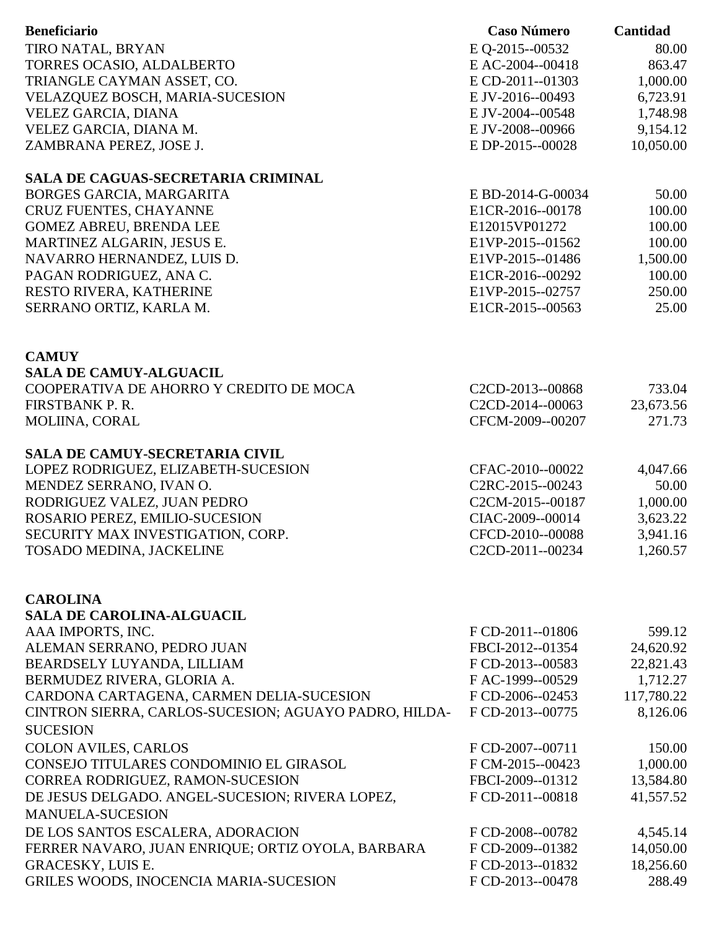| <b>Beneficiario</b>                                   | <b>Caso Número</b>            | Cantidad   |
|-------------------------------------------------------|-------------------------------|------------|
| TIRO NATAL, BRYAN                                     | E Q-2015--00532               | 80.00      |
| TORRES OCASIO, ALDALBERTO                             | E AC-2004--00418              | 863.47     |
| TRIANGLE CAYMAN ASSET, CO.                            | E CD-2011--01303              | 1,000.00   |
| VELAZQUEZ BOSCH, MARIA-SUCESION                       | E JV-2016--00493              | 6,723.91   |
| VELEZ GARCIA, DIANA                                   | E JV-2004--00548              | 1,748.98   |
| VELEZ GARCIA, DIANA M.                                | E JV-2008--00966              | 9,154.12   |
| ZAMBRANA PEREZ, JOSE J.                               | E DP-2015--00028              | 10,050.00  |
| SALA DE CAGUAS-SECRETARIA CRIMINAL                    |                               |            |
| BORGES GARCIA, MARGARITA                              | E BD-2014-G-00034             | 50.00      |
| CRUZ FUENTES, CHAYANNE                                | E1CR-2016--00178              | 100.00     |
| <b>GOMEZ ABREU, BRENDA LEE</b>                        | E12015VP01272                 | 100.00     |
| MARTINEZ ALGARIN, JESUS E.                            | E1VP-2015--01562              | 100.00     |
| NAVARRO HERNANDEZ, LUIS D.                            | E1VP-2015--01486              | 1,500.00   |
| PAGAN RODRIGUEZ, ANA C.                               | E1CR-2016--00292              | 100.00     |
| RESTO RIVERA, KATHERINE                               | E1VP-2015--02757              | 250.00     |
| SERRANO ORTIZ, KARLA M.                               | E1CR-2015--00563              | 25.00      |
|                                                       |                               |            |
| <b>CAMUY</b>                                          |                               |            |
| <b>SALA DE CAMUY-ALGUACIL</b>                         |                               |            |
| COOPERATIVA DE AHORRO Y CREDITO DE MOCA               | C2CD-2013--00868              | 733.04     |
| FIRSTBANK P.R.                                        | C2CD-2014--00063              | 23,673.56  |
| MOLIINA, CORAL                                        | CFCM-2009--00207              | 271.73     |
| <b>SALA DE CAMUY-SECRETARIA CIVIL</b>                 |                               |            |
| LOPEZ RODRIGUEZ, ELIZABETH-SUCESION                   | CFAC-2010--00022              | 4,047.66   |
| MENDEZ SERRANO, IVAN O.                               | C <sub>2</sub> RC-2015--00243 | 50.00      |
| RODRIGUEZ VALEZ, JUAN PEDRO                           | C2CM-2015--00187              | 1,000.00   |
| ROSARIO PEREZ, EMILIO-SUCESION                        | CIAC-2009--00014              | 3,623.22   |
| SECURITY MAX INVESTIGATION, CORP.                     | CFCD-2010--00088              | 3,941.16   |
| TOSADO MEDINA, JACKELINE                              | C2CD-2011--00234              | 1,260.57   |
|                                                       |                               |            |
| <b>CAROLINA</b><br><b>SALA DE CAROLINA-ALGUACIL</b>   |                               |            |
| AAA IMPORTS, INC.                                     | F CD-2011--01806              | 599.12     |
| ALEMAN SERRANO, PEDRO JUAN                            | FBCI-2012--01354              | 24,620.92  |
| BEARDSELY LUYANDA, LILLIAM                            | F CD-2013--00583              | 22,821.43  |
| BERMUDEZ RIVERA, GLORIA A.                            | FAC-1999--00529               | 1,712.27   |
| CARDONA CARTAGENA, CARMEN DELIA-SUCESION              | F CD-2006--02453              | 117,780.22 |
| CINTRON SIERRA, CARLOS-SUCESION; AGUAYO PADRO, HILDA- | F CD-2013--00775              | 8,126.06   |
| <b>SUCESION</b>                                       |                               |            |
| <b>COLON AVILES, CARLOS</b>                           | F CD-2007--00711              | 150.00     |
| CONSEJO TITULARES CONDOMINIO EL GIRASOL               | F CM-2015--00423              | 1,000.00   |
| CORREA RODRIGUEZ, RAMON-SUCESION                      | FBCI-2009--01312              | 13,584.80  |
| DE JESUS DELGADO. ANGEL-SUCESION; RIVERA LOPEZ,       | FCD-2011--00818               | 41,557.52  |
| <b>MANUELA-SUCESION</b>                               |                               |            |
| DE LOS SANTOS ESCALERA, ADORACION                     | F CD-2008--00782              | 4,545.14   |
| FERRER NAVARO, JUAN ENRIQUE; ORTIZ OYOLA, BARBARA     | F CD-2009--01382              | 14,050.00  |
| <b>GRACESKY, LUIS E.</b>                              | F CD-2013--01832              | 18,256.60  |
| GRILES WOODS, INOCENCIA MARIA-SUCESION                | F CD-2013--00478              | 288.49     |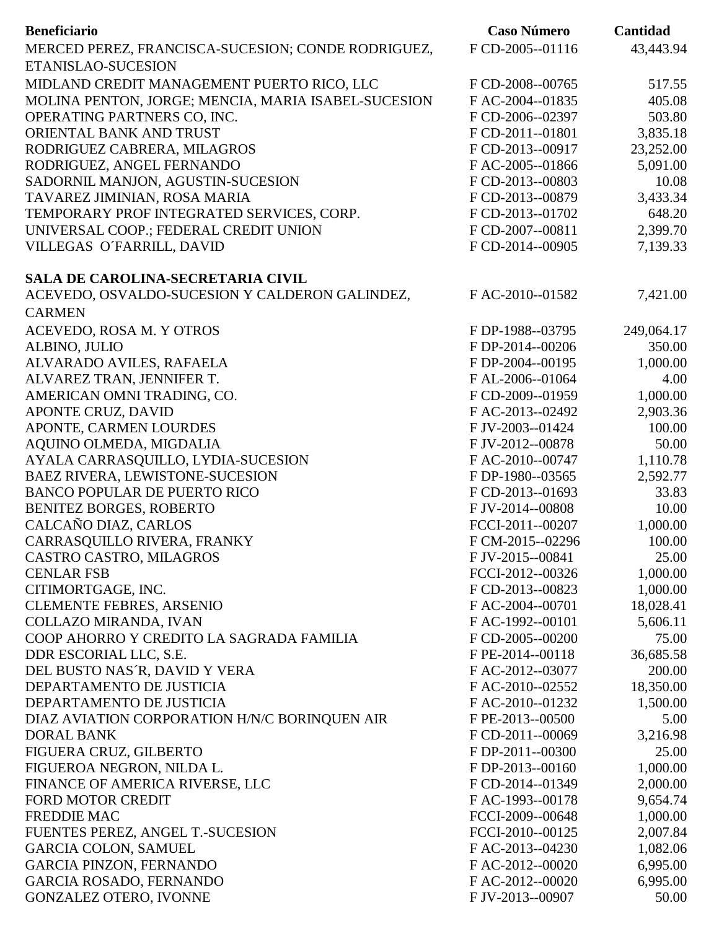| <b>Beneficiario</b>                                 | <b>Caso Número</b> | Cantidad   |
|-----------------------------------------------------|--------------------|------------|
| MERCED PEREZ, FRANCISCA-SUCESION; CONDE RODRIGUEZ,  | F CD-2005--01116   | 43,443.94  |
| ETANISLAO-SUCESION                                  |                    |            |
| MIDLAND CREDIT MANAGEMENT PUERTO RICO, LLC          | F CD-2008--00765   | 517.55     |
| MOLINA PENTON, JORGE; MENCIA, MARIA ISABEL-SUCESION | FAC-2004--01835    | 405.08     |
| OPERATING PARTNERS CO, INC.                         | F CD-2006--02397   | 503.80     |
| ORIENTAL BANK AND TRUST                             | F CD-2011--01801   | 3,835.18   |
| RODRIGUEZ CABRERA, MILAGROS                         | F CD-2013--00917   | 23,252.00  |
| RODRIGUEZ, ANGEL FERNANDO                           | FAC-2005--01866    | 5,091.00   |
| SADORNIL MANJON, AGUSTIN-SUCESION                   | F CD-2013--00803   | 10.08      |
| TAVAREZ JIMINIAN, ROSA MARIA                        | F CD-2013--00879   | 3,433.34   |
| TEMPORARY PROF INTEGRATED SERVICES, CORP.           | F CD-2013--01702   | 648.20     |
| UNIVERSAL COOP.; FEDERAL CREDIT UNION               | F CD-2007--00811   | 2,399.70   |
| VILLEGAS O'FARRILL, DAVID                           | F CD-2014--00905   | 7,139.33   |
| <b>SALA DE CAROLINA-SECRETARIA CIVIL</b>            |                    |            |
| ACEVEDO, OSVALDO-SUCESION Y CALDERON GALINDEZ,      | FAC-2010--01582    | 7,421.00   |
| <b>CARMEN</b>                                       |                    |            |
| ACEVEDO, ROSA M. Y OTROS                            | F DP-1988--03795   | 249,064.17 |
| ALBINO, JULIO                                       | F DP-2014--00206   | 350.00     |
| ALVARADO AVILES, RAFAELA                            | F DP-2004--00195   | 1,000.00   |
| ALVAREZ TRAN, JENNIFER T.                           | FAL-2006--01064    | 4.00       |
| AMERICAN OMNI TRADING, CO.                          | F CD-2009--01959   | 1,000.00   |
| <b>APONTE CRUZ, DAVID</b>                           | FAC-2013--02492    | 2,903.36   |
| APONTE, CARMEN LOURDES                              | F JV-2003--01424   | 100.00     |
| AQUINO OLMEDA, MIGDALIA                             | F JV-2012--00878   | 50.00      |
| AYALA CARRASQUILLO, LYDIA-SUCESION                  | FAC-2010--00747    | 1,110.78   |
| BAEZ RIVERA, LEWISTONE-SUCESION                     | F DP-1980--03565   | 2,592.77   |
| <b>BANCO POPULAR DE PUERTO RICO</b>                 | F CD-2013--01693   | 33.83      |
| <b>BENITEZ BORGES, ROBERTO</b>                      | F JV-2014--00808   | 10.00      |
| CALCAÑO DIAZ, CARLOS                                | FCCI-2011--00207   | 1,000.00   |
| CARRASQUILLO RIVERA, FRANKY                         | F CM-2015--02296   | 100.00     |
| CASTRO CASTRO, MILAGROS                             | F JV-2015--00841   | 25.00      |
| <b>CENLAR FSB</b>                                   | FCCI-2012--00326   | 1,000.00   |
| CITIMORTGAGE, INC.                                  | F CD-2013--00823   | 1,000.00   |
| <b>CLEMENTE FEBRES, ARSENIO</b>                     | F AC-2004--00701   | 18,028.41  |
| COLLAZO MIRANDA, IVAN                               | F AC-1992--00101   | 5,606.11   |
| COOP AHORRO Y CREDITO LA SAGRADA FAMILIA            | F CD-2005--00200   | 75.00      |
| DDR ESCORIAL LLC, S.E.                              | F PE-2014--00118   | 36,685.58  |
| DEL BUSTO NAS'R, DAVID Y VERA                       | F AC-2012--03077   | 200.00     |
| DEPARTAMENTO DE JUSTICIA                            | F AC-2010--02552   | 18,350.00  |
| DEPARTAMENTO DE JUSTICIA                            | F AC-2010--01232   | 1,500.00   |
| DIAZ AVIATION CORPORATION H/N/C BORINQUEN AIR       | F PE-2013--00500   | 5.00       |
| <b>DORAL BANK</b>                                   | F CD-2011--00069   | 3,216.98   |
| FIGUERA CRUZ, GILBERTO                              | F DP-2011--00300   | 25.00      |
| FIGUEROA NEGRON, NILDA L.                           | F DP-2013--00160   | 1,000.00   |
| FINANCE OF AMERICA RIVERSE, LLC                     | F CD-2014--01349   | 2,000.00   |
| <b>FORD MOTOR CREDIT</b>                            | FAC-1993--00178    | 9,654.74   |
| <b>FREDDIE MAC</b>                                  | FCCI-2009--00648   | 1,000.00   |
| FUENTES PEREZ, ANGEL T.-SUCESION                    | FCCI-2010--00125   | 2,007.84   |
| <b>GARCIA COLON, SAMUEL</b>                         | F AC-2013--04230   | 1,082.06   |
| <b>GARCIA PINZON, FERNANDO</b>                      | F AC-2012--00020   | 6,995.00   |
| <b>GARCIA ROSADO, FERNANDO</b>                      | F AC-2012--00020   | 6,995.00   |
| GONZALEZ OTERO, IVONNE                              | F JV-2013--00907   | 50.00      |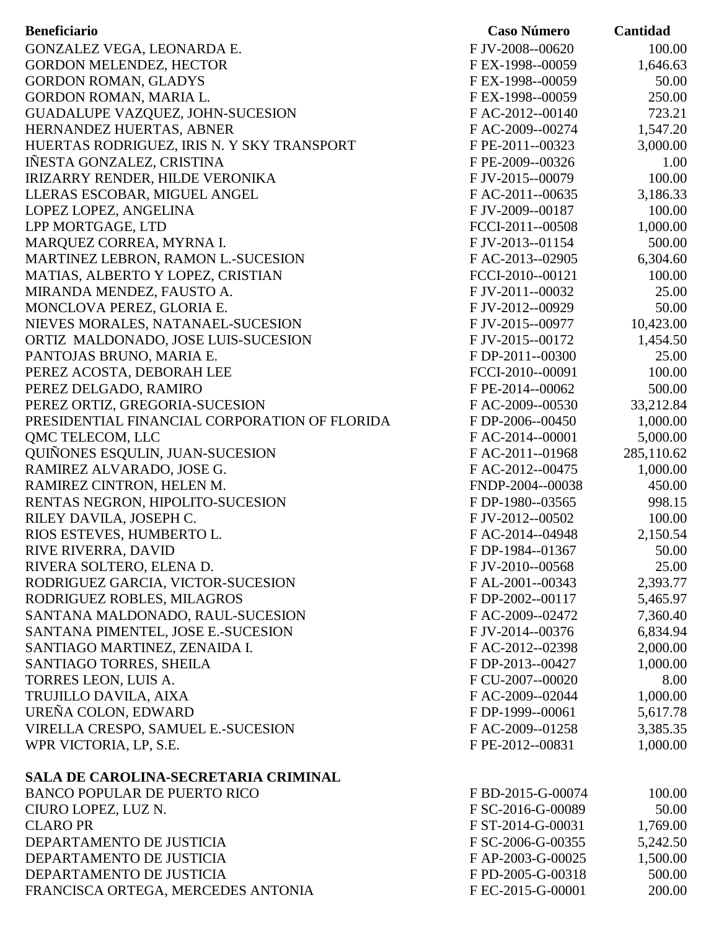| F JV-2008--00620<br>100.00<br>GONZALEZ VEGA, LEONARDA E.<br>F EX-1998--00059<br>1,646.63<br><b>GORDON MELENDEZ, HECTOR</b><br><b>GORDON ROMAN, GLADYS</b><br>F EX-1998--00059<br>50.00<br>GORDON ROMAN, MARIA L.<br>250.00<br>F EX-1998--00059<br>723.21<br>GUADALUPE VAZQUEZ, JOHN-SUCESION<br>F AC-2012--00140<br>HERNANDEZ HUERTAS, ABNER<br>1,547.20<br>F AC-2009--00274<br>HUERTAS RODRIGUEZ, IRIS N. Y SKY TRANSPORT<br>F PE-2011--00323<br>3,000.00<br>IÑESTA GONZALEZ, CRISTINA<br>F PE-2009--00326<br>1.00<br>IRIZARRY RENDER, HILDE VERONIKA<br>F JV-2015--00079<br>100.00<br>LLERAS ESCOBAR, MIGUEL ANGEL<br>FAC-2011--00635<br>3,186.33<br>100.00<br>LOPEZ LOPEZ, ANGELINA<br>F JV-2009--00187<br>LPP MORTGAGE, LTD<br>1,000.00<br>FCCI-2011--00508<br>MARQUEZ CORREA, MYRNA I.<br>500.00<br>F JV-2013--01154<br>MARTINEZ LEBRON, RAMON L.-SUCESION<br>6,304.60<br>F AC-2013--02905<br>100.00<br>MATIAS, ALBERTO Y LOPEZ, CRISTIAN<br>FCCI-2010--00121<br>F JV-2011--00032<br>25.00<br>MIRANDA MENDEZ, FAUSTO A.<br>50.00<br>MONCLOVA PEREZ, GLORIA E.<br>F JV-2012--00929<br>10,423.00<br>NIEVES MORALES, NATANAEL-SUCESION<br>F JV-2015--00977<br>ORTIZ MALDONADO, JOSE LUIS-SUCESION<br>F JV-2015--00172<br>1,454.50<br>PANTOJAS BRUNO, MARIA E.<br>F DP-2011--00300<br>25.00<br>100.00<br>PEREZ ACOSTA, DEBORAH LEE<br>FCCI-2010--00091<br>500.00<br>PEREZ DELGADO, RAMIRO<br>F PE-2014--00062<br>33,212.84<br>PEREZ ORTIZ, GREGORIA-SUCESION<br>F AC-2009--00530<br>PRESIDENTIAL FINANCIAL CORPORATION OF FLORIDA<br>F DP-2006--00450<br>1,000.00<br><b>OMC TELECOM, LLC</b><br>FAC-2014--00001<br>5,000.00<br><b>OUIÑONES ESQULIN, JUAN-SUCESION</b><br>285,110.62<br>FAC-2011--01968<br>1,000.00<br>RAMIREZ ALVARADO, JOSE G.<br>F AC-2012--00475<br>RAMIREZ CINTRON, HELEN M.<br>FNDP-2004--00038<br>450.00<br>RENTAS NEGRON, HIPOLITO-SUCESION<br>F DP-1980--03565<br>998.15<br>RILEY DAVILA, JOSEPH C.<br>F JV-2012--00502<br>100.00<br>2,150.54<br>RIOS ESTEVES, HUMBERTO L.<br>FAC-2014--04948<br>50.00<br>RIVE RIVERRA, DAVID<br>F DP-1984--01367<br>RIVERA SOLTERO, ELENA D.<br>F JV-2010--00568<br>25.00<br>RODRIGUEZ GARCIA, VICTOR-SUCESION<br>F AL-2001--00343<br>2,393.77<br>RODRIGUEZ ROBLES, MILAGROS<br>F DP-2002--00117<br>5,465.97<br>SANTANA MALDONADO, RAUL-SUCESION<br>FAC-2009--02472<br>7,360.40<br>SANTANA PIMENTEL, JOSE E.-SUCESION<br>6,834.94<br>F JV-2014--00376<br>2,000.00<br>SANTIAGO MARTINEZ, ZENAIDA I.<br>FAC-2012--02398<br>1,000.00<br>SANTIAGO TORRES, SHEILA<br>F DP-2013--00427<br>TORRES LEON, LUIS A.<br>F CU-2007--00020<br>8.00<br>TRUJILLO DAVILA, AIXA<br>F AC-2009--02044<br>1,000.00<br>UREÑA COLON, EDWARD<br>F DP-1999--00061<br>5,617.78<br>VIRELLA CRESPO, SAMUEL E.-SUCESION<br>FAC-2009--01258<br>3,385.35<br>WPR VICTORIA, LP, S.E.<br>F PE-2012--00831<br>1,000.00<br>SALA DE CAROLINA-SECRETARIA CRIMINAL<br><b>BANCO POPULAR DE PUERTO RICO</b><br>100.00<br>F BD-2015-G-00074<br>CIURO LOPEZ, LUZ N.<br>F SC-2016-G-00089<br>50.00<br><b>CLARO PR</b><br>F ST-2014-G-00031<br>1,769.00<br>DEPARTAMENTO DE JUSTICIA<br>F SC-2006-G-00355<br>5,242.50<br>DEPARTAMENTO DE JUSTICIA<br>1,500.00<br>F AP-2003-G-00025<br>500.00<br>DEPARTAMENTO DE JUSTICIA<br>F PD-2005-G-00318 | <b>Beneficiario</b>                | <b>Caso Número</b> | <b>Cantidad</b> |
|-----------------------------------------------------------------------------------------------------------------------------------------------------------------------------------------------------------------------------------------------------------------------------------------------------------------------------------------------------------------------------------------------------------------------------------------------------------------------------------------------------------------------------------------------------------------------------------------------------------------------------------------------------------------------------------------------------------------------------------------------------------------------------------------------------------------------------------------------------------------------------------------------------------------------------------------------------------------------------------------------------------------------------------------------------------------------------------------------------------------------------------------------------------------------------------------------------------------------------------------------------------------------------------------------------------------------------------------------------------------------------------------------------------------------------------------------------------------------------------------------------------------------------------------------------------------------------------------------------------------------------------------------------------------------------------------------------------------------------------------------------------------------------------------------------------------------------------------------------------------------------------------------------------------------------------------------------------------------------------------------------------------------------------------------------------------------------------------------------------------------------------------------------------------------------------------------------------------------------------------------------------------------------------------------------------------------------------------------------------------------------------------------------------------------------------------------------------------------------------------------------------------------------------------------------------------------------------------------------------------------------------------------------------------------------------------------------------------------------------------------------------------------------------------------------------------------------------------------------------------------------------------------------------------------------------------------------------------------------------------------------------------------------------------------------------------------------------------------------------------------------------------------------------------------------------------------------------------------------------------------------------|------------------------------------|--------------------|-----------------|
|                                                                                                                                                                                                                                                                                                                                                                                                                                                                                                                                                                                                                                                                                                                                                                                                                                                                                                                                                                                                                                                                                                                                                                                                                                                                                                                                                                                                                                                                                                                                                                                                                                                                                                                                                                                                                                                                                                                                                                                                                                                                                                                                                                                                                                                                                                                                                                                                                                                                                                                                                                                                                                                                                                                                                                                                                                                                                                                                                                                                                                                                                                                                                                                                                                                           |                                    |                    |                 |
|                                                                                                                                                                                                                                                                                                                                                                                                                                                                                                                                                                                                                                                                                                                                                                                                                                                                                                                                                                                                                                                                                                                                                                                                                                                                                                                                                                                                                                                                                                                                                                                                                                                                                                                                                                                                                                                                                                                                                                                                                                                                                                                                                                                                                                                                                                                                                                                                                                                                                                                                                                                                                                                                                                                                                                                                                                                                                                                                                                                                                                                                                                                                                                                                                                                           |                                    |                    |                 |
|                                                                                                                                                                                                                                                                                                                                                                                                                                                                                                                                                                                                                                                                                                                                                                                                                                                                                                                                                                                                                                                                                                                                                                                                                                                                                                                                                                                                                                                                                                                                                                                                                                                                                                                                                                                                                                                                                                                                                                                                                                                                                                                                                                                                                                                                                                                                                                                                                                                                                                                                                                                                                                                                                                                                                                                                                                                                                                                                                                                                                                                                                                                                                                                                                                                           |                                    |                    |                 |
|                                                                                                                                                                                                                                                                                                                                                                                                                                                                                                                                                                                                                                                                                                                                                                                                                                                                                                                                                                                                                                                                                                                                                                                                                                                                                                                                                                                                                                                                                                                                                                                                                                                                                                                                                                                                                                                                                                                                                                                                                                                                                                                                                                                                                                                                                                                                                                                                                                                                                                                                                                                                                                                                                                                                                                                                                                                                                                                                                                                                                                                                                                                                                                                                                                                           |                                    |                    |                 |
|                                                                                                                                                                                                                                                                                                                                                                                                                                                                                                                                                                                                                                                                                                                                                                                                                                                                                                                                                                                                                                                                                                                                                                                                                                                                                                                                                                                                                                                                                                                                                                                                                                                                                                                                                                                                                                                                                                                                                                                                                                                                                                                                                                                                                                                                                                                                                                                                                                                                                                                                                                                                                                                                                                                                                                                                                                                                                                                                                                                                                                                                                                                                                                                                                                                           |                                    |                    |                 |
|                                                                                                                                                                                                                                                                                                                                                                                                                                                                                                                                                                                                                                                                                                                                                                                                                                                                                                                                                                                                                                                                                                                                                                                                                                                                                                                                                                                                                                                                                                                                                                                                                                                                                                                                                                                                                                                                                                                                                                                                                                                                                                                                                                                                                                                                                                                                                                                                                                                                                                                                                                                                                                                                                                                                                                                                                                                                                                                                                                                                                                                                                                                                                                                                                                                           |                                    |                    |                 |
|                                                                                                                                                                                                                                                                                                                                                                                                                                                                                                                                                                                                                                                                                                                                                                                                                                                                                                                                                                                                                                                                                                                                                                                                                                                                                                                                                                                                                                                                                                                                                                                                                                                                                                                                                                                                                                                                                                                                                                                                                                                                                                                                                                                                                                                                                                                                                                                                                                                                                                                                                                                                                                                                                                                                                                                                                                                                                                                                                                                                                                                                                                                                                                                                                                                           |                                    |                    |                 |
|                                                                                                                                                                                                                                                                                                                                                                                                                                                                                                                                                                                                                                                                                                                                                                                                                                                                                                                                                                                                                                                                                                                                                                                                                                                                                                                                                                                                                                                                                                                                                                                                                                                                                                                                                                                                                                                                                                                                                                                                                                                                                                                                                                                                                                                                                                                                                                                                                                                                                                                                                                                                                                                                                                                                                                                                                                                                                                                                                                                                                                                                                                                                                                                                                                                           |                                    |                    |                 |
|                                                                                                                                                                                                                                                                                                                                                                                                                                                                                                                                                                                                                                                                                                                                                                                                                                                                                                                                                                                                                                                                                                                                                                                                                                                                                                                                                                                                                                                                                                                                                                                                                                                                                                                                                                                                                                                                                                                                                                                                                                                                                                                                                                                                                                                                                                                                                                                                                                                                                                                                                                                                                                                                                                                                                                                                                                                                                                                                                                                                                                                                                                                                                                                                                                                           |                                    |                    |                 |
|                                                                                                                                                                                                                                                                                                                                                                                                                                                                                                                                                                                                                                                                                                                                                                                                                                                                                                                                                                                                                                                                                                                                                                                                                                                                                                                                                                                                                                                                                                                                                                                                                                                                                                                                                                                                                                                                                                                                                                                                                                                                                                                                                                                                                                                                                                                                                                                                                                                                                                                                                                                                                                                                                                                                                                                                                                                                                                                                                                                                                                                                                                                                                                                                                                                           |                                    |                    |                 |
|                                                                                                                                                                                                                                                                                                                                                                                                                                                                                                                                                                                                                                                                                                                                                                                                                                                                                                                                                                                                                                                                                                                                                                                                                                                                                                                                                                                                                                                                                                                                                                                                                                                                                                                                                                                                                                                                                                                                                                                                                                                                                                                                                                                                                                                                                                                                                                                                                                                                                                                                                                                                                                                                                                                                                                                                                                                                                                                                                                                                                                                                                                                                                                                                                                                           |                                    |                    |                 |
|                                                                                                                                                                                                                                                                                                                                                                                                                                                                                                                                                                                                                                                                                                                                                                                                                                                                                                                                                                                                                                                                                                                                                                                                                                                                                                                                                                                                                                                                                                                                                                                                                                                                                                                                                                                                                                                                                                                                                                                                                                                                                                                                                                                                                                                                                                                                                                                                                                                                                                                                                                                                                                                                                                                                                                                                                                                                                                                                                                                                                                                                                                                                                                                                                                                           |                                    |                    |                 |
|                                                                                                                                                                                                                                                                                                                                                                                                                                                                                                                                                                                                                                                                                                                                                                                                                                                                                                                                                                                                                                                                                                                                                                                                                                                                                                                                                                                                                                                                                                                                                                                                                                                                                                                                                                                                                                                                                                                                                                                                                                                                                                                                                                                                                                                                                                                                                                                                                                                                                                                                                                                                                                                                                                                                                                                                                                                                                                                                                                                                                                                                                                                                                                                                                                                           |                                    |                    |                 |
|                                                                                                                                                                                                                                                                                                                                                                                                                                                                                                                                                                                                                                                                                                                                                                                                                                                                                                                                                                                                                                                                                                                                                                                                                                                                                                                                                                                                                                                                                                                                                                                                                                                                                                                                                                                                                                                                                                                                                                                                                                                                                                                                                                                                                                                                                                                                                                                                                                                                                                                                                                                                                                                                                                                                                                                                                                                                                                                                                                                                                                                                                                                                                                                                                                                           |                                    |                    |                 |
|                                                                                                                                                                                                                                                                                                                                                                                                                                                                                                                                                                                                                                                                                                                                                                                                                                                                                                                                                                                                                                                                                                                                                                                                                                                                                                                                                                                                                                                                                                                                                                                                                                                                                                                                                                                                                                                                                                                                                                                                                                                                                                                                                                                                                                                                                                                                                                                                                                                                                                                                                                                                                                                                                                                                                                                                                                                                                                                                                                                                                                                                                                                                                                                                                                                           |                                    |                    |                 |
|                                                                                                                                                                                                                                                                                                                                                                                                                                                                                                                                                                                                                                                                                                                                                                                                                                                                                                                                                                                                                                                                                                                                                                                                                                                                                                                                                                                                                                                                                                                                                                                                                                                                                                                                                                                                                                                                                                                                                                                                                                                                                                                                                                                                                                                                                                                                                                                                                                                                                                                                                                                                                                                                                                                                                                                                                                                                                                                                                                                                                                                                                                                                                                                                                                                           |                                    |                    |                 |
|                                                                                                                                                                                                                                                                                                                                                                                                                                                                                                                                                                                                                                                                                                                                                                                                                                                                                                                                                                                                                                                                                                                                                                                                                                                                                                                                                                                                                                                                                                                                                                                                                                                                                                                                                                                                                                                                                                                                                                                                                                                                                                                                                                                                                                                                                                                                                                                                                                                                                                                                                                                                                                                                                                                                                                                                                                                                                                                                                                                                                                                                                                                                                                                                                                                           |                                    |                    |                 |
|                                                                                                                                                                                                                                                                                                                                                                                                                                                                                                                                                                                                                                                                                                                                                                                                                                                                                                                                                                                                                                                                                                                                                                                                                                                                                                                                                                                                                                                                                                                                                                                                                                                                                                                                                                                                                                                                                                                                                                                                                                                                                                                                                                                                                                                                                                                                                                                                                                                                                                                                                                                                                                                                                                                                                                                                                                                                                                                                                                                                                                                                                                                                                                                                                                                           |                                    |                    |                 |
|                                                                                                                                                                                                                                                                                                                                                                                                                                                                                                                                                                                                                                                                                                                                                                                                                                                                                                                                                                                                                                                                                                                                                                                                                                                                                                                                                                                                                                                                                                                                                                                                                                                                                                                                                                                                                                                                                                                                                                                                                                                                                                                                                                                                                                                                                                                                                                                                                                                                                                                                                                                                                                                                                                                                                                                                                                                                                                                                                                                                                                                                                                                                                                                                                                                           |                                    |                    |                 |
|                                                                                                                                                                                                                                                                                                                                                                                                                                                                                                                                                                                                                                                                                                                                                                                                                                                                                                                                                                                                                                                                                                                                                                                                                                                                                                                                                                                                                                                                                                                                                                                                                                                                                                                                                                                                                                                                                                                                                                                                                                                                                                                                                                                                                                                                                                                                                                                                                                                                                                                                                                                                                                                                                                                                                                                                                                                                                                                                                                                                                                                                                                                                                                                                                                                           |                                    |                    |                 |
|                                                                                                                                                                                                                                                                                                                                                                                                                                                                                                                                                                                                                                                                                                                                                                                                                                                                                                                                                                                                                                                                                                                                                                                                                                                                                                                                                                                                                                                                                                                                                                                                                                                                                                                                                                                                                                                                                                                                                                                                                                                                                                                                                                                                                                                                                                                                                                                                                                                                                                                                                                                                                                                                                                                                                                                                                                                                                                                                                                                                                                                                                                                                                                                                                                                           |                                    |                    |                 |
|                                                                                                                                                                                                                                                                                                                                                                                                                                                                                                                                                                                                                                                                                                                                                                                                                                                                                                                                                                                                                                                                                                                                                                                                                                                                                                                                                                                                                                                                                                                                                                                                                                                                                                                                                                                                                                                                                                                                                                                                                                                                                                                                                                                                                                                                                                                                                                                                                                                                                                                                                                                                                                                                                                                                                                                                                                                                                                                                                                                                                                                                                                                                                                                                                                                           |                                    |                    |                 |
|                                                                                                                                                                                                                                                                                                                                                                                                                                                                                                                                                                                                                                                                                                                                                                                                                                                                                                                                                                                                                                                                                                                                                                                                                                                                                                                                                                                                                                                                                                                                                                                                                                                                                                                                                                                                                                                                                                                                                                                                                                                                                                                                                                                                                                                                                                                                                                                                                                                                                                                                                                                                                                                                                                                                                                                                                                                                                                                                                                                                                                                                                                                                                                                                                                                           |                                    |                    |                 |
|                                                                                                                                                                                                                                                                                                                                                                                                                                                                                                                                                                                                                                                                                                                                                                                                                                                                                                                                                                                                                                                                                                                                                                                                                                                                                                                                                                                                                                                                                                                                                                                                                                                                                                                                                                                                                                                                                                                                                                                                                                                                                                                                                                                                                                                                                                                                                                                                                                                                                                                                                                                                                                                                                                                                                                                                                                                                                                                                                                                                                                                                                                                                                                                                                                                           |                                    |                    |                 |
|                                                                                                                                                                                                                                                                                                                                                                                                                                                                                                                                                                                                                                                                                                                                                                                                                                                                                                                                                                                                                                                                                                                                                                                                                                                                                                                                                                                                                                                                                                                                                                                                                                                                                                                                                                                                                                                                                                                                                                                                                                                                                                                                                                                                                                                                                                                                                                                                                                                                                                                                                                                                                                                                                                                                                                                                                                                                                                                                                                                                                                                                                                                                                                                                                                                           |                                    |                    |                 |
|                                                                                                                                                                                                                                                                                                                                                                                                                                                                                                                                                                                                                                                                                                                                                                                                                                                                                                                                                                                                                                                                                                                                                                                                                                                                                                                                                                                                                                                                                                                                                                                                                                                                                                                                                                                                                                                                                                                                                                                                                                                                                                                                                                                                                                                                                                                                                                                                                                                                                                                                                                                                                                                                                                                                                                                                                                                                                                                                                                                                                                                                                                                                                                                                                                                           |                                    |                    |                 |
|                                                                                                                                                                                                                                                                                                                                                                                                                                                                                                                                                                                                                                                                                                                                                                                                                                                                                                                                                                                                                                                                                                                                                                                                                                                                                                                                                                                                                                                                                                                                                                                                                                                                                                                                                                                                                                                                                                                                                                                                                                                                                                                                                                                                                                                                                                                                                                                                                                                                                                                                                                                                                                                                                                                                                                                                                                                                                                                                                                                                                                                                                                                                                                                                                                                           |                                    |                    |                 |
|                                                                                                                                                                                                                                                                                                                                                                                                                                                                                                                                                                                                                                                                                                                                                                                                                                                                                                                                                                                                                                                                                                                                                                                                                                                                                                                                                                                                                                                                                                                                                                                                                                                                                                                                                                                                                                                                                                                                                                                                                                                                                                                                                                                                                                                                                                                                                                                                                                                                                                                                                                                                                                                                                                                                                                                                                                                                                                                                                                                                                                                                                                                                                                                                                                                           |                                    |                    |                 |
|                                                                                                                                                                                                                                                                                                                                                                                                                                                                                                                                                                                                                                                                                                                                                                                                                                                                                                                                                                                                                                                                                                                                                                                                                                                                                                                                                                                                                                                                                                                                                                                                                                                                                                                                                                                                                                                                                                                                                                                                                                                                                                                                                                                                                                                                                                                                                                                                                                                                                                                                                                                                                                                                                                                                                                                                                                                                                                                                                                                                                                                                                                                                                                                                                                                           |                                    |                    |                 |
|                                                                                                                                                                                                                                                                                                                                                                                                                                                                                                                                                                                                                                                                                                                                                                                                                                                                                                                                                                                                                                                                                                                                                                                                                                                                                                                                                                                                                                                                                                                                                                                                                                                                                                                                                                                                                                                                                                                                                                                                                                                                                                                                                                                                                                                                                                                                                                                                                                                                                                                                                                                                                                                                                                                                                                                                                                                                                                                                                                                                                                                                                                                                                                                                                                                           |                                    |                    |                 |
|                                                                                                                                                                                                                                                                                                                                                                                                                                                                                                                                                                                                                                                                                                                                                                                                                                                                                                                                                                                                                                                                                                                                                                                                                                                                                                                                                                                                                                                                                                                                                                                                                                                                                                                                                                                                                                                                                                                                                                                                                                                                                                                                                                                                                                                                                                                                                                                                                                                                                                                                                                                                                                                                                                                                                                                                                                                                                                                                                                                                                                                                                                                                                                                                                                                           |                                    |                    |                 |
|                                                                                                                                                                                                                                                                                                                                                                                                                                                                                                                                                                                                                                                                                                                                                                                                                                                                                                                                                                                                                                                                                                                                                                                                                                                                                                                                                                                                                                                                                                                                                                                                                                                                                                                                                                                                                                                                                                                                                                                                                                                                                                                                                                                                                                                                                                                                                                                                                                                                                                                                                                                                                                                                                                                                                                                                                                                                                                                                                                                                                                                                                                                                                                                                                                                           |                                    |                    |                 |
|                                                                                                                                                                                                                                                                                                                                                                                                                                                                                                                                                                                                                                                                                                                                                                                                                                                                                                                                                                                                                                                                                                                                                                                                                                                                                                                                                                                                                                                                                                                                                                                                                                                                                                                                                                                                                                                                                                                                                                                                                                                                                                                                                                                                                                                                                                                                                                                                                                                                                                                                                                                                                                                                                                                                                                                                                                                                                                                                                                                                                                                                                                                                                                                                                                                           |                                    |                    |                 |
|                                                                                                                                                                                                                                                                                                                                                                                                                                                                                                                                                                                                                                                                                                                                                                                                                                                                                                                                                                                                                                                                                                                                                                                                                                                                                                                                                                                                                                                                                                                                                                                                                                                                                                                                                                                                                                                                                                                                                                                                                                                                                                                                                                                                                                                                                                                                                                                                                                                                                                                                                                                                                                                                                                                                                                                                                                                                                                                                                                                                                                                                                                                                                                                                                                                           |                                    |                    |                 |
|                                                                                                                                                                                                                                                                                                                                                                                                                                                                                                                                                                                                                                                                                                                                                                                                                                                                                                                                                                                                                                                                                                                                                                                                                                                                                                                                                                                                                                                                                                                                                                                                                                                                                                                                                                                                                                                                                                                                                                                                                                                                                                                                                                                                                                                                                                                                                                                                                                                                                                                                                                                                                                                                                                                                                                                                                                                                                                                                                                                                                                                                                                                                                                                                                                                           |                                    |                    |                 |
|                                                                                                                                                                                                                                                                                                                                                                                                                                                                                                                                                                                                                                                                                                                                                                                                                                                                                                                                                                                                                                                                                                                                                                                                                                                                                                                                                                                                                                                                                                                                                                                                                                                                                                                                                                                                                                                                                                                                                                                                                                                                                                                                                                                                                                                                                                                                                                                                                                                                                                                                                                                                                                                                                                                                                                                                                                                                                                                                                                                                                                                                                                                                                                                                                                                           |                                    |                    |                 |
|                                                                                                                                                                                                                                                                                                                                                                                                                                                                                                                                                                                                                                                                                                                                                                                                                                                                                                                                                                                                                                                                                                                                                                                                                                                                                                                                                                                                                                                                                                                                                                                                                                                                                                                                                                                                                                                                                                                                                                                                                                                                                                                                                                                                                                                                                                                                                                                                                                                                                                                                                                                                                                                                                                                                                                                                                                                                                                                                                                                                                                                                                                                                                                                                                                                           |                                    |                    |                 |
|                                                                                                                                                                                                                                                                                                                                                                                                                                                                                                                                                                                                                                                                                                                                                                                                                                                                                                                                                                                                                                                                                                                                                                                                                                                                                                                                                                                                                                                                                                                                                                                                                                                                                                                                                                                                                                                                                                                                                                                                                                                                                                                                                                                                                                                                                                                                                                                                                                                                                                                                                                                                                                                                                                                                                                                                                                                                                                                                                                                                                                                                                                                                                                                                                                                           |                                    |                    |                 |
|                                                                                                                                                                                                                                                                                                                                                                                                                                                                                                                                                                                                                                                                                                                                                                                                                                                                                                                                                                                                                                                                                                                                                                                                                                                                                                                                                                                                                                                                                                                                                                                                                                                                                                                                                                                                                                                                                                                                                                                                                                                                                                                                                                                                                                                                                                                                                                                                                                                                                                                                                                                                                                                                                                                                                                                                                                                                                                                                                                                                                                                                                                                                                                                                                                                           |                                    |                    |                 |
|                                                                                                                                                                                                                                                                                                                                                                                                                                                                                                                                                                                                                                                                                                                                                                                                                                                                                                                                                                                                                                                                                                                                                                                                                                                                                                                                                                                                                                                                                                                                                                                                                                                                                                                                                                                                                                                                                                                                                                                                                                                                                                                                                                                                                                                                                                                                                                                                                                                                                                                                                                                                                                                                                                                                                                                                                                                                                                                                                                                                                                                                                                                                                                                                                                                           |                                    |                    |                 |
|                                                                                                                                                                                                                                                                                                                                                                                                                                                                                                                                                                                                                                                                                                                                                                                                                                                                                                                                                                                                                                                                                                                                                                                                                                                                                                                                                                                                                                                                                                                                                                                                                                                                                                                                                                                                                                                                                                                                                                                                                                                                                                                                                                                                                                                                                                                                                                                                                                                                                                                                                                                                                                                                                                                                                                                                                                                                                                                                                                                                                                                                                                                                                                                                                                                           |                                    |                    |                 |
|                                                                                                                                                                                                                                                                                                                                                                                                                                                                                                                                                                                                                                                                                                                                                                                                                                                                                                                                                                                                                                                                                                                                                                                                                                                                                                                                                                                                                                                                                                                                                                                                                                                                                                                                                                                                                                                                                                                                                                                                                                                                                                                                                                                                                                                                                                                                                                                                                                                                                                                                                                                                                                                                                                                                                                                                                                                                                                                                                                                                                                                                                                                                                                                                                                                           |                                    |                    |                 |
|                                                                                                                                                                                                                                                                                                                                                                                                                                                                                                                                                                                                                                                                                                                                                                                                                                                                                                                                                                                                                                                                                                                                                                                                                                                                                                                                                                                                                                                                                                                                                                                                                                                                                                                                                                                                                                                                                                                                                                                                                                                                                                                                                                                                                                                                                                                                                                                                                                                                                                                                                                                                                                                                                                                                                                                                                                                                                                                                                                                                                                                                                                                                                                                                                                                           |                                    |                    |                 |
|                                                                                                                                                                                                                                                                                                                                                                                                                                                                                                                                                                                                                                                                                                                                                                                                                                                                                                                                                                                                                                                                                                                                                                                                                                                                                                                                                                                                                                                                                                                                                                                                                                                                                                                                                                                                                                                                                                                                                                                                                                                                                                                                                                                                                                                                                                                                                                                                                                                                                                                                                                                                                                                                                                                                                                                                                                                                                                                                                                                                                                                                                                                                                                                                                                                           |                                    |                    |                 |
|                                                                                                                                                                                                                                                                                                                                                                                                                                                                                                                                                                                                                                                                                                                                                                                                                                                                                                                                                                                                                                                                                                                                                                                                                                                                                                                                                                                                                                                                                                                                                                                                                                                                                                                                                                                                                                                                                                                                                                                                                                                                                                                                                                                                                                                                                                                                                                                                                                                                                                                                                                                                                                                                                                                                                                                                                                                                                                                                                                                                                                                                                                                                                                                                                                                           |                                    |                    |                 |
|                                                                                                                                                                                                                                                                                                                                                                                                                                                                                                                                                                                                                                                                                                                                                                                                                                                                                                                                                                                                                                                                                                                                                                                                                                                                                                                                                                                                                                                                                                                                                                                                                                                                                                                                                                                                                                                                                                                                                                                                                                                                                                                                                                                                                                                                                                                                                                                                                                                                                                                                                                                                                                                                                                                                                                                                                                                                                                                                                                                                                                                                                                                                                                                                                                                           |                                    |                    |                 |
|                                                                                                                                                                                                                                                                                                                                                                                                                                                                                                                                                                                                                                                                                                                                                                                                                                                                                                                                                                                                                                                                                                                                                                                                                                                                                                                                                                                                                                                                                                                                                                                                                                                                                                                                                                                                                                                                                                                                                                                                                                                                                                                                                                                                                                                                                                                                                                                                                                                                                                                                                                                                                                                                                                                                                                                                                                                                                                                                                                                                                                                                                                                                                                                                                                                           |                                    |                    |                 |
|                                                                                                                                                                                                                                                                                                                                                                                                                                                                                                                                                                                                                                                                                                                                                                                                                                                                                                                                                                                                                                                                                                                                                                                                                                                                                                                                                                                                                                                                                                                                                                                                                                                                                                                                                                                                                                                                                                                                                                                                                                                                                                                                                                                                                                                                                                                                                                                                                                                                                                                                                                                                                                                                                                                                                                                                                                                                                                                                                                                                                                                                                                                                                                                                                                                           |                                    |                    |                 |
|                                                                                                                                                                                                                                                                                                                                                                                                                                                                                                                                                                                                                                                                                                                                                                                                                                                                                                                                                                                                                                                                                                                                                                                                                                                                                                                                                                                                                                                                                                                                                                                                                                                                                                                                                                                                                                                                                                                                                                                                                                                                                                                                                                                                                                                                                                                                                                                                                                                                                                                                                                                                                                                                                                                                                                                                                                                                                                                                                                                                                                                                                                                                                                                                                                                           |                                    |                    |                 |
|                                                                                                                                                                                                                                                                                                                                                                                                                                                                                                                                                                                                                                                                                                                                                                                                                                                                                                                                                                                                                                                                                                                                                                                                                                                                                                                                                                                                                                                                                                                                                                                                                                                                                                                                                                                                                                                                                                                                                                                                                                                                                                                                                                                                                                                                                                                                                                                                                                                                                                                                                                                                                                                                                                                                                                                                                                                                                                                                                                                                                                                                                                                                                                                                                                                           |                                    |                    |                 |
|                                                                                                                                                                                                                                                                                                                                                                                                                                                                                                                                                                                                                                                                                                                                                                                                                                                                                                                                                                                                                                                                                                                                                                                                                                                                                                                                                                                                                                                                                                                                                                                                                                                                                                                                                                                                                                                                                                                                                                                                                                                                                                                                                                                                                                                                                                                                                                                                                                                                                                                                                                                                                                                                                                                                                                                                                                                                                                                                                                                                                                                                                                                                                                                                                                                           |                                    |                    |                 |
|                                                                                                                                                                                                                                                                                                                                                                                                                                                                                                                                                                                                                                                                                                                                                                                                                                                                                                                                                                                                                                                                                                                                                                                                                                                                                                                                                                                                                                                                                                                                                                                                                                                                                                                                                                                                                                                                                                                                                                                                                                                                                                                                                                                                                                                                                                                                                                                                                                                                                                                                                                                                                                                                                                                                                                                                                                                                                                                                                                                                                                                                                                                                                                                                                                                           | FRANCISCA ORTEGA, MERCEDES ANTONIA | FEC-2015-G-00001   | 200.00          |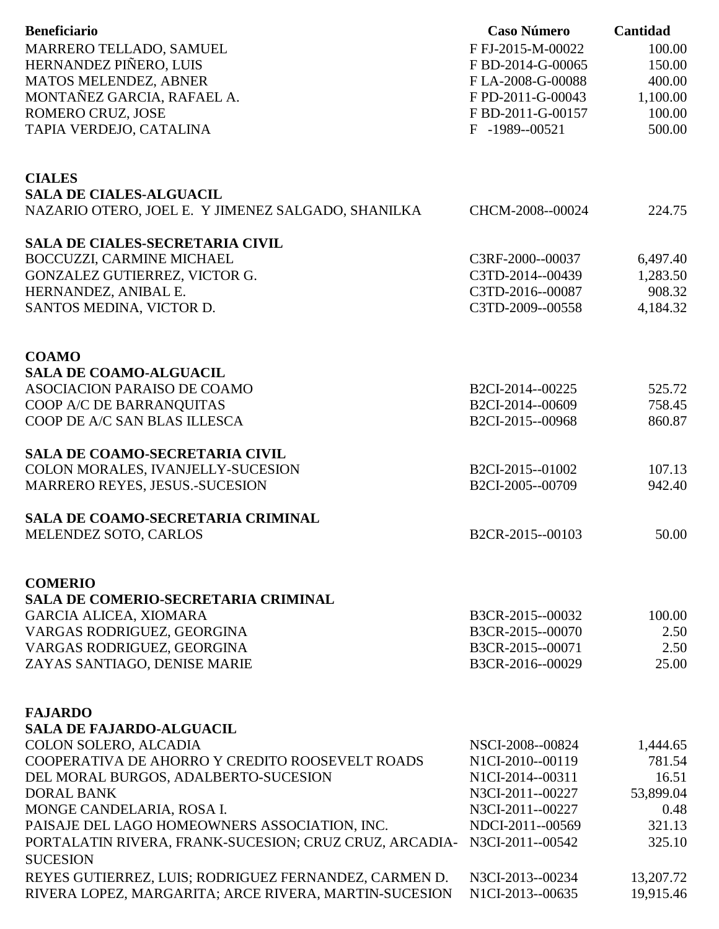| <b>Beneficiario</b>                                                                     | <b>Caso Número</b>                   | Cantidad        |
|-----------------------------------------------------------------------------------------|--------------------------------------|-----------------|
| MARRERO TELLADO, SAMUEL                                                                 | F FJ-2015-M-00022                    | 100.00          |
| HERNANDEZ PIÑERO, LUIS                                                                  | FBD-2014-G-00065                     | 150.00          |
| MATOS MELENDEZ, ABNER                                                                   | FLA-2008-G-00088                     | 400.00          |
| MONTAÑEZ GARCIA, RAFAEL A.                                                              | F PD-2011-G-00043                    | 1,100.00        |
| ROMERO CRUZ, JOSE                                                                       | F BD-2011-G-00157                    | 100.00          |
| TAPIA VERDEJO, CATALINA                                                                 | F -1989--00521                       | 500.00          |
|                                                                                         |                                      |                 |
| <b>CIALES</b>                                                                           |                                      |                 |
| <b>SALA DE CIALES-ALGUACIL</b>                                                          |                                      |                 |
| NAZARIO OTERO, JOEL E. Y JIMENEZ SALGADO, SHANILKA                                      | CHCM-2008--00024                     | 224.75          |
| <b>SALA DE CIALES-SECRETARIA CIVIL</b>                                                  |                                      |                 |
| BOCCUZZI, CARMINE MICHAEL                                                               | C3RF-2000--00037                     | 6,497.40        |
| GONZALEZ GUTIERREZ, VICTOR G.                                                           | C3TD-2014--00439                     | 1,283.50        |
| HERNANDEZ, ANIBAL E.                                                                    | C3TD-2016--00087                     | 908.32          |
| SANTOS MEDINA, VICTOR D.                                                                | C3TD-2009--00558                     | 4,184.32        |
|                                                                                         |                                      |                 |
| <b>COAMO</b>                                                                            |                                      |                 |
| <b>SALA DE COAMO-ALGUACIL</b>                                                           |                                      |                 |
| ASOCIACION PARAISO DE COAMO                                                             | B2CI-2014--00225                     | 525.72          |
| COOP A/C DE BARRANQUITAS                                                                | B2CI-2014--00609                     | 758.45          |
| COOP DE A/C SAN BLAS ILLESCA                                                            | B2CI-2015--00968                     | 860.87          |
| <b>SALA DE COAMO-SECRETARIA CIVIL</b>                                                   |                                      |                 |
| COLON MORALES, IVANJELLY-SUCESION                                                       | B2CI-2015--01002                     | 107.13          |
| <b>MARRERO REYES, JESUS.-SUCESION</b>                                                   | B2CI-2005--00709                     | 942.40          |
| <b>SALA DE COAMO-SECRETARIA CRIMINAL</b>                                                |                                      |                 |
| MELENDEZ SOTO, CARLOS                                                                   | B2CR-2015--00103                     | 50.00           |
|                                                                                         |                                      |                 |
| <b>COMERIO</b>                                                                          |                                      |                 |
| <b>SALA DE COMERIO-SECRETARIA CRIMINAL</b>                                              |                                      |                 |
| <b>GARCIA ALICEA, XIOMARA</b>                                                           | B3CR-2015--00032                     | 100.00          |
| VARGAS RODRIGUEZ, GEORGINA                                                              | B3CR-2015--00070                     | 2.50            |
| VARGAS RODRIGUEZ, GEORGINA                                                              | B3CR-2015--00071                     | 2.50            |
| ZAYAS SANTIAGO, DENISE MARIE                                                            | B3CR-2016--00029                     | 25.00           |
|                                                                                         |                                      |                 |
| <b>FAJARDO</b>                                                                          |                                      |                 |
| <b>SALA DE FAJARDO-ALGUACIL</b>                                                         |                                      |                 |
| COLON SOLERO, ALCADIA                                                                   | NSCI-2008--00824                     | 1,444.65        |
| COOPERATIVA DE AHORRO Y CREDITO ROOSEVELT ROADS<br>DEL MORAL BURGOS, ADALBERTO-SUCESION | N1CI-2010--00119<br>N1CI-2014--00311 | 781.54<br>16.51 |
| <b>DORAL BANK</b>                                                                       | N3CI-2011--00227                     | 53,899.04       |
| MONGE CANDELARIA, ROSA I.                                                               | N3CI-2011--00227                     | 0.48            |
| PAISAJE DEL LAGO HOMEOWNERS ASSOCIATION, INC.                                           | NDCI-2011--00569                     | 321.13          |
| PORTALATIN RIVERA, FRANK-SUCESION; CRUZ CRUZ, ARCADIA-                                  | N3CI-2011--00542                     | 325.10          |
| <b>SUCESION</b>                                                                         |                                      |                 |
| REYES GUTIERREZ, LUIS; RODRIGUEZ FERNANDEZ, CARMEN D.                                   | N3CI-2013--00234                     | 13,207.72       |
| RIVERA LOPEZ, MARGARITA; ARCE RIVERA, MARTIN-SUCESION                                   | N1CI-2013--00635                     | 19,915.46       |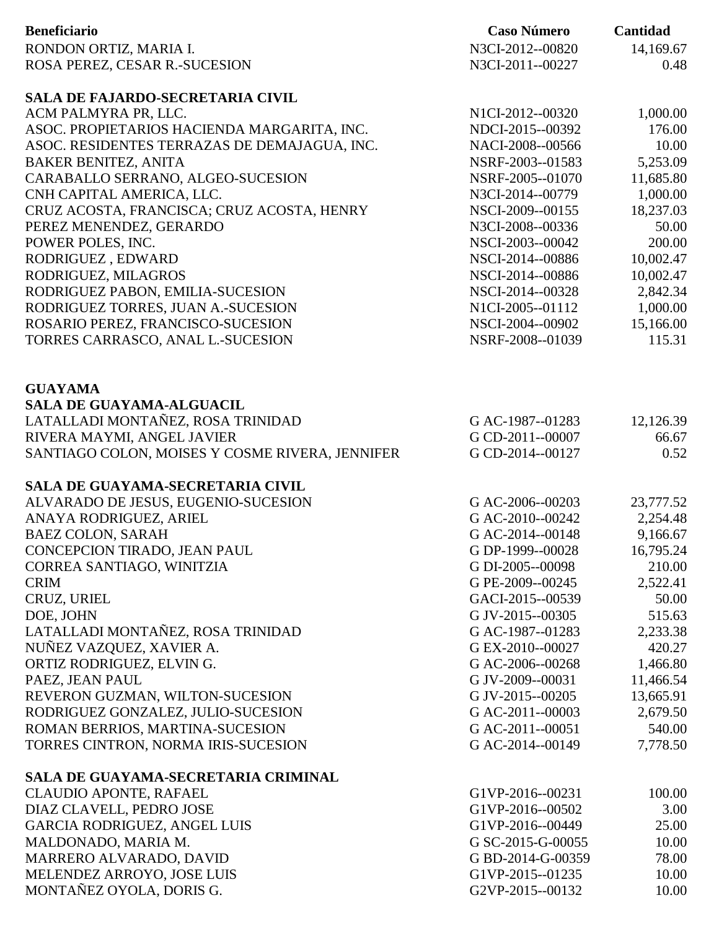| <b>Beneficiario</b>                                                           | <b>Caso Número</b>                   | Cantidad      |
|-------------------------------------------------------------------------------|--------------------------------------|---------------|
| RONDON ORTIZ, MARIA I.                                                        | N3CI-2012--00820                     | 14,169.67     |
| ROSA PEREZ, CESAR R.-SUCESION                                                 | N3CI-2011--00227                     | 0.48          |
|                                                                               |                                      |               |
| <b>SALA DE FAJARDO-SECRETARIA CIVIL</b>                                       |                                      |               |
| ACM PALMYRA PR, LLC.                                                          | N1CI-2012--00320                     | 1,000.00      |
| ASOC. PROPIETARIOS HACIENDA MARGARITA, INC.                                   | NDCI-2015--00392                     | 176.00        |
| ASOC. RESIDENTES TERRAZAS DE DEMAJAGUA, INC.                                  | NACI-2008--00566                     | 10.00         |
| <b>BAKER BENITEZ, ANITA</b>                                                   | NSRF-2003--01583                     | 5,253.09      |
| CARABALLO SERRANO, ALGEO-SUCESION                                             | NSRF-2005--01070                     | 11,685.80     |
| CNH CAPITAL AMERICA, LLC.                                                     | N3CI-2014--00779                     | 1,000.00      |
| CRUZ ACOSTA, FRANCISCA; CRUZ ACOSTA, HENRY                                    | NSCI-2009--00155                     | 18,237.03     |
| PEREZ MENENDEZ, GERARDO                                                       | N3CI-2008--00336                     | 50.00         |
| POWER POLES, INC.                                                             | NSCI-2003--00042                     | 200.00        |
| RODRIGUEZ, EDWARD                                                             | NSCI-2014--00886                     | 10,002.47     |
| RODRIGUEZ, MILAGROS                                                           | NSCI-2014--00886                     | 10,002.47     |
| RODRIGUEZ PABON, EMILIA-SUCESION                                              | NSCI-2014--00328                     | 2,842.34      |
| RODRIGUEZ TORRES, JUAN A.-SUCESION                                            | N1CI-2005--01112                     | 1,000.00      |
| ROSARIO PEREZ, FRANCISCO-SUCESION                                             | NSCI-2004--00902                     | 15,166.00     |
| TORRES CARRASCO, ANAL L.-SUCESION                                             | NSRF-2008--01039                     | 115.31        |
|                                                                               |                                      |               |
|                                                                               |                                      |               |
| <b>GUAYAMA</b>                                                                |                                      |               |
| <b>SALA DE GUAYAMA-ALGUACIL</b>                                               |                                      |               |
| LATALLADI MONTAÑEZ, ROSA TRINIDAD                                             | G AC-1987--01283                     | 12,126.39     |
| RIVERA MAYMI, ANGEL JAVIER<br>SANTIAGO COLON, MOISES Y COSME RIVERA, JENNIFER | G CD-2011--00007<br>G CD-2014--00127 | 66.67<br>0.52 |
|                                                                               |                                      |               |
| SALA DE GUAYAMA-SECRETARIA CIVIL                                              |                                      |               |
| ALVARADO DE JESUS, EUGENIO-SUCESION                                           | G AC-2006--00203                     | 23,777.52     |
| ANAYA RODRIGUEZ, ARIEL                                                        | G AC-2010--00242                     | 2,254.48      |
| <b>BAEZ COLON, SARAH</b>                                                      | G AC-2014--00148                     | 9,166.67      |
| CONCEPCION TIRADO, JEAN PAUL                                                  | G DP-1999--00028                     | 16,795.24     |
| CORREA SANTIAGO, WINITZIA                                                     | G DI-2005--00098                     | 210.00        |
| <b>CRIM</b>                                                                   | G PE-2009--00245                     | 2,522.41      |
| CRUZ, URIEL                                                                   | GACI-2015--00539                     | 50.00         |
| DOE, JOHN                                                                     | G JV-2015--00305                     | 515.63        |
| LATALLADI MONTAÑEZ, ROSA TRINIDAD                                             | G AC-1987--01283                     | 2,233.38      |
| NUÑEZ VAZQUEZ, XAVIER A.                                                      | G EX-2010--00027                     | 420.27        |
| ORTIZ RODRIGUEZ, ELVIN G.                                                     | G AC-2006--00268                     | 1,466.80      |
| PAEZ, JEAN PAUL                                                               | G JV-2009--00031                     | 11,466.54     |
| REVERON GUZMAN, WILTON-SUCESION                                               | G JV-2015--00205                     | 13,665.91     |
| RODRIGUEZ GONZALEZ, JULIO-SUCESION                                            | G AC-2011--00003                     | 2,679.50      |
| ROMAN BERRIOS, MARTINA-SUCESION                                               | G AC-2011--00051                     | 540.00        |
| TORRES CINTRON, NORMA IRIS-SUCESION                                           | G AC-2014--00149                     | 7,778.50      |
|                                                                               |                                      |               |
| SALA DE GUAYAMA-SECRETARIA CRIMINAL                                           |                                      |               |
| <b>CLAUDIO APONTE, RAFAEL</b>                                                 | G1VP-2016--00231                     | 100.00        |
| DIAZ CLAVELL, PEDRO JOSE                                                      | G1VP-2016--00502                     | 3.00          |
| <b>GARCIA RODRIGUEZ, ANGEL LUIS</b>                                           | G1VP-2016--00449                     | 25.00         |
| MALDONADO, MARIA M.                                                           | G SC-2015-G-00055                    | 10.00         |
| MARRERO ALVARADO, DAVID                                                       | G BD-2014-G-00359                    | 78.00         |
| MELENDEZ ARROYO, JOSE LUIS                                                    | G1VP-2015--01235                     | 10.00         |
| MONTAÑEZ OYOLA, DORIS G.                                                      | G2VP-2015--00132                     | 10.00         |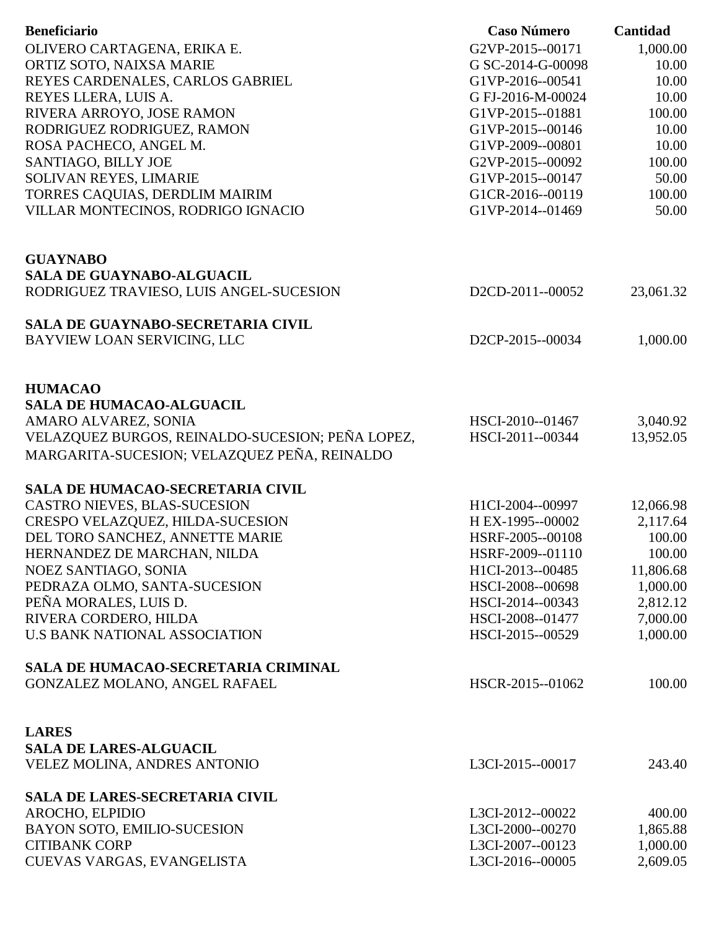| <b>Beneficiario</b>                              | <b>Caso Número</b> | Cantidad  |
|--------------------------------------------------|--------------------|-----------|
| OLIVERO CARTAGENA, ERIKA E.                      | G2VP-2015--00171   | 1,000.00  |
|                                                  | G SC-2014-G-00098  | 10.00     |
| ORTIZ SOTO, NAIXSA MARIE                         |                    |           |
| REYES CARDENALES, CARLOS GABRIEL                 | G1VP-2016--00541   | 10.00     |
| REYES LLERA, LUIS A.                             | G FJ-2016-M-00024  | 10.00     |
| RIVERA ARROYO, JOSE RAMON                        | G1VP-2015--01881   | 100.00    |
| RODRIGUEZ RODRIGUEZ, RAMON                       | G1VP-2015--00146   | 10.00     |
| ROSA PACHECO, ANGEL M.                           | G1VP-2009--00801   | 10.00     |
| SANTIAGO, BILLY JOE                              | G2VP-2015--00092   | 100.00    |
| SOLIVAN REYES, LIMARIE                           | G1VP-2015--00147   | 50.00     |
| TORRES CAQUIAS, DERDLIM MAIRIM                   | G1CR-2016--00119   | 100.00    |
| VILLAR MONTECINOS, RODRIGO IGNACIO               | G1VP-2014--01469   | 50.00     |
| <b>GUAYNABO</b>                                  |                    |           |
| <b>SALA DE GUAYNABO-ALGUACIL</b>                 |                    |           |
| RODRIGUEZ TRAVIESO, LUIS ANGEL-SUCESION          | D2CD-2011--00052   | 23,061.32 |
|                                                  |                    |           |
| <b>SALA DE GUAYNABO-SECRETARIA CIVIL</b>         |                    |           |
| BAYVIEW LOAN SERVICING, LLC                      | D2CP-2015--00034   | 1,000.00  |
| <b>HUMACAO</b>                                   |                    |           |
| <b>SALA DE HUMACAO-ALGUACIL</b>                  |                    |           |
|                                                  |                    |           |
| AMARO ALVAREZ, SONIA                             | HSCI-2010--01467   | 3,040.92  |
| VELAZQUEZ BURGOS, REINALDO-SUCESION; PEÑA LOPEZ, | HSCI-2011--00344   | 13,952.05 |
| MARGARITA-SUCESION; VELAZQUEZ PEÑA, REINALDO     |                    |           |
| <b>SALA DE HUMACAO-SECRETARIA CIVIL</b>          |                    |           |
| CASTRO NIEVES, BLAS-SUCESION                     | H1CI-2004--00997   | 12,066.98 |
| CRESPO VELAZQUEZ, HILDA-SUCESION                 | H EX-1995--00002   | 2,117.64  |
| DEL TORO SANCHEZ, ANNETTE MARIE                  | HSRF-2005--00108   | 100.00    |
| HERNANDEZ DE MARCHAN, NILDA                      | HSRF-2009--01110   | 100.00    |
| NOEZ SANTIAGO, SONIA                             | H1CI-2013--00485   | 11,806.68 |
| PEDRAZA OLMO, SANTA-SUCESION                     | HSCI-2008--00698   | 1,000.00  |
| PEÑA MORALES, LUIS D.                            | HSCI-2014--00343   | 2,812.12  |
| RIVERA CORDERO, HILDA                            | HSCI-2008--01477   | 7,000.00  |
| <b>U.S BANK NATIONAL ASSOCIATION</b>             | HSCI-2015--00529   | 1,000.00  |
| SALA DE HUMACAO-SECRETARIA CRIMINAL              |                    |           |
| GONZALEZ MOLANO, ANGEL RAFAEL                    | HSCR-2015--01062   | 100.00    |
|                                                  |                    |           |
| <b>LARES</b>                                     |                    |           |
| <b>SALA DE LARES-ALGUACIL</b>                    |                    |           |
| VELEZ MOLINA, ANDRES ANTONIO                     | L3CI-2015--00017   | 243.40    |
| <b>SALA DE LARES-SECRETARIA CIVIL</b>            |                    |           |
| AROCHO, ELPIDIO                                  | L3CI-2012--00022   | 400.00    |
| BAYON SOTO, EMILIO-SUCESION                      | L3CI-2000--00270   | 1,865.88  |
| <b>CITIBANK CORP</b>                             | L3CI-2007--00123   | 1,000.00  |
| CUEVAS VARGAS, EVANGELISTA                       | L3CI-2016--00005   | 2,609.05  |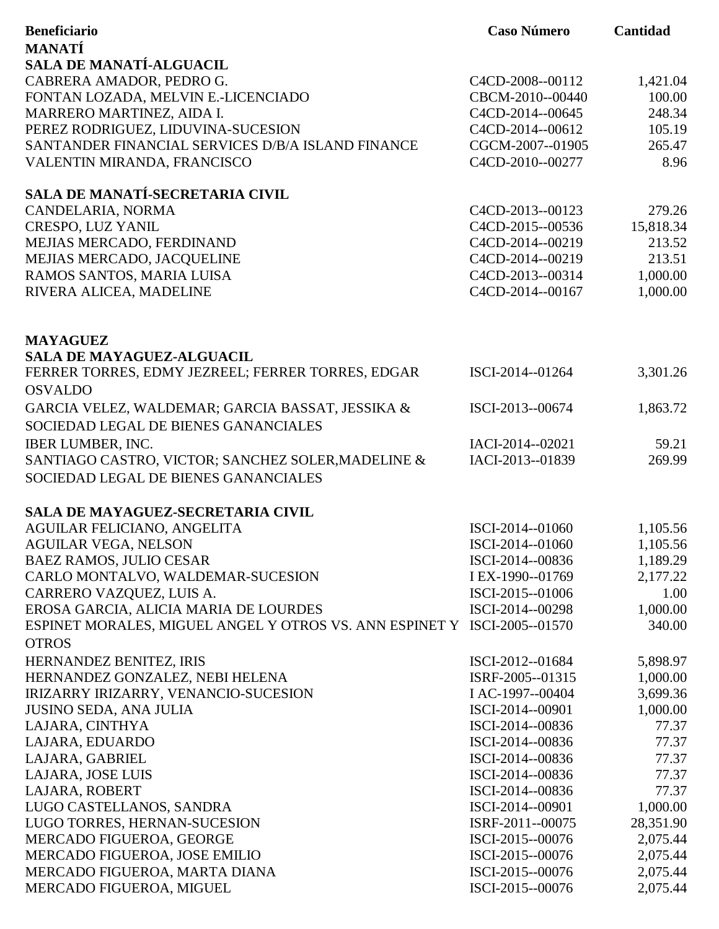| <b>Beneficiario</b>                                                                      | <b>Caso Número</b>                   | Cantidad             |
|------------------------------------------------------------------------------------------|--------------------------------------|----------------------|
| <b>MANATÍ</b>                                                                            |                                      |                      |
| <b>SALA DE MANATÍ-ALGUACIL</b>                                                           |                                      |                      |
| CABRERA AMADOR, PEDRO G.                                                                 | C4CD-2008--00112                     | 1,421.04             |
| FONTAN LOZADA, MELVIN E.-LICENCIADO                                                      | CBCM-2010--00440                     | 100.00               |
| MARRERO MARTINEZ, AIDA I.                                                                | C4CD-2014--00645                     | 248.34               |
| PEREZ RODRIGUEZ, LIDUVINA-SUCESION                                                       | C4CD-2014--00612                     | 105.19               |
| SANTANDER FINANCIAL SERVICES D/B/A ISLAND FINANCE                                        | CGCM-2007--01905                     | 265.47               |
| VALENTIN MIRANDA, FRANCISCO                                                              | C4CD-2010--00277                     | 8.96                 |
| SALA DE MANATÍ-SECRETARIA CIVIL                                                          |                                      |                      |
| CANDELARIA, NORMA                                                                        | C4CD-2013--00123                     | 279.26               |
| CRESPO, LUZ YANIL                                                                        | C4CD-2015--00536                     | 15,818.34            |
| MEJIAS MERCADO, FERDINAND                                                                | C4CD-2014--00219                     | 213.52               |
| MEJIAS MERCADO, JACQUELINE                                                               | C4CD-2014--00219                     | 213.51               |
| RAMOS SANTOS, MARIA LUISA                                                                | C4CD-2013--00314                     | 1,000.00             |
| RIVERA ALICEA, MADELINE                                                                  | C4CD-2014--00167                     | 1,000.00             |
|                                                                                          |                                      |                      |
| <b>MAYAGUEZ</b><br><b>SALA DE MAYAGUEZ-ALGUACIL</b>                                      |                                      |                      |
| FERRER TORRES, EDMY JEZREEL; FERRER TORRES, EDGAR                                        | ISCI-2014--01264                     | 3,301.26             |
| <b>OSVALDO</b>                                                                           |                                      |                      |
| GARCIA VELEZ, WALDEMAR; GARCIA BASSAT, JESSIKA &                                         | ISCI-2013--00674                     | 1,863.72             |
| SOCIEDAD LEGAL DE BIENES GANANCIALES                                                     |                                      |                      |
|                                                                                          |                                      |                      |
| <b>IBER LUMBER, INC.</b>                                                                 | IACI-2014--02021                     | 59.21                |
| SANTIAGO CASTRO, VICTOR; SANCHEZ SOLER, MADELINE &                                       | IACI-2013--01839                     | 269.99               |
| SOCIEDAD LEGAL DE BIENES GANANCIALES                                                     |                                      |                      |
| SALA DE MAYAGUEZ-SECRETARIA CIVIL                                                        |                                      |                      |
| AGUILAR FELICIANO, ANGELITA                                                              | ISCI-2014--01060                     | 1,105.56             |
| <b>AGUILAR VEGA, NELSON</b>                                                              | ISCI-2014--01060                     | 1,105.56             |
| <b>BAEZ RAMOS, JULIO CESAR</b>                                                           | ISCI-2014--00836                     | 1,189.29             |
| CARLO MONTALVO, WALDEMAR-SUCESION                                                        | I EX-1990--01769                     | 2,177.22             |
| CARRERO VAZQUEZ, LUIS A.                                                                 | ISCI-2015--01006                     | 1.00                 |
| EROSA GARCIA, ALICIA MARIA DE LOURDES                                                    | ISCI-2014--00298                     | 1,000.00             |
| ESPINET MORALES, MIGUEL ANGEL Y OTROS VS. ANN ESPINET Y ISCI-2005--01570<br><b>OTROS</b> |                                      | 340.00               |
| HERNANDEZ BENITEZ, IRIS                                                                  |                                      |                      |
|                                                                                          | ISCI-2012--01684<br>ISRF-2005--01315 | 5,898.97             |
| HERNANDEZ GONZALEZ, NEBI HELENA<br>IRIZARRY IRIZARRY, VENANCIO-SUCESION                  | I AC-1997--00404                     | 1,000.00<br>3,699.36 |
| <b>JUSINO SEDA, ANA JULIA</b>                                                            | ISCI-2014--00901                     | 1,000.00             |
| LAJARA, CINTHYA                                                                          | ISCI-2014--00836                     | 77.37                |
| LAJARA, EDUARDO                                                                          | ISCI-2014--00836                     | 77.37                |
| LAJARA, GABRIEL                                                                          | ISCI-2014--00836                     | 77.37                |
| LAJARA, JOSE LUIS                                                                        | ISCI-2014--00836                     | 77.37                |
| LAJARA, ROBERT                                                                           | ISCI-2014--00836                     | 77.37                |
| LUGO CASTELLANOS, SANDRA                                                                 | ISCI-2014--00901                     | 1,000.00             |
| LUGO TORRES, HERNAN-SUCESION                                                             | ISRF-2011--00075                     | 28,351.90            |
| MERCADO FIGUEROA, GEORGE                                                                 | ISCI-2015--00076                     | 2,075.44             |
| MERCADO FIGUEROA, JOSE EMILIO                                                            | ISCI-2015--00076                     | 2,075.44             |
| MERCADO FIGUEROA, MARTA DIANA                                                            | ISCI-2015--00076                     | 2,075.44             |
| MERCADO FIGUEROA, MIGUEL                                                                 | ISCI-2015--00076                     | 2,075.44             |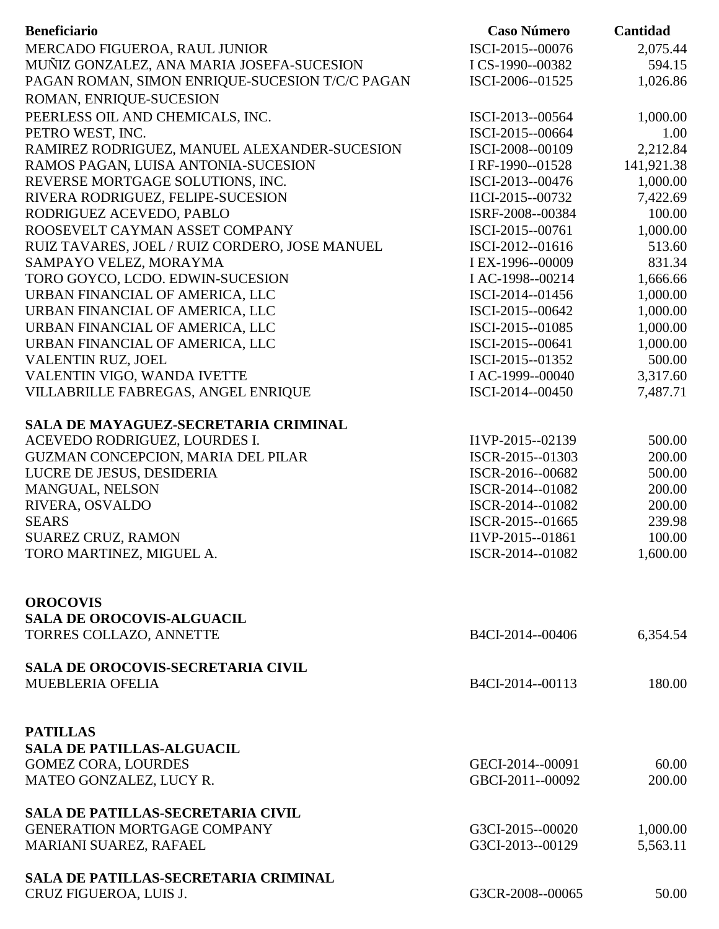| <b>Beneficiario</b>                             | <b>Caso Número</b>                   | Cantidad   |
|-------------------------------------------------|--------------------------------------|------------|
| MERCADO FIGUEROA, RAUL JUNIOR                   | ISCI-2015--00076                     | 2,075.44   |
| MUÑIZ GONZALEZ, ANA MARIA JOSEFA-SUCESION       | I CS-1990--00382                     | 594.15     |
| PAGAN ROMAN, SIMON ENRIQUE-SUCESION T/C/C PAGAN | ISCI-2006--01525                     | 1,026.86   |
| ROMAN, ENRIQUE-SUCESION                         |                                      |            |
| PEERLESS OIL AND CHEMICALS, INC.                | ISCI-2013--00564                     | 1,000.00   |
| PETRO WEST, INC.                                | ISCI-2015--00664                     | 1.00       |
| RAMIREZ RODRIGUEZ, MANUEL ALEXANDER-SUCESION    | ISCI-2008--00109                     | 2,212.84   |
| RAMOS PAGAN, LUISA ANTONIA-SUCESION             | I RF-1990--01528                     | 141,921.38 |
| REVERSE MORTGAGE SOLUTIONS, INC.                | ISCI-2013--00476                     | 1,000.00   |
| RIVERA RODRIGUEZ, FELIPE-SUCESION               | I1CI-2015--00732                     | 7,422.69   |
| RODRIGUEZ ACEVEDO, PABLO                        | ISRF-2008--00384                     | 100.00     |
| ROOSEVELT CAYMAN ASSET COMPANY                  | ISCI-2015--00761                     | 1,000.00   |
| RUIZ TAVARES, JOEL / RUIZ CORDERO, JOSE MANUEL  | ISCI-2012--01616                     | 513.60     |
| SAMPAYO VELEZ, MORAYMA                          | I EX-1996--00009                     | 831.34     |
| TORO GOYCO, LCDO. EDWIN-SUCESION                | I AC-1998--00214                     | 1,666.66   |
| URBAN FINANCIAL OF AMERICA, LLC                 | ISCI-2014--01456                     | 1,000.00   |
| URBAN FINANCIAL OF AMERICA, LLC                 | ISCI-2015--00642                     | 1,000.00   |
| URBAN FINANCIAL OF AMERICA, LLC                 | ISCI-2015--01085                     | 1,000.00   |
| URBAN FINANCIAL OF AMERICA, LLC                 | ISCI-2015--00641                     | 1,000.00   |
| VALENTIN RUZ, JOEL                              | ISCI-2015--01352                     | 500.00     |
| VALENTIN VIGO, WANDA IVETTE                     | I AC-1999--00040                     | 3,317.60   |
| VILLABRILLE FABREGAS, ANGEL ENRIQUE             | ISCI-2014--00450                     | 7,487.71   |
|                                                 |                                      |            |
| SALA DE MAYAGUEZ-SECRETARIA CRIMINAL            |                                      |            |
| ACEVEDO RODRIGUEZ, LOURDES I.                   | I1VP-2015--02139                     | 500.00     |
| GUZMAN CONCEPCION, MARIA DEL PILAR              | ISCR-2015--01303                     | 200.00     |
| LUCRE DE JESUS, DESIDERIA                       | ISCR-2016--00682                     | 500.00     |
| MANGUAL, NELSON                                 | ISCR-2014--01082                     | 200.00     |
| RIVERA, OSVALDO                                 | ISCR-2014--01082                     | 200.00     |
| <b>SEARS</b>                                    | ISCR-2015--01665                     | 239.98     |
| <b>SUAREZ CRUZ, RAMON</b>                       | I1VP-2015--01861                     | 100.00     |
| TORO MARTINEZ, MIGUEL A.                        | ISCR-2014--01082                     | 1,600.00   |
|                                                 |                                      |            |
|                                                 |                                      |            |
| <b>OROCOVIS</b>                                 |                                      |            |
| <b>SALA DE OROCOVIS-ALGUACIL</b>                | B4CI-2014--00406                     |            |
| TORRES COLLAZO, ANNETTE                         |                                      | 6,354.54   |
| SALA DE OROCOVIS-SECRETARIA CIVIL               |                                      |            |
| <b>MUEBLERIA OFELIA</b>                         | B4CI-2014--00113                     | 180.00     |
|                                                 |                                      |            |
|                                                 |                                      |            |
| <b>PATILLAS</b>                                 |                                      |            |
| <b>SALA DE PATILLAS-ALGUACIL</b>                |                                      |            |
| <b>GOMEZ CORA, LOURDES</b>                      | GECI-2014--00091                     | 60.00      |
| MATEO GONZALEZ, LUCY R.                         | GBCI-2011--00092                     | 200.00     |
|                                                 |                                      |            |
| <b>SALA DE PATILLAS-SECRETARIA CIVIL</b>        |                                      |            |
| <b>GENERATION MORTGAGE COMPANY</b>              | G3CI-2015--00020<br>G3CI-2013--00129 | 1,000.00   |
| <b>MARIANI SUAREZ, RAFAEL</b>                   |                                      | 5,563.11   |
| <b>SALA DE PATILLAS-SECRETARIA CRIMINAL</b>     |                                      |            |
| CRUZ FIGUEROA, LUIS J.                          | G3CR-2008--00065                     | 50.00      |
|                                                 |                                      |            |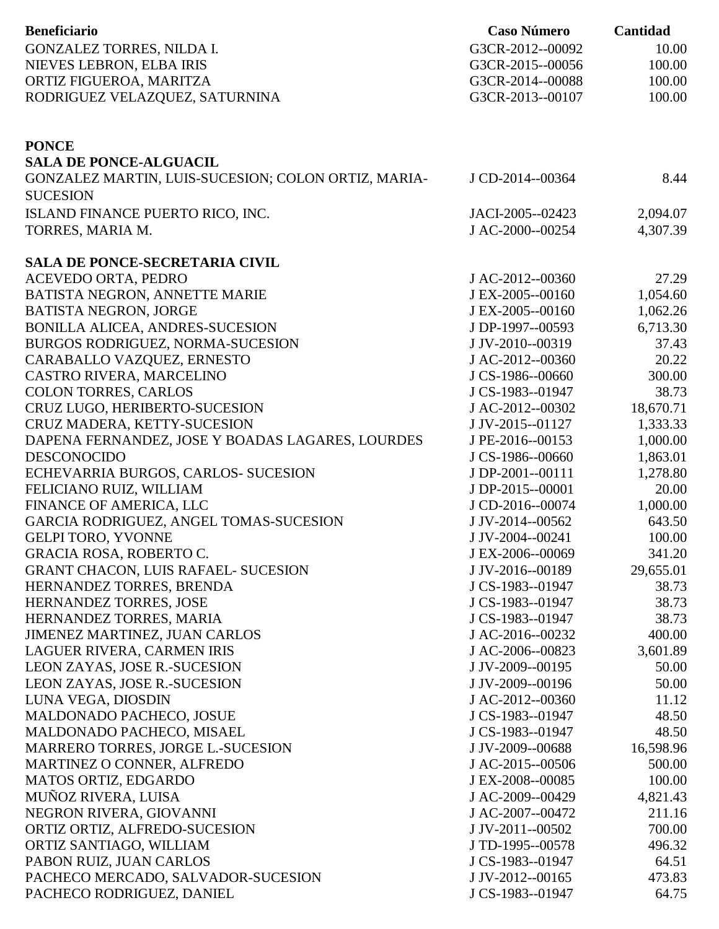| <b>Beneficiario</b>                                      | <b>Caso Número</b>                   | Cantidad         |
|----------------------------------------------------------|--------------------------------------|------------------|
| GONZALEZ TORRES, NILDA I.                                | G3CR-2012--00092                     | 10.00            |
| NIEVES LEBRON, ELBA IRIS                                 | G3CR-2015--00056                     | 100.00           |
| ORTIZ FIGUEROA, MARITZA                                  | G3CR-2014--00088                     | 100.00           |
| RODRIGUEZ VELAZQUEZ, SATURNINA                           | G3CR-2013--00107                     | 100.00           |
|                                                          |                                      |                  |
| <b>PONCE</b>                                             |                                      |                  |
| <b>SALA DE PONCE-ALGUACIL</b>                            |                                      |                  |
| GONZALEZ MARTIN, LUIS-SUCESION; COLON ORTIZ, MARIA-      | J CD-2014--00364                     | 8.44             |
| <b>SUCESION</b>                                          |                                      |                  |
| ISLAND FINANCE PUERTO RICO, INC.                         | JACI-2005--02423                     | 2,094.07         |
| TORRES, MARIA M.                                         | J AC-2000--00254                     | 4,307.39         |
|                                                          |                                      |                  |
| <b>SALA DE PONCE-SECRETARIA CIVIL</b>                    |                                      |                  |
| ACEVEDO ORTA, PEDRO                                      | J AC-2012--00360                     | 27.29            |
| BATISTA NEGRON, ANNETTE MARIE                            | J EX-2005--00160                     | 1,054.60         |
| <b>BATISTA NEGRON, JORGE</b>                             | J EX-2005--00160                     | 1,062.26         |
| BONILLA ALICEA, ANDRES-SUCESION                          | J DP-1997--00593                     | 6,713.30         |
| BURGOS RODRIGUEZ, NORMA-SUCESION                         | J JV-2010--00319                     | 37.43            |
| CARABALLO VAZQUEZ, ERNESTO                               | J AC-2012--00360                     | 20.22            |
| CASTRO RIVERA, MARCELINO                                 | J CS-1986--00660                     | 300.00           |
| <b>COLON TORRES, CARLOS</b>                              | J CS-1983--01947                     | 38.73            |
| CRUZ LUGO, HERIBERTO-SUCESION                            | J AC-2012--00302                     | 18,670.71        |
| CRUZ MADERA, KETTY-SUCESION                              | J JV-2015--01127                     | 1,333.33         |
| DAPENA FERNANDEZ, JOSE Y BOADAS LAGARES, LOURDES         | J PE-2016--00153                     | 1,000.00         |
| <b>DESCONOCIDO</b>                                       | J CS-1986--00660                     | 1,863.01         |
| ECHEVARRIA BURGOS, CARLOS- SUCESION                      | J DP-2001--00111                     | 1,278.80         |
| FELICIANO RUIZ, WILLIAM                                  | J DP-2015--00001                     | 20.00            |
| FINANCE OF AMERICA, LLC                                  | J CD-2016--00074                     | 1,000.00         |
| GARCIA RODRIGUEZ, ANGEL TOMAS-SUCESION                   | J JV-2014--00562                     | 643.50           |
| <b>GELPI TORO, YVONNE</b>                                | J JV-2004--00241                     | 100.00           |
| GRACIA ROSA, ROBERTO C.                                  | J EX-2006--00069                     | 341.20           |
| <b>GRANT CHACON, LUIS RAFAEL- SUCESION</b>               | J JV-2016--00189                     | 29,655.01        |
| HERNANDEZ TORRES, BRENDA                                 | J CS-1983--01947                     | 38.73            |
| HERNANDEZ TORRES, JOSE                                   | J CS-1983--01947                     | 38.73            |
| HERNANDEZ TORRES, MARIA                                  | J CS-1983--01947                     | 38.73            |
| JIMENEZ MARTINEZ, JUAN CARLOS                            | J AC-2016--00232                     | 400.00           |
| LAGUER RIVERA, CARMEN IRIS                               | J AC-2006--00823                     | 3,601.89         |
| LEON ZAYAS, JOSE R.-SUCESION                             | J JV-2009--00195                     | 50.00            |
| LEON ZAYAS, JOSE R.-SUCESION                             | J JV-2009--00196                     | 50.00            |
| LUNA VEGA, DIOSDIN                                       | J AC-2012--00360                     | 11.12            |
| MALDONADO PACHECO, JOSUE                                 | J CS-1983--01947                     | 48.50            |
| MALDONADO PACHECO, MISAEL                                | J CS-1983--01947                     | 48.50            |
| MARRERO TORRES, JORGE L.-SUCESION                        | J JV-2009--00688                     | 16,598.96        |
| MARTINEZ O CONNER, ALFREDO                               | J AC-2015--00506                     | 500.00           |
| MATOS ORTIZ, EDGARDO                                     | J EX-2008--00085                     | 100.00           |
| MUÑOZ RIVERA, LUISA                                      | J AC-2009--00429                     | 4,821.43         |
| NEGRON RIVERA, GIOVANNI<br>ORTIZ ORTIZ, ALFREDO-SUCESION | J AC-2007--00472<br>J JV-2011--00502 | 211.16<br>700.00 |
| ORTIZ SANTIAGO, WILLIAM                                  | J TD-1995--00578                     | 496.32           |
| PABON RUIZ, JUAN CARLOS                                  | J CS-1983--01947                     | 64.51            |
| PACHECO MERCADO, SALVADOR-SUCESION                       | J JV-2012--00165                     | 473.83           |
| PACHECO RODRIGUEZ, DANIEL                                | J CS-1983--01947                     | 64.75            |
|                                                          |                                      |                  |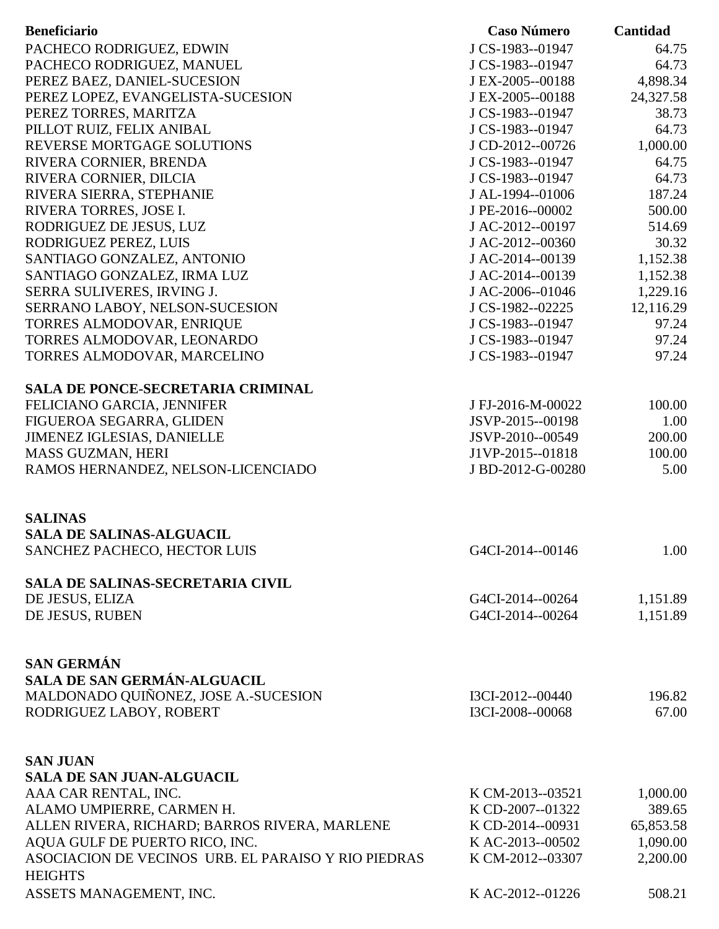| <b>Beneficiario</b>                                 | <b>Caso Número</b> | Cantidad  |
|-----------------------------------------------------|--------------------|-----------|
| PACHECO RODRIGUEZ, EDWIN                            | J CS-1983--01947   | 64.75     |
| PACHECO RODRIGUEZ, MANUEL                           | J CS-1983--01947   | 64.73     |
| PEREZ BAEZ, DANIEL-SUCESION                         | J EX-2005--00188   | 4,898.34  |
| PEREZ LOPEZ, EVANGELISTA-SUCESION                   | J EX-2005--00188   | 24,327.58 |
| PEREZ TORRES, MARITZA                               | J CS-1983--01947   | 38.73     |
| PILLOT RUIZ, FELIX ANIBAL                           | J CS-1983--01947   | 64.73     |
| REVERSE MORTGAGE SOLUTIONS                          | J CD-2012--00726   | 1,000.00  |
| RIVERA CORNIER, BRENDA                              | J CS-1983--01947   | 64.75     |
| RIVERA CORNIER, DILCIA                              | J CS-1983--01947   | 64.73     |
| RIVERA SIERRA, STEPHANIE                            | J AL-1994--01006   | 187.24    |
| RIVERA TORRES, JOSE I.                              | J PE-2016--00002   | 500.00    |
| RODRIGUEZ DE JESUS, LUZ                             | J AC-2012--00197   | 514.69    |
| RODRIGUEZ PEREZ, LUIS                               | J AC-2012--00360   | 30.32     |
| SANTIAGO GONZALEZ, ANTONIO                          | J AC-2014--00139   | 1,152.38  |
| SANTIAGO GONZALEZ, IRMA LUZ                         | J AC-2014--00139   | 1,152.38  |
| SERRA SULIVERES, IRVING J.                          | J AC-2006--01046   | 1,229.16  |
| SERRANO LABOY, NELSON-SUCESION                      | J CS-1982--02225   | 12,116.29 |
| TORRES ALMODOVAR, ENRIQUE                           | J CS-1983--01947   | 97.24     |
| TORRES ALMODOVAR, LEONARDO                          | J CS-1983--01947   | 97.24     |
| TORRES ALMODOVAR, MARCELINO                         | J CS-1983--01947   | 97.24     |
| <b>SALA DE PONCE-SECRETARIA CRIMINAL</b>            |                    |           |
| FELICIANO GARCIA, JENNIFER                          | J FJ-2016-M-00022  | 100.00    |
| FIGUEROA SEGARRA, GLIDEN                            | JSVP-2015--00198   | 1.00      |
| <b>JIMENEZ IGLESIAS, DANIELLE</b>                   | JSVP-2010--00549   | 200.00    |
| MASS GUZMAN, HERI                                   | J1VP-2015--01818   | 100.00    |
| RAMOS HERNANDEZ, NELSON-LICENCIADO                  | J BD-2012-G-00280  | 5.00      |
|                                                     |                    |           |
|                                                     |                    |           |
| <b>SALINAS</b>                                      |                    |           |
| <b>SALA DE SALINAS-ALGUACIL</b>                     |                    |           |
| SANCHEZ PACHECO, HECTOR LUIS                        | G4CI-2014--00146   | 1.00      |
| <b>SALA DE SALINAS-SECRETARIA CIVIL</b>             |                    |           |
| DE JESUS, ELIZA                                     | G4CI-2014--00264   | 1,151.89  |
| DE JESUS, RUBEN                                     | G4CI-2014--00264   | 1,151.89  |
|                                                     |                    |           |
|                                                     |                    |           |
| <b>SAN GERMÁN</b>                                   |                    |           |
| SALA DE SAN GERMÁN-ALGUACIL                         |                    |           |
| MALDONADO QUIÑONEZ, JOSE A.-SUCESION                | I3CI-2012--00440   | 196.82    |
| RODRIGUEZ LABOY, ROBERT                             | I3CI-2008--00068   | 67.00     |
|                                                     |                    |           |
| <b>SAN JUAN</b>                                     |                    |           |
| <b>SALA DE SAN JUAN-ALGUACIL</b>                    |                    |           |
| AAA CAR RENTAL, INC.                                | K CM-2013--03521   | 1,000.00  |
| ALAMO UMPIERRE, CARMEN H.                           | K CD-2007--01322   | 389.65    |
| ALLEN RIVERA, RICHARD; BARROS RIVERA, MARLENE       | K CD-2014--00931   | 65,853.58 |
| AQUA GULF DE PUERTO RICO, INC.                      | K AC-2013--00502   | 1,090.00  |
| ASOCIACION DE VECINOS URB. EL PARAISO Y RIO PIEDRAS | K CM-2012--03307   | 2,200.00  |
| <b>HEIGHTS</b>                                      |                    |           |
| ASSETS MANAGEMENT, INC.                             | K AC-2012--01226   | 508.21    |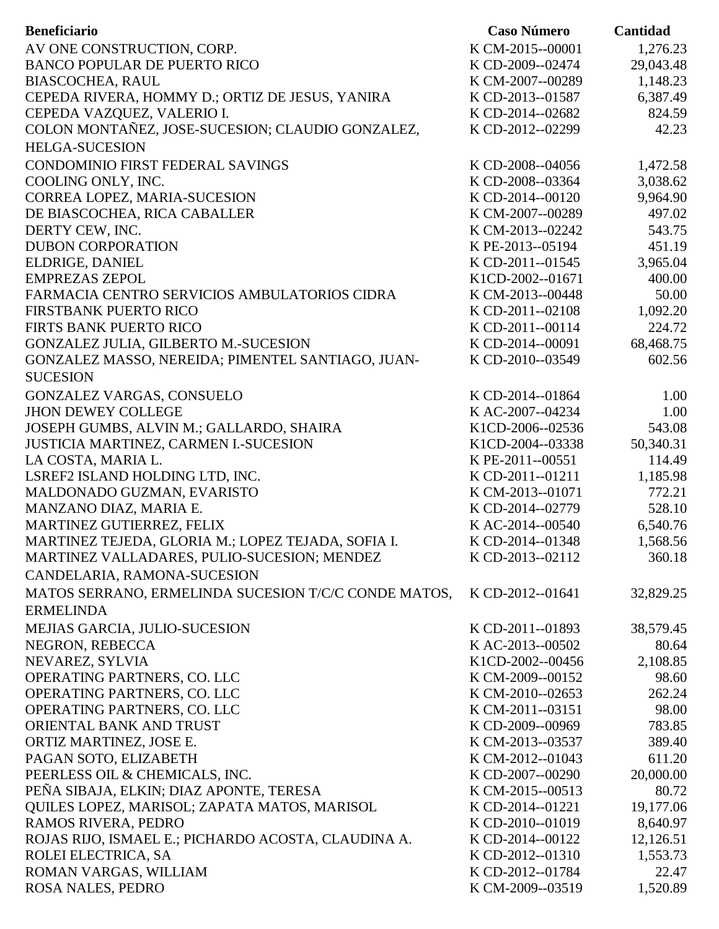| <b>Beneficiario</b>                                  | <b>Caso Número</b> | Cantidad  |
|------------------------------------------------------|--------------------|-----------|
| AV ONE CONSTRUCTION, CORP.                           | K CM-2015--00001   | 1,276.23  |
| <b>BANCO POPULAR DE PUERTO RICO</b>                  | K CD-2009--02474   | 29,043.48 |
| <b>BIASCOCHEA, RAUL</b>                              | K CM-2007--00289   | 1,148.23  |
| CEPEDA RIVERA, HOMMY D.; ORTIZ DE JESUS, YANIRA      | K CD-2013--01587   | 6,387.49  |
| CEPEDA VAZQUEZ, VALERIO I.                           | K CD-2014--02682   | 824.59    |
| COLON MONTAÑEZ, JOSE-SUCESION; CLAUDIO GONZALEZ,     | K CD-2012--02299   | 42.23     |
| <b>HELGA-SUCESION</b>                                |                    |           |
| CONDOMINIO FIRST FEDERAL SAVINGS                     | K CD-2008--04056   | 1,472.58  |
| COOLING ONLY, INC.                                   | K CD-2008--03364   | 3,038.62  |
| CORREA LOPEZ, MARIA-SUCESION                         | K CD-2014--00120   | 9,964.90  |
| DE BIASCOCHEA, RICA CABALLER                         | K CM-2007--00289   | 497.02    |
| DERTY CEW, INC.                                      | K CM-2013--02242   | 543.75    |
| <b>DUBON CORPORATION</b>                             | K PE-2013--05194   | 451.19    |
| ELDRIGE, DANIEL                                      | K CD-2011--01545   | 3,965.04  |
| <b>EMPREZAS ZEPOL</b>                                | K1CD-2002--01671   | 400.00    |
| FARMACIA CENTRO SERVICIOS AMBULATORIOS CIDRA         | K CM-2013--00448   | 50.00     |
| FIRSTBANK PUERTO RICO                                | K CD-2011--02108   | 1,092.20  |
| FIRTS BANK PUERTO RICO                               | K CD-2011--00114   | 224.72    |
| GONZALEZ JULIA, GILBERTO M.-SUCESION                 | K CD-2014--00091   | 68,468.75 |
| GONZALEZ MASSO, NEREIDA; PIMENTEL SANTIAGO, JUAN-    | K CD-2010--03549   | 602.56    |
| <b>SUCESION</b>                                      |                    |           |
| GONZALEZ VARGAS, CONSUELO                            | K CD-2014--01864   | 1.00      |
| <b>JHON DEWEY COLLEGE</b>                            | K AC-2007--04234   | 1.00      |
| JOSEPH GUMBS, ALVIN M.; GALLARDO, SHAIRA             | K1CD-2006--02536   | 543.08    |
| JUSTICIA MARTINEZ, CARMEN I.-SUCESION                | K1CD-2004--03338   | 50,340.31 |
| LA COSTA, MARIA L.                                   | K PE-2011--00551   | 114.49    |
| LSREF2 ISLAND HOLDING LTD, INC.                      | K CD-2011--01211   | 1,185.98  |
| MALDONADO GUZMAN, EVARISTO                           | K CM-2013--01071   | 772.21    |
| MANZANO DIAZ, MARIA E.                               | K CD-2014--02779   | 528.10    |
| MARTINEZ GUTIERREZ, FELIX                            | K AC-2014--00540   | 6,540.76  |
| MARTINEZ TEJEDA, GLORIA M.; LOPEZ TEJADA, SOFIA I.   | K CD-2014--01348   | 1,568.56  |
| MARTINEZ VALLADARES, PULIO-SUCESION; MENDEZ          | K CD-2013--02112   | 360.18    |
| CANDELARIA, RAMONA-SUCESION                          |                    |           |
| MATOS SERRANO, ERMELINDA SUCESION T/C/C CONDE MATOS, | K CD-2012--01641   | 32,829.25 |
| <b>ERMELINDA</b>                                     |                    |           |
| MEJIAS GARCIA, JULIO-SUCESION                        | K CD-2011--01893   | 38,579.45 |
| NEGRON, REBECCA                                      | K AC-2013--00502   | 80.64     |
| NEVAREZ, SYLVIA                                      | K1CD-2002--00456   | 2,108.85  |
| OPERATING PARTNERS, CO. LLC                          | K CM-2009--00152   | 98.60     |
| OPERATING PARTNERS, CO. LLC                          | K CM-2010--02653   | 262.24    |
| OPERATING PARTNERS, CO. LLC                          | K CM-2011--03151   | 98.00     |
| ORIENTAL BANK AND TRUST                              | K CD-2009--00969   | 783.85    |
| ORTIZ MARTINEZ, JOSE E.                              | K CM-2013--03537   | 389.40    |
| PAGAN SOTO, ELIZABETH                                | K CM-2012--01043   | 611.20    |
| PEERLESS OIL & CHEMICALS, INC.                       | K CD-2007--00290   | 20,000.00 |
| PEÑA SIBAJA, ELKIN; DIAZ APONTE, TERESA              | K CM-2015--00513   | 80.72     |
| QUILES LOPEZ, MARISOL; ZAPATA MATOS, MARISOL         | K CD-2014--01221   | 19,177.06 |
| RAMOS RIVERA, PEDRO                                  | K CD-2010--01019   | 8,640.97  |
| ROJAS RIJO, ISMAEL E.; PICHARDO ACOSTA, CLAUDINA A.  | K CD-2014--00122   | 12,126.51 |
| ROLEI ELECTRICA, SA                                  | K CD-2012--01310   | 1,553.73  |
| ROMAN VARGAS, WILLIAM                                | K CD-2012--01784   | 22.47     |
| ROSA NALES, PEDRO                                    | K CM-2009--03519   | 1,520.89  |
|                                                      |                    |           |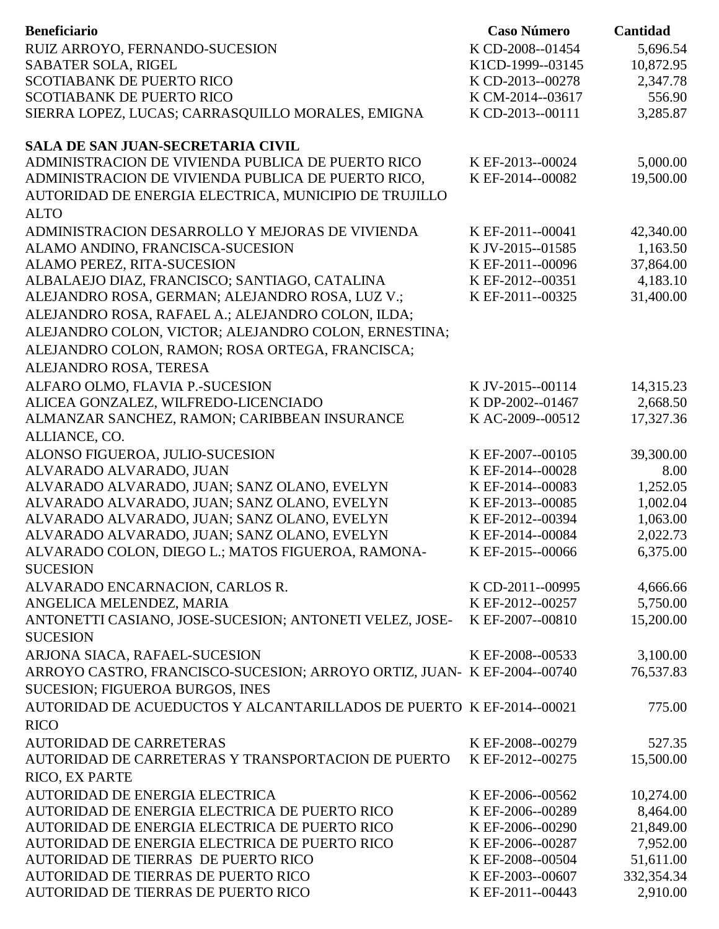| <b>Beneficiario</b>                                                                 | <b>Caso Número</b>                   | Cantidad              |
|-------------------------------------------------------------------------------------|--------------------------------------|-----------------------|
| RUIZ ARROYO, FERNANDO-SUCESION                                                      | K CD-2008--01454                     | 5,696.54              |
| SABATER SOLA, RIGEL                                                                 | K1CD-1999--03145                     | 10,872.95             |
| <b>SCOTIABANK DE PUERTO RICO</b>                                                    | K CD-2013--00278                     | 2,347.78              |
| <b>SCOTIABANK DE PUERTO RICO</b>                                                    | K CM-2014--03617                     | 556.90                |
| SIERRA LOPEZ, LUCAS; CARRASQUILLO MORALES, EMIGNA                                   | K CD-2013--00111                     | 3,285.87              |
| <b>SALA DE SAN JUAN-SECRETARIA CIVIL</b>                                            |                                      |                       |
| ADMINISTRACION DE VIVIENDA PUBLICA DE PUERTO RICO                                   | K EF-2013--00024                     | 5,000.00              |
| ADMINISTRACION DE VIVIENDA PUBLICA DE PUERTO RICO,                                  | K EF-2014--00082                     | 19,500.00             |
| AUTORIDAD DE ENERGIA ELECTRICA, MUNICIPIO DE TRUJILLO                               |                                      |                       |
| <b>ALTO</b>                                                                         |                                      |                       |
| ADMINISTRACION DESARROLLO Y MEJORAS DE VIVIENDA                                     | K EF-2011--00041                     | 42,340.00             |
| ALAMO ANDINO, FRANCISCA-SUCESION                                                    | K JV-2015--01585                     | 1,163.50              |
| ALAMO PEREZ, RITA-SUCESION                                                          | K EF-2011--00096                     | 37,864.00             |
| ALBALAEJO DIAZ, FRANCISCO; SANTIAGO, CATALINA                                       | K EF-2012--00351                     | 4,183.10              |
| ALEJANDRO ROSA, GERMAN; ALEJANDRO ROSA, LUZ V.;                                     | K EF-2011--00325                     | 31,400.00             |
| ALEJANDRO ROSA, RAFAEL A.; ALEJANDRO COLON, ILDA;                                   |                                      |                       |
| ALEJANDRO COLON, VICTOR; ALEJANDRO COLON, ERNESTINA;                                |                                      |                       |
| ALEJANDRO COLON, RAMON; ROSA ORTEGA, FRANCISCA;                                     |                                      |                       |
| ALEJANDRO ROSA, TERESA                                                              |                                      |                       |
| ALFARO OLMO, FLAVIA P.-SUCESION                                                     | K JV-2015--00114                     | 14,315.23             |
| ALICEA GONZALEZ, WILFREDO-LICENCIADO                                                | K DP-2002--01467                     | 2,668.50              |
| ALMANZAR SANCHEZ, RAMON; CARIBBEAN INSURANCE                                        | KAC-2009--00512                      | 17,327.36             |
| ALLIANCE, CO.                                                                       |                                      |                       |
| ALONSO FIGUEROA, JULIO-SUCESION                                                     | K EF-2007--00105                     | 39,300.00             |
| ALVARADO ALVARADO, JUAN                                                             | K EF-2014--00028                     | 8.00                  |
| ALVARADO ALVARADO, JUAN; SANZ OLANO, EVELYN                                         | K EF-2014--00083                     | 1,252.05              |
| ALVARADO ALVARADO, JUAN; SANZ OLANO, EVELYN                                         | K EF-2013--00085                     | 1,002.04              |
| ALVARADO ALVARADO, JUAN; SANZ OLANO, EVELYN                                         | K EF-2012--00394                     | 1,063.00              |
| ALVARADO ALVARADO, JUAN; SANZ OLANO, EVELYN                                         | K EF-2014--00084                     | 2,022.73              |
| ALVARADO COLON, DIEGO L.; MATOS FIGUEROA, RAMONA-                                   | K EF-2015--00066                     | 6,375.00              |
| <b>SUCESION</b>                                                                     |                                      |                       |
| ALVARADO ENCARNACION, CARLOS R.                                                     | K CD-2011--00995                     | 4,666.66              |
| ANGELICA MELENDEZ, MARIA<br>ANTONETTI CASIANO, JOSE-SUCESION; ANTONETI VELEZ, JOSE- | K EF-2012--00257<br>K EF-2007--00810 | 5,750.00<br>15,200.00 |
| <b>SUCESION</b>                                                                     |                                      |                       |
| ARJONA SIACA, RAFAEL-SUCESION                                                       | K EF-2008--00533                     | 3,100.00              |
| ARROYO CASTRO, FRANCISCO-SUCESION; ARROYO ORTIZ, JUAN- K EF-2004--00740             |                                      | 76,537.83             |
| SUCESION; FIGUEROA BURGOS, INES                                                     |                                      |                       |
| AUTORIDAD DE ACUEDUCTOS Y ALCANTARILLADOS DE PUERTO K EF-2014--00021                |                                      | 775.00                |
| <b>RICO</b>                                                                         |                                      |                       |
| <b>AUTORIDAD DE CARRETERAS</b>                                                      | K EF-2008--00279                     | 527.35                |
| AUTORIDAD DE CARRETERAS Y TRANSPORTACION DE PUERTO                                  | K EF-2012--00275                     | 15,500.00             |
| RICO, EX PARTE                                                                      |                                      |                       |
| AUTORIDAD DE ENERGIA ELECTRICA                                                      | K EF-2006--00562                     | 10,274.00             |
| AUTORIDAD DE ENERGIA ELECTRICA DE PUERTO RICO                                       | K EF-2006--00289                     | 8,464.00              |
| AUTORIDAD DE ENERGIA ELECTRICA DE PUERTO RICO                                       | K EF-2006--00290                     | 21,849.00             |
| AUTORIDAD DE ENERGIA ELECTRICA DE PUERTO RICO                                       | K EF-2006--00287                     | 7,952.00              |
| AUTORIDAD DE TIERRAS DE PUERTO RICO                                                 | K EF-2008--00504                     | 51,611.00             |
| AUTORIDAD DE TIERRAS DE PUERTO RICO                                                 | K EF-2003--00607                     | 332,354.34            |
| AUTORIDAD DE TIERRAS DE PUERTO RICO                                                 | K EF-2011--00443                     | 2,910.00              |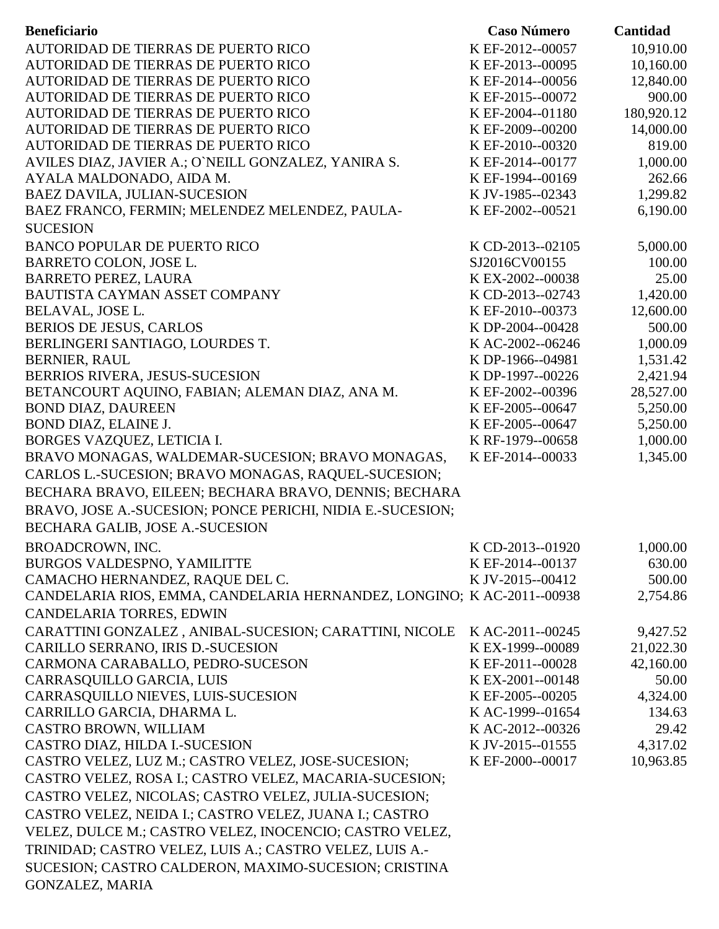| AUTORIDAD DE TIERRAS DE PUERTO RICO<br>K EF-2012--00057<br>10,910.00<br>10,160.00<br>AUTORIDAD DE TIERRAS DE PUERTO RICO<br>K EF-2013--00095<br>12,840.00<br>AUTORIDAD DE TIERRAS DE PUERTO RICO<br>K EF-2014--00056<br>AUTORIDAD DE TIERRAS DE PUERTO RICO<br>K EF-2015--00072<br>900.00<br>180,920.12<br>AUTORIDAD DE TIERRAS DE PUERTO RICO<br>K EF-2004--01180<br>14,000.00<br>AUTORIDAD DE TIERRAS DE PUERTO RICO<br>K EF-2009--00200<br>819.00<br>AUTORIDAD DE TIERRAS DE PUERTO RICO<br>K EF-2010--00320<br>1,000.00<br>AVILES DIAZ, JAVIER A.; O'NEILL GONZALEZ, YANIRA S.<br>K EF-2014--00177<br>AYALA MALDONADO, AIDA M.<br>K EF-1994--00169<br>262.66<br>1,299.82<br><b>BAEZ DAVILA, JULIAN-SUCESION</b><br>K JV-1985--02343<br>BAEZ FRANCO, FERMIN; MELENDEZ MELENDEZ, PAULA-<br>K EF-2002--00521<br>6,190.00<br><b>SUCESION</b><br><b>BANCO POPULAR DE PUERTO RICO</b><br>5,000.00<br>K CD-2013--02105<br>BARRETO COLON, JOSE L.<br>SJ2016CV00155<br>100.00<br><b>BARRETO PEREZ, LAURA</b><br>K EX-2002--00038<br>25.00<br>1,420.00<br>BAUTISTA CAYMAN ASSET COMPANY<br>K CD-2013--02743<br>BELAVAL, JOSE L.<br>12,600.00<br>K EF-2010--00373<br><b>BERIOS DE JESUS, CARLOS</b><br>K DP-2004--00428<br>500.00<br>BERLINGERI SANTIAGO, LOURDES T.<br>1,000.09<br>K AC-2002--06246<br><b>BERNIER, RAUL</b><br>K DP-1966--04981<br>1,531.42<br>2,421.94<br>BERRIOS RIVERA, JESUS-SUCESION<br>K DP-1997--00226<br>28,527.00<br>BETANCOURT AQUINO, FABIAN; ALEMAN DIAZ, ANA M.<br>K EF-2002--00396<br>5,250.00<br><b>BOND DIAZ, DAUREEN</b><br>K EF-2005--00647<br>BOND DIAZ, ELAINE J.<br>K EF-2005--00647<br>5,250.00<br>1,000.00<br>BORGES VAZQUEZ, LETICIA I.<br>K RF-1979--00658<br>1,345.00<br>K EF-2014--00033<br>BRAVO MONAGAS, WALDEMAR-SUCESION; BRAVO MONAGAS,<br>CARLOS L.-SUCESION; BRAVO MONAGAS, RAQUEL-SUCESION;<br>BECHARA BRAVO, EILEEN; BECHARA BRAVO, DENNIS; BECHARA<br>BRAVO, JOSE A.-SUCESION; PONCE PERICHI, NIDIA E.-SUCESION;<br>BECHARA GALIB, JOSE A.-SUCESION<br><b>BROADCROWN, INC.</b><br>K CD-2013--01920<br>1,000.00<br>BURGOS VALDESPNO, YAMILITTE<br>630.00<br>K EF-2014--00137<br>CAMACHO HERNANDEZ, RAQUE DEL C.<br>K JV-2015--00412<br>500.00<br>CANDELARIA RIOS, EMMA, CANDELARIA HERNANDEZ, LONGINO; K AC-2011--00938<br>2,754.86<br>CANDELARIA TORRES, EDWIN<br>CARATTINI GONZALEZ, ANIBAL-SUCESION; CARATTINI, NICOLE<br>K AC-2011--00245<br>9,427.52<br>CARILLO SERRANO, IRIS D.-SUCESION<br>21,022.30<br>K EX-1999--00089<br>CARMONA CARABALLO, PEDRO-SUCESON<br>K EF-2011--00028<br>42,160.00<br>CARRASQUILLO GARCIA, LUIS<br>K EX-2001--00148<br>50.00<br>CARRASQUILLO NIEVES, LUIS-SUCESION<br>K EF-2005--00205<br>4,324.00<br>134.63<br>CARRILLO GARCIA, DHARMA L.<br>K AC-1999--01654<br>CASTRO BROWN, WILLIAM<br>K AC-2012--00326<br>29.42<br>4,317.02<br>CASTRO DIAZ, HILDA I.-SUCESION<br>K JV-2015--01555<br>10,963.85<br>CASTRO VELEZ, LUZ M.; CASTRO VELEZ, JOSE-SUCESION;<br>K EF-2000--00017<br>CASTRO VELEZ, ROSA I.; CASTRO VELEZ, MACARIA-SUCESION;<br>CASTRO VELEZ, NICOLAS; CASTRO VELEZ, JULIA-SUCESION; |
|---------------------------------------------------------------------------------------------------------------------------------------------------------------------------------------------------------------------------------------------------------------------------------------------------------------------------------------------------------------------------------------------------------------------------------------------------------------------------------------------------------------------------------------------------------------------------------------------------------------------------------------------------------------------------------------------------------------------------------------------------------------------------------------------------------------------------------------------------------------------------------------------------------------------------------------------------------------------------------------------------------------------------------------------------------------------------------------------------------------------------------------------------------------------------------------------------------------------------------------------------------------------------------------------------------------------------------------------------------------------------------------------------------------------------------------------------------------------------------------------------------------------------------------------------------------------------------------------------------------------------------------------------------------------------------------------------------------------------------------------------------------------------------------------------------------------------------------------------------------------------------------------------------------------------------------------------------------------------------------------------------------------------------------------------------------------------------------------------------------------------------------------------------------------------------------------------------------------------------------------------------------------------------------------------------------------------------------------------------------------------------------------------------------------------------------------------------------------------------------------------------------------------------------------------------------------------------------------------------------------------------------------------------------------------------------------------------------------------------------------------------------------------------------------------------------------------------------------------------------------------------------------------------------------------------------------------------------------------------------------------------------------------------------------------------------------------------|
|                                                                                                                                                                                                                                                                                                                                                                                                                                                                                                                                                                                                                                                                                                                                                                                                                                                                                                                                                                                                                                                                                                                                                                                                                                                                                                                                                                                                                                                                                                                                                                                                                                                                                                                                                                                                                                                                                                                                                                                                                                                                                                                                                                                                                                                                                                                                                                                                                                                                                                                                                                                                                                                                                                                                                                                                                                                                                                                                                                                                                                                                                 |
|                                                                                                                                                                                                                                                                                                                                                                                                                                                                                                                                                                                                                                                                                                                                                                                                                                                                                                                                                                                                                                                                                                                                                                                                                                                                                                                                                                                                                                                                                                                                                                                                                                                                                                                                                                                                                                                                                                                                                                                                                                                                                                                                                                                                                                                                                                                                                                                                                                                                                                                                                                                                                                                                                                                                                                                                                                                                                                                                                                                                                                                                                 |
|                                                                                                                                                                                                                                                                                                                                                                                                                                                                                                                                                                                                                                                                                                                                                                                                                                                                                                                                                                                                                                                                                                                                                                                                                                                                                                                                                                                                                                                                                                                                                                                                                                                                                                                                                                                                                                                                                                                                                                                                                                                                                                                                                                                                                                                                                                                                                                                                                                                                                                                                                                                                                                                                                                                                                                                                                                                                                                                                                                                                                                                                                 |
|                                                                                                                                                                                                                                                                                                                                                                                                                                                                                                                                                                                                                                                                                                                                                                                                                                                                                                                                                                                                                                                                                                                                                                                                                                                                                                                                                                                                                                                                                                                                                                                                                                                                                                                                                                                                                                                                                                                                                                                                                                                                                                                                                                                                                                                                                                                                                                                                                                                                                                                                                                                                                                                                                                                                                                                                                                                                                                                                                                                                                                                                                 |
|                                                                                                                                                                                                                                                                                                                                                                                                                                                                                                                                                                                                                                                                                                                                                                                                                                                                                                                                                                                                                                                                                                                                                                                                                                                                                                                                                                                                                                                                                                                                                                                                                                                                                                                                                                                                                                                                                                                                                                                                                                                                                                                                                                                                                                                                                                                                                                                                                                                                                                                                                                                                                                                                                                                                                                                                                                                                                                                                                                                                                                                                                 |
|                                                                                                                                                                                                                                                                                                                                                                                                                                                                                                                                                                                                                                                                                                                                                                                                                                                                                                                                                                                                                                                                                                                                                                                                                                                                                                                                                                                                                                                                                                                                                                                                                                                                                                                                                                                                                                                                                                                                                                                                                                                                                                                                                                                                                                                                                                                                                                                                                                                                                                                                                                                                                                                                                                                                                                                                                                                                                                                                                                                                                                                                                 |
|                                                                                                                                                                                                                                                                                                                                                                                                                                                                                                                                                                                                                                                                                                                                                                                                                                                                                                                                                                                                                                                                                                                                                                                                                                                                                                                                                                                                                                                                                                                                                                                                                                                                                                                                                                                                                                                                                                                                                                                                                                                                                                                                                                                                                                                                                                                                                                                                                                                                                                                                                                                                                                                                                                                                                                                                                                                                                                                                                                                                                                                                                 |
|                                                                                                                                                                                                                                                                                                                                                                                                                                                                                                                                                                                                                                                                                                                                                                                                                                                                                                                                                                                                                                                                                                                                                                                                                                                                                                                                                                                                                                                                                                                                                                                                                                                                                                                                                                                                                                                                                                                                                                                                                                                                                                                                                                                                                                                                                                                                                                                                                                                                                                                                                                                                                                                                                                                                                                                                                                                                                                                                                                                                                                                                                 |
|                                                                                                                                                                                                                                                                                                                                                                                                                                                                                                                                                                                                                                                                                                                                                                                                                                                                                                                                                                                                                                                                                                                                                                                                                                                                                                                                                                                                                                                                                                                                                                                                                                                                                                                                                                                                                                                                                                                                                                                                                                                                                                                                                                                                                                                                                                                                                                                                                                                                                                                                                                                                                                                                                                                                                                                                                                                                                                                                                                                                                                                                                 |
|                                                                                                                                                                                                                                                                                                                                                                                                                                                                                                                                                                                                                                                                                                                                                                                                                                                                                                                                                                                                                                                                                                                                                                                                                                                                                                                                                                                                                                                                                                                                                                                                                                                                                                                                                                                                                                                                                                                                                                                                                                                                                                                                                                                                                                                                                                                                                                                                                                                                                                                                                                                                                                                                                                                                                                                                                                                                                                                                                                                                                                                                                 |
|                                                                                                                                                                                                                                                                                                                                                                                                                                                                                                                                                                                                                                                                                                                                                                                                                                                                                                                                                                                                                                                                                                                                                                                                                                                                                                                                                                                                                                                                                                                                                                                                                                                                                                                                                                                                                                                                                                                                                                                                                                                                                                                                                                                                                                                                                                                                                                                                                                                                                                                                                                                                                                                                                                                                                                                                                                                                                                                                                                                                                                                                                 |
|                                                                                                                                                                                                                                                                                                                                                                                                                                                                                                                                                                                                                                                                                                                                                                                                                                                                                                                                                                                                                                                                                                                                                                                                                                                                                                                                                                                                                                                                                                                                                                                                                                                                                                                                                                                                                                                                                                                                                                                                                                                                                                                                                                                                                                                                                                                                                                                                                                                                                                                                                                                                                                                                                                                                                                                                                                                                                                                                                                                                                                                                                 |
|                                                                                                                                                                                                                                                                                                                                                                                                                                                                                                                                                                                                                                                                                                                                                                                                                                                                                                                                                                                                                                                                                                                                                                                                                                                                                                                                                                                                                                                                                                                                                                                                                                                                                                                                                                                                                                                                                                                                                                                                                                                                                                                                                                                                                                                                                                                                                                                                                                                                                                                                                                                                                                                                                                                                                                                                                                                                                                                                                                                                                                                                                 |
|                                                                                                                                                                                                                                                                                                                                                                                                                                                                                                                                                                                                                                                                                                                                                                                                                                                                                                                                                                                                                                                                                                                                                                                                                                                                                                                                                                                                                                                                                                                                                                                                                                                                                                                                                                                                                                                                                                                                                                                                                                                                                                                                                                                                                                                                                                                                                                                                                                                                                                                                                                                                                                                                                                                                                                                                                                                                                                                                                                                                                                                                                 |
|                                                                                                                                                                                                                                                                                                                                                                                                                                                                                                                                                                                                                                                                                                                                                                                                                                                                                                                                                                                                                                                                                                                                                                                                                                                                                                                                                                                                                                                                                                                                                                                                                                                                                                                                                                                                                                                                                                                                                                                                                                                                                                                                                                                                                                                                                                                                                                                                                                                                                                                                                                                                                                                                                                                                                                                                                                                                                                                                                                                                                                                                                 |
|                                                                                                                                                                                                                                                                                                                                                                                                                                                                                                                                                                                                                                                                                                                                                                                                                                                                                                                                                                                                                                                                                                                                                                                                                                                                                                                                                                                                                                                                                                                                                                                                                                                                                                                                                                                                                                                                                                                                                                                                                                                                                                                                                                                                                                                                                                                                                                                                                                                                                                                                                                                                                                                                                                                                                                                                                                                                                                                                                                                                                                                                                 |
|                                                                                                                                                                                                                                                                                                                                                                                                                                                                                                                                                                                                                                                                                                                                                                                                                                                                                                                                                                                                                                                                                                                                                                                                                                                                                                                                                                                                                                                                                                                                                                                                                                                                                                                                                                                                                                                                                                                                                                                                                                                                                                                                                                                                                                                                                                                                                                                                                                                                                                                                                                                                                                                                                                                                                                                                                                                                                                                                                                                                                                                                                 |
|                                                                                                                                                                                                                                                                                                                                                                                                                                                                                                                                                                                                                                                                                                                                                                                                                                                                                                                                                                                                                                                                                                                                                                                                                                                                                                                                                                                                                                                                                                                                                                                                                                                                                                                                                                                                                                                                                                                                                                                                                                                                                                                                                                                                                                                                                                                                                                                                                                                                                                                                                                                                                                                                                                                                                                                                                                                                                                                                                                                                                                                                                 |
|                                                                                                                                                                                                                                                                                                                                                                                                                                                                                                                                                                                                                                                                                                                                                                                                                                                                                                                                                                                                                                                                                                                                                                                                                                                                                                                                                                                                                                                                                                                                                                                                                                                                                                                                                                                                                                                                                                                                                                                                                                                                                                                                                                                                                                                                                                                                                                                                                                                                                                                                                                                                                                                                                                                                                                                                                                                                                                                                                                                                                                                                                 |
|                                                                                                                                                                                                                                                                                                                                                                                                                                                                                                                                                                                                                                                                                                                                                                                                                                                                                                                                                                                                                                                                                                                                                                                                                                                                                                                                                                                                                                                                                                                                                                                                                                                                                                                                                                                                                                                                                                                                                                                                                                                                                                                                                                                                                                                                                                                                                                                                                                                                                                                                                                                                                                                                                                                                                                                                                                                                                                                                                                                                                                                                                 |
|                                                                                                                                                                                                                                                                                                                                                                                                                                                                                                                                                                                                                                                                                                                                                                                                                                                                                                                                                                                                                                                                                                                                                                                                                                                                                                                                                                                                                                                                                                                                                                                                                                                                                                                                                                                                                                                                                                                                                                                                                                                                                                                                                                                                                                                                                                                                                                                                                                                                                                                                                                                                                                                                                                                                                                                                                                                                                                                                                                                                                                                                                 |
|                                                                                                                                                                                                                                                                                                                                                                                                                                                                                                                                                                                                                                                                                                                                                                                                                                                                                                                                                                                                                                                                                                                                                                                                                                                                                                                                                                                                                                                                                                                                                                                                                                                                                                                                                                                                                                                                                                                                                                                                                                                                                                                                                                                                                                                                                                                                                                                                                                                                                                                                                                                                                                                                                                                                                                                                                                                                                                                                                                                                                                                                                 |
|                                                                                                                                                                                                                                                                                                                                                                                                                                                                                                                                                                                                                                                                                                                                                                                                                                                                                                                                                                                                                                                                                                                                                                                                                                                                                                                                                                                                                                                                                                                                                                                                                                                                                                                                                                                                                                                                                                                                                                                                                                                                                                                                                                                                                                                                                                                                                                                                                                                                                                                                                                                                                                                                                                                                                                                                                                                                                                                                                                                                                                                                                 |
|                                                                                                                                                                                                                                                                                                                                                                                                                                                                                                                                                                                                                                                                                                                                                                                                                                                                                                                                                                                                                                                                                                                                                                                                                                                                                                                                                                                                                                                                                                                                                                                                                                                                                                                                                                                                                                                                                                                                                                                                                                                                                                                                                                                                                                                                                                                                                                                                                                                                                                                                                                                                                                                                                                                                                                                                                                                                                                                                                                                                                                                                                 |
|                                                                                                                                                                                                                                                                                                                                                                                                                                                                                                                                                                                                                                                                                                                                                                                                                                                                                                                                                                                                                                                                                                                                                                                                                                                                                                                                                                                                                                                                                                                                                                                                                                                                                                                                                                                                                                                                                                                                                                                                                                                                                                                                                                                                                                                                                                                                                                                                                                                                                                                                                                                                                                                                                                                                                                                                                                                                                                                                                                                                                                                                                 |
|                                                                                                                                                                                                                                                                                                                                                                                                                                                                                                                                                                                                                                                                                                                                                                                                                                                                                                                                                                                                                                                                                                                                                                                                                                                                                                                                                                                                                                                                                                                                                                                                                                                                                                                                                                                                                                                                                                                                                                                                                                                                                                                                                                                                                                                                                                                                                                                                                                                                                                                                                                                                                                                                                                                                                                                                                                                                                                                                                                                                                                                                                 |
|                                                                                                                                                                                                                                                                                                                                                                                                                                                                                                                                                                                                                                                                                                                                                                                                                                                                                                                                                                                                                                                                                                                                                                                                                                                                                                                                                                                                                                                                                                                                                                                                                                                                                                                                                                                                                                                                                                                                                                                                                                                                                                                                                                                                                                                                                                                                                                                                                                                                                                                                                                                                                                                                                                                                                                                                                                                                                                                                                                                                                                                                                 |
|                                                                                                                                                                                                                                                                                                                                                                                                                                                                                                                                                                                                                                                                                                                                                                                                                                                                                                                                                                                                                                                                                                                                                                                                                                                                                                                                                                                                                                                                                                                                                                                                                                                                                                                                                                                                                                                                                                                                                                                                                                                                                                                                                                                                                                                                                                                                                                                                                                                                                                                                                                                                                                                                                                                                                                                                                                                                                                                                                                                                                                                                                 |
|                                                                                                                                                                                                                                                                                                                                                                                                                                                                                                                                                                                                                                                                                                                                                                                                                                                                                                                                                                                                                                                                                                                                                                                                                                                                                                                                                                                                                                                                                                                                                                                                                                                                                                                                                                                                                                                                                                                                                                                                                                                                                                                                                                                                                                                                                                                                                                                                                                                                                                                                                                                                                                                                                                                                                                                                                                                                                                                                                                                                                                                                                 |
|                                                                                                                                                                                                                                                                                                                                                                                                                                                                                                                                                                                                                                                                                                                                                                                                                                                                                                                                                                                                                                                                                                                                                                                                                                                                                                                                                                                                                                                                                                                                                                                                                                                                                                                                                                                                                                                                                                                                                                                                                                                                                                                                                                                                                                                                                                                                                                                                                                                                                                                                                                                                                                                                                                                                                                                                                                                                                                                                                                                                                                                                                 |
|                                                                                                                                                                                                                                                                                                                                                                                                                                                                                                                                                                                                                                                                                                                                                                                                                                                                                                                                                                                                                                                                                                                                                                                                                                                                                                                                                                                                                                                                                                                                                                                                                                                                                                                                                                                                                                                                                                                                                                                                                                                                                                                                                                                                                                                                                                                                                                                                                                                                                                                                                                                                                                                                                                                                                                                                                                                                                                                                                                                                                                                                                 |
|                                                                                                                                                                                                                                                                                                                                                                                                                                                                                                                                                                                                                                                                                                                                                                                                                                                                                                                                                                                                                                                                                                                                                                                                                                                                                                                                                                                                                                                                                                                                                                                                                                                                                                                                                                                                                                                                                                                                                                                                                                                                                                                                                                                                                                                                                                                                                                                                                                                                                                                                                                                                                                                                                                                                                                                                                                                                                                                                                                                                                                                                                 |
|                                                                                                                                                                                                                                                                                                                                                                                                                                                                                                                                                                                                                                                                                                                                                                                                                                                                                                                                                                                                                                                                                                                                                                                                                                                                                                                                                                                                                                                                                                                                                                                                                                                                                                                                                                                                                                                                                                                                                                                                                                                                                                                                                                                                                                                                                                                                                                                                                                                                                                                                                                                                                                                                                                                                                                                                                                                                                                                                                                                                                                                                                 |
|                                                                                                                                                                                                                                                                                                                                                                                                                                                                                                                                                                                                                                                                                                                                                                                                                                                                                                                                                                                                                                                                                                                                                                                                                                                                                                                                                                                                                                                                                                                                                                                                                                                                                                                                                                                                                                                                                                                                                                                                                                                                                                                                                                                                                                                                                                                                                                                                                                                                                                                                                                                                                                                                                                                                                                                                                                                                                                                                                                                                                                                                                 |
|                                                                                                                                                                                                                                                                                                                                                                                                                                                                                                                                                                                                                                                                                                                                                                                                                                                                                                                                                                                                                                                                                                                                                                                                                                                                                                                                                                                                                                                                                                                                                                                                                                                                                                                                                                                                                                                                                                                                                                                                                                                                                                                                                                                                                                                                                                                                                                                                                                                                                                                                                                                                                                                                                                                                                                                                                                                                                                                                                                                                                                                                                 |
|                                                                                                                                                                                                                                                                                                                                                                                                                                                                                                                                                                                                                                                                                                                                                                                                                                                                                                                                                                                                                                                                                                                                                                                                                                                                                                                                                                                                                                                                                                                                                                                                                                                                                                                                                                                                                                                                                                                                                                                                                                                                                                                                                                                                                                                                                                                                                                                                                                                                                                                                                                                                                                                                                                                                                                                                                                                                                                                                                                                                                                                                                 |
|                                                                                                                                                                                                                                                                                                                                                                                                                                                                                                                                                                                                                                                                                                                                                                                                                                                                                                                                                                                                                                                                                                                                                                                                                                                                                                                                                                                                                                                                                                                                                                                                                                                                                                                                                                                                                                                                                                                                                                                                                                                                                                                                                                                                                                                                                                                                                                                                                                                                                                                                                                                                                                                                                                                                                                                                                                                                                                                                                                                                                                                                                 |
|                                                                                                                                                                                                                                                                                                                                                                                                                                                                                                                                                                                                                                                                                                                                                                                                                                                                                                                                                                                                                                                                                                                                                                                                                                                                                                                                                                                                                                                                                                                                                                                                                                                                                                                                                                                                                                                                                                                                                                                                                                                                                                                                                                                                                                                                                                                                                                                                                                                                                                                                                                                                                                                                                                                                                                                                                                                                                                                                                                                                                                                                                 |
|                                                                                                                                                                                                                                                                                                                                                                                                                                                                                                                                                                                                                                                                                                                                                                                                                                                                                                                                                                                                                                                                                                                                                                                                                                                                                                                                                                                                                                                                                                                                                                                                                                                                                                                                                                                                                                                                                                                                                                                                                                                                                                                                                                                                                                                                                                                                                                                                                                                                                                                                                                                                                                                                                                                                                                                                                                                                                                                                                                                                                                                                                 |
|                                                                                                                                                                                                                                                                                                                                                                                                                                                                                                                                                                                                                                                                                                                                                                                                                                                                                                                                                                                                                                                                                                                                                                                                                                                                                                                                                                                                                                                                                                                                                                                                                                                                                                                                                                                                                                                                                                                                                                                                                                                                                                                                                                                                                                                                                                                                                                                                                                                                                                                                                                                                                                                                                                                                                                                                                                                                                                                                                                                                                                                                                 |
|                                                                                                                                                                                                                                                                                                                                                                                                                                                                                                                                                                                                                                                                                                                                                                                                                                                                                                                                                                                                                                                                                                                                                                                                                                                                                                                                                                                                                                                                                                                                                                                                                                                                                                                                                                                                                                                                                                                                                                                                                                                                                                                                                                                                                                                                                                                                                                                                                                                                                                                                                                                                                                                                                                                                                                                                                                                                                                                                                                                                                                                                                 |
|                                                                                                                                                                                                                                                                                                                                                                                                                                                                                                                                                                                                                                                                                                                                                                                                                                                                                                                                                                                                                                                                                                                                                                                                                                                                                                                                                                                                                                                                                                                                                                                                                                                                                                                                                                                                                                                                                                                                                                                                                                                                                                                                                                                                                                                                                                                                                                                                                                                                                                                                                                                                                                                                                                                                                                                                                                                                                                                                                                                                                                                                                 |
|                                                                                                                                                                                                                                                                                                                                                                                                                                                                                                                                                                                                                                                                                                                                                                                                                                                                                                                                                                                                                                                                                                                                                                                                                                                                                                                                                                                                                                                                                                                                                                                                                                                                                                                                                                                                                                                                                                                                                                                                                                                                                                                                                                                                                                                                                                                                                                                                                                                                                                                                                                                                                                                                                                                                                                                                                                                                                                                                                                                                                                                                                 |
|                                                                                                                                                                                                                                                                                                                                                                                                                                                                                                                                                                                                                                                                                                                                                                                                                                                                                                                                                                                                                                                                                                                                                                                                                                                                                                                                                                                                                                                                                                                                                                                                                                                                                                                                                                                                                                                                                                                                                                                                                                                                                                                                                                                                                                                                                                                                                                                                                                                                                                                                                                                                                                                                                                                                                                                                                                                                                                                                                                                                                                                                                 |
|                                                                                                                                                                                                                                                                                                                                                                                                                                                                                                                                                                                                                                                                                                                                                                                                                                                                                                                                                                                                                                                                                                                                                                                                                                                                                                                                                                                                                                                                                                                                                                                                                                                                                                                                                                                                                                                                                                                                                                                                                                                                                                                                                                                                                                                                                                                                                                                                                                                                                                                                                                                                                                                                                                                                                                                                                                                                                                                                                                                                                                                                                 |
|                                                                                                                                                                                                                                                                                                                                                                                                                                                                                                                                                                                                                                                                                                                                                                                                                                                                                                                                                                                                                                                                                                                                                                                                                                                                                                                                                                                                                                                                                                                                                                                                                                                                                                                                                                                                                                                                                                                                                                                                                                                                                                                                                                                                                                                                                                                                                                                                                                                                                                                                                                                                                                                                                                                                                                                                                                                                                                                                                                                                                                                                                 |
|                                                                                                                                                                                                                                                                                                                                                                                                                                                                                                                                                                                                                                                                                                                                                                                                                                                                                                                                                                                                                                                                                                                                                                                                                                                                                                                                                                                                                                                                                                                                                                                                                                                                                                                                                                                                                                                                                                                                                                                                                                                                                                                                                                                                                                                                                                                                                                                                                                                                                                                                                                                                                                                                                                                                                                                                                                                                                                                                                                                                                                                                                 |
|                                                                                                                                                                                                                                                                                                                                                                                                                                                                                                                                                                                                                                                                                                                                                                                                                                                                                                                                                                                                                                                                                                                                                                                                                                                                                                                                                                                                                                                                                                                                                                                                                                                                                                                                                                                                                                                                                                                                                                                                                                                                                                                                                                                                                                                                                                                                                                                                                                                                                                                                                                                                                                                                                                                                                                                                                                                                                                                                                                                                                                                                                 |
| CASTRO VELEZ, NEIDA I.; CASTRO VELEZ, JUANA I.; CASTRO                                                                                                                                                                                                                                                                                                                                                                                                                                                                                                                                                                                                                                                                                                                                                                                                                                                                                                                                                                                                                                                                                                                                                                                                                                                                                                                                                                                                                                                                                                                                                                                                                                                                                                                                                                                                                                                                                                                                                                                                                                                                                                                                                                                                                                                                                                                                                                                                                                                                                                                                                                                                                                                                                                                                                                                                                                                                                                                                                                                                                          |
| VELEZ, DULCE M.; CASTRO VELEZ, INOCENCIO; CASTRO VELEZ,                                                                                                                                                                                                                                                                                                                                                                                                                                                                                                                                                                                                                                                                                                                                                                                                                                                                                                                                                                                                                                                                                                                                                                                                                                                                                                                                                                                                                                                                                                                                                                                                                                                                                                                                                                                                                                                                                                                                                                                                                                                                                                                                                                                                                                                                                                                                                                                                                                                                                                                                                                                                                                                                                                                                                                                                                                                                                                                                                                                                                         |
| TRINIDAD; CASTRO VELEZ, LUIS A.; CASTRO VELEZ, LUIS A.-                                                                                                                                                                                                                                                                                                                                                                                                                                                                                                                                                                                                                                                                                                                                                                                                                                                                                                                                                                                                                                                                                                                                                                                                                                                                                                                                                                                                                                                                                                                                                                                                                                                                                                                                                                                                                                                                                                                                                                                                                                                                                                                                                                                                                                                                                                                                                                                                                                                                                                                                                                                                                                                                                                                                                                                                                                                                                                                                                                                                                         |
|                                                                                                                                                                                                                                                                                                                                                                                                                                                                                                                                                                                                                                                                                                                                                                                                                                                                                                                                                                                                                                                                                                                                                                                                                                                                                                                                                                                                                                                                                                                                                                                                                                                                                                                                                                                                                                                                                                                                                                                                                                                                                                                                                                                                                                                                                                                                                                                                                                                                                                                                                                                                                                                                                                                                                                                                                                                                                                                                                                                                                                                                                 |
| SUCESION; CASTRO CALDERON, MAXIMO-SUCESION; CRISTINA                                                                                                                                                                                                                                                                                                                                                                                                                                                                                                                                                                                                                                                                                                                                                                                                                                                                                                                                                                                                                                                                                                                                                                                                                                                                                                                                                                                                                                                                                                                                                                                                                                                                                                                                                                                                                                                                                                                                                                                                                                                                                                                                                                                                                                                                                                                                                                                                                                                                                                                                                                                                                                                                                                                                                                                                                                                                                                                                                                                                                            |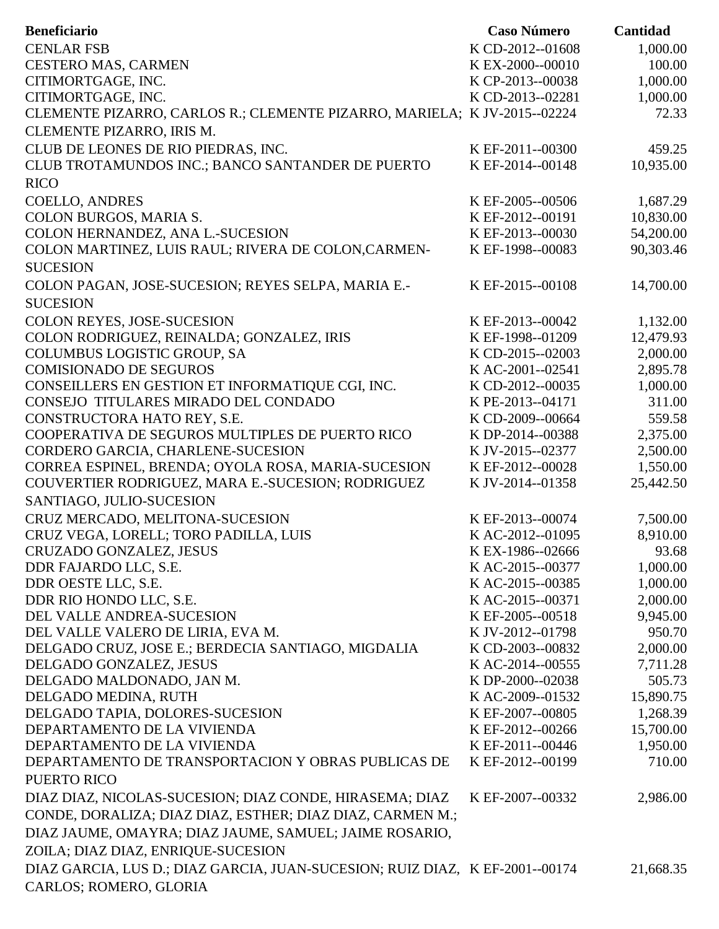| <b>Beneficiario</b>                                                                                    | <b>Caso Número</b> | Cantidad  |
|--------------------------------------------------------------------------------------------------------|--------------------|-----------|
| <b>CENLAR FSB</b>                                                                                      | K CD-2012--01608   | 1,000.00  |
| <b>CESTERO MAS, CARMEN</b>                                                                             | K EX-2000--00010   | 100.00    |
| CITIMORTGAGE, INC.                                                                                     | K CP-2013--00038   | 1,000.00  |
| CITIMORTGAGE, INC.                                                                                     | K CD-2013--02281   | 1,000.00  |
| CLEMENTE PIZARRO, CARLOS R.; CLEMENTE PIZARRO, MARIELA; K JV-2015--02224                               |                    | 72.33     |
| CLEMENTE PIZARRO, IRIS M.                                                                              |                    |           |
| CLUB DE LEONES DE RIO PIEDRAS, INC.                                                                    | K EF-2011--00300   | 459.25    |
| CLUB TROTAMUNDOS INC.; BANCO SANTANDER DE PUERTO                                                       | K EF-2014--00148   | 10,935.00 |
| <b>RICO</b>                                                                                            |                    |           |
| <b>COELLO, ANDRES</b>                                                                                  | K EF-2005--00506   | 1,687.29  |
| COLON BURGOS, MARIA S.                                                                                 | K EF-2012--00191   | 10,830.00 |
| COLON HERNANDEZ, ANA L.-SUCESION                                                                       | K EF-2013--00030   | 54,200.00 |
| COLON MARTINEZ, LUIS RAUL; RIVERA DE COLON, CARMEN-                                                    | K EF-1998--00083   | 90,303.46 |
| <b>SUCESION</b>                                                                                        |                    |           |
|                                                                                                        |                    |           |
| COLON PAGAN, JOSE-SUCESION; REYES SELPA, MARIA E.-                                                     | K EF-2015--00108   | 14,700.00 |
| <b>SUCESION</b>                                                                                        |                    |           |
| COLON REYES, JOSE-SUCESION                                                                             | K EF-2013--00042   | 1,132.00  |
| COLON RODRIGUEZ, REINALDA; GONZALEZ, IRIS                                                              | K EF-1998--01209   | 12,479.93 |
| <b>COLUMBUS LOGISTIC GROUP, SA</b>                                                                     | K CD-2015--02003   | 2,000.00  |
| <b>COMISIONADO DE SEGUROS</b>                                                                          | K AC-2001--02541   | 2,895.78  |
| CONSEILLERS EN GESTION ET INFORMATIQUE CGI, INC.                                                       | K CD-2012--00035   | 1,000.00  |
| CONSEJO TITULARES MIRADO DEL CONDADO                                                                   | K PE-2013--04171   | 311.00    |
| CONSTRUCTORA HATO REY, S.E.                                                                            | K CD-2009--00664   | 559.58    |
| COOPERATIVA DE SEGUROS MULTIPLES DE PUERTO RICO                                                        | K DP-2014--00388   | 2,375.00  |
| CORDERO GARCIA, CHARLENE-SUCESION                                                                      | K JV-2015--02377   | 2,500.00  |
| CORREA ESPINEL, BRENDA; OYOLA ROSA, MARIA-SUCESION                                                     | K EF-2012--00028   | 1,550.00  |
| COUVERTIER RODRIGUEZ, MARA E.-SUCESION; RODRIGUEZ                                                      | K JV-2014--01358   | 25,442.50 |
| SANTIAGO, JULIO-SUCESION                                                                               |                    |           |
| CRUZ MERCADO, MELITONA-SUCESION                                                                        | K EF-2013--00074   | 7,500.00  |
| CRUZ VEGA, LORELL; TORO PADILLA, LUIS                                                                  | KAC-2012--01095    | 8,910.00  |
| CRUZADO GONZALEZ, JESUS                                                                                | KEX-1986--02666    | 93.68     |
| DDR FAJARDO LLC, S.E.                                                                                  | KAC-2015--00377    | 1,000.00  |
| DDR OESTE LLC, S.E.                                                                                    | K AC-2015--00385   | 1,000.00  |
| DDR RIO HONDO LLC, S.E.                                                                                | KAC-2015--00371    | 2,000.00  |
| DEL VALLE ANDREA-SUCESION                                                                              | K EF-2005--00518   | 9,945.00  |
| DEL VALLE VALERO DE LIRIA, EVA M.                                                                      | K JV-2012--01798   | 950.70    |
| DELGADO CRUZ, JOSE E.; BERDECIA SANTIAGO, MIGDALIA                                                     | K CD-2003--00832   | 2,000.00  |
| DELGADO GONZALEZ, JESUS                                                                                | KAC-2014--00555    | 7,711.28  |
| DELGADO MALDONADO, JAN M.                                                                              | K DP-2000--02038   | 505.73    |
| DELGADO MEDINA, RUTH                                                                                   | K AC-2009--01532   | 15,890.75 |
| DELGADO TAPIA, DOLORES-SUCESION                                                                        | K EF-2007--00805   | 1,268.39  |
| DEPARTAMENTO DE LA VIVIENDA                                                                            | K EF-2012--00266   | 15,700.00 |
| DEPARTAMENTO DE LA VIVIENDA                                                                            | K EF-2011--00446   | 1,950.00  |
| DEPARTAMENTO DE TRANSPORTACION Y OBRAS PUBLICAS DE                                                     | K EF-2012--00199   | 710.00    |
| PUERTO RICO                                                                                            |                    |           |
| DIAZ DIAZ, NICOLAS-SUCESION; DIAZ CONDE, HIRASEMA; DIAZ                                                | K EF-2007--00332   | 2,986.00  |
| CONDE, DORALIZA; DIAZ DIAZ, ESTHER; DIAZ DIAZ, CARMEN M.;                                              |                    |           |
| DIAZ JAUME, OMAYRA; DIAZ JAUME, SAMUEL; JAIME ROSARIO,                                                 |                    |           |
| ZOILA; DIAZ DIAZ, ENRIQUE-SUCESION                                                                     |                    |           |
|                                                                                                        |                    |           |
| DIAZ GARCIA, LUS D.; DIAZ GARCIA, JUAN-SUCESION; RUIZ DIAZ, K EF-2001--00174<br>CARLOS; ROMERO, GLORIA |                    | 21,668.35 |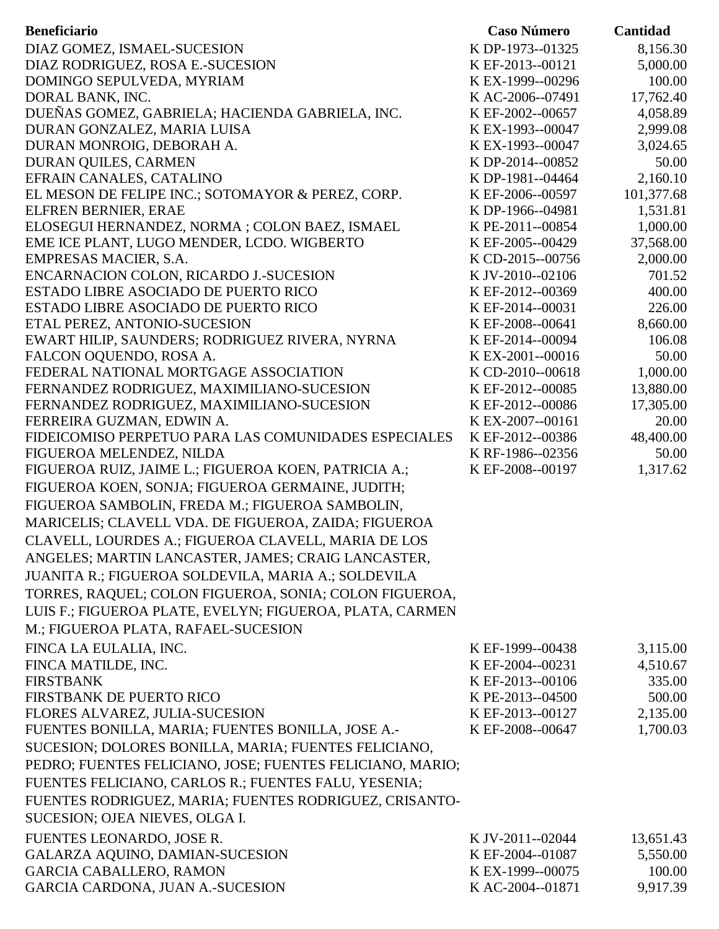| <b>Beneficiario</b>                                       | <b>Caso Número</b> | Cantidad   |
|-----------------------------------------------------------|--------------------|------------|
| DIAZ GOMEZ, ISMAEL-SUCESION                               | K DP-1973--01325   | 8,156.30   |
| DIAZ RODRIGUEZ, ROSA E.-SUCESION                          | K EF-2013--00121   | 5,000.00   |
| DOMINGO SEPULVEDA, MYRIAM                                 | K EX-1999--00296   | 100.00     |
| DORAL BANK, INC.                                          | KAC-2006--07491    | 17,762.40  |
| DUEÑAS GOMEZ, GABRIELA; HACIENDA GABRIELA, INC.           | K EF-2002--00657   | 4,058.89   |
| DURAN GONZALEZ, MARIA LUISA                               | K EX-1993--00047   | 2,999.08   |
| DURAN MONROIG, DEBORAH A.                                 | K EX-1993--00047   | 3,024.65   |
| DURAN QUILES, CARMEN                                      | K DP-2014--00852   | 50.00      |
| EFRAIN CANALES, CATALINO                                  | K DP-1981--04464   | 2,160.10   |
| EL MESON DE FELIPE INC.; SOTOMAYOR & PEREZ, CORP.         | K EF-2006--00597   | 101,377.68 |
| ELFREN BERNIER, ERAE                                      | K DP-1966--04981   | 1,531.81   |
| ELOSEGUI HERNANDEZ, NORMA ; COLON BAEZ, ISMAEL            | K PE-2011--00854   | 1,000.00   |
| EME ICE PLANT, LUGO MENDER, LCDO. WIGBERTO                | K EF-2005--00429   | 37,568.00  |
| EMPRESAS MACIER, S.A.                                     | K CD-2015--00756   | 2,000.00   |
| ENCARNACION COLON, RICARDO J.-SUCESION                    | K JV-2010--02106   | 701.52     |
| ESTADO LIBRE ASOCIADO DE PUERTO RICO                      | K EF-2012--00369   | 400.00     |
| ESTADO LIBRE ASOCIADO DE PUERTO RICO                      | K EF-2014--00031   | 226.00     |
| ETAL PEREZ, ANTONIO-SUCESION                              | K EF-2008--00641   | 8,660.00   |
| EWART HILIP, SAUNDERS; RODRIGUEZ RIVERA, NYRNA            | K EF-2014--00094   | 106.08     |
| FALCON OQUENDO, ROSA A.                                   | K EX-2001--00016   | 50.00      |
| FEDERAL NATIONAL MORTGAGE ASSOCIATION                     | K CD-2010--00618   | 1,000.00   |
| FERNANDEZ RODRIGUEZ, MAXIMILIANO-SUCESION                 | K EF-2012--00085   | 13,880.00  |
| FERNANDEZ RODRIGUEZ, MAXIMILIANO-SUCESION                 | K EF-2012--00086   | 17,305.00  |
| FERREIRA GUZMAN, EDWIN A.                                 | K EX-2007--00161   | 20.00      |
| FIDEICOMISO PERPETUO PARA LAS COMUNIDADES ESPECIALES      | K EF-2012--00386   | 48,400.00  |
| FIGUEROA MELENDEZ, NILDA                                  | K RF-1986--02356   | 50.00      |
| FIGUEROA RUIZ, JAIME L.; FIGUEROA KOEN, PATRICIA A.;      | K EF-2008--00197   | 1,317.62   |
| FIGUEROA KOEN, SONJA; FIGUEROA GERMAINE, JUDITH;          |                    |            |
| FIGUEROA SAMBOLIN, FREDA M.; FIGUEROA SAMBOLIN,           |                    |            |
| MARICELIS; CLAVELL VDA. DE FIGUEROA, ZAIDA; FIGUEROA      |                    |            |
|                                                           |                    |            |
| CLAVELL, LOURDES A.; FIGUEROA CLAVELL, MARIA DE LOS       |                    |            |
| ANGELES; MARTIN LANCASTER, JAMES; CRAIG LANCASTER,        |                    |            |
| JUANITA R.; FIGUEROA SOLDEVILA, MARIA A.; SOLDEVILA       |                    |            |
| TORRES, RAQUEL; COLON FIGUEROA, SONIA; COLON FIGUEROA,    |                    |            |
| LUIS F.; FIGUEROA PLATE, EVELYN; FIGUEROA, PLATA, CARMEN  |                    |            |
| M.; FIGUEROA PLATA, RAFAEL-SUCESION                       |                    |            |
| FINCA LA EULALIA, INC.                                    | K EF-1999--00438   | 3,115.00   |
| FINCA MATILDE, INC.                                       | K EF-2004--00231   | 4,510.67   |
| <b>FIRSTBANK</b>                                          | K EF-2013--00106   | 335.00     |
| FIRSTBANK DE PUERTO RICO                                  | K PE-2013--04500   | 500.00     |
| FLORES ALVAREZ, JULIA-SUCESION                            | K EF-2013--00127   | 2,135.00   |
| FUENTES BONILLA, MARIA; FUENTES BONILLA, JOSE A.-         | K EF-2008--00647   | 1,700.03   |
| SUCESION; DOLORES BONILLA, MARIA; FUENTES FELICIANO,      |                    |            |
| PEDRO; FUENTES FELICIANO, JOSE; FUENTES FELICIANO, MARIO; |                    |            |
| FUENTES FELICIANO, CARLOS R.; FUENTES FALU, YESENIA;      |                    |            |
|                                                           |                    |            |
| FUENTES RODRIGUEZ, MARIA; FUENTES RODRIGUEZ, CRISANTO-    |                    |            |
| SUCESION; OJEA NIEVES, OLGA I.                            |                    |            |
| FUENTES LEONARDO, JOSE R.                                 | K JV-2011--02044   | 13,651.43  |
| GALARZA AQUINO, DAMIAN-SUCESION                           | K EF-2004--01087   | 5,550.00   |
| <b>GARCIA CABALLERO, RAMON</b>                            | K EX-1999--00075   | 100.00     |
| GARCIA CARDONA, JUAN A.-SUCESION                          | K AC-2004--01871   | 9,917.39   |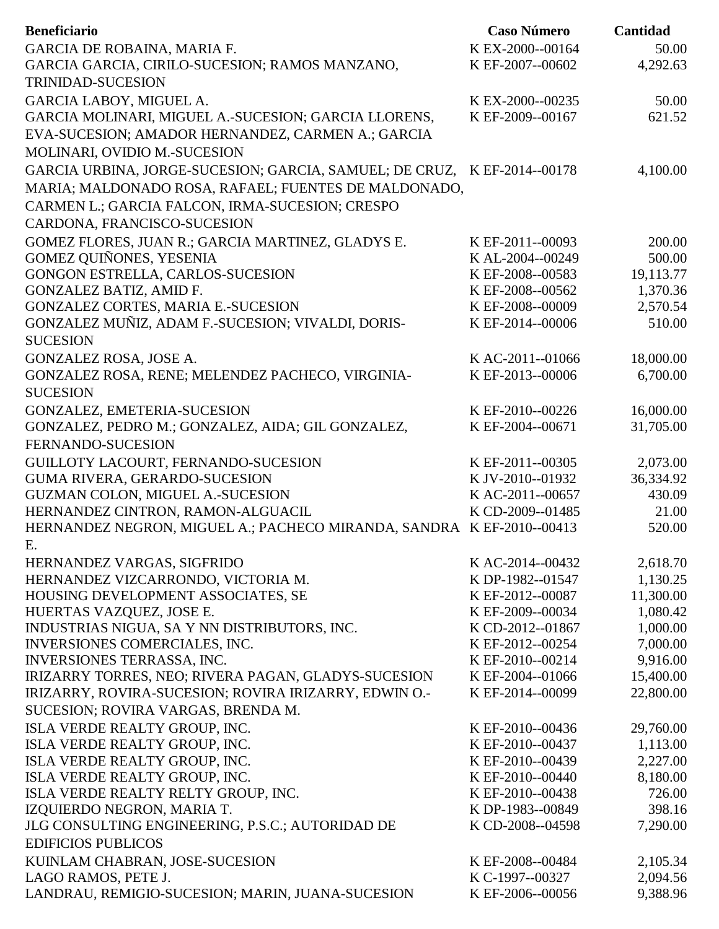| <b>Beneficiario</b>                                                      | <b>Caso Número</b> | Cantidad  |
|--------------------------------------------------------------------------|--------------------|-----------|
| GARCIA DE ROBAINA, MARIA F.                                              | K EX-2000--00164   | 50.00     |
| GARCIA GARCIA, CIRILO-SUCESION; RAMOS MANZANO,                           | K EF-2007--00602   | 4,292.63  |
| <b>TRINIDAD-SUCESION</b>                                                 |                    |           |
| GARCIA LABOY, MIGUEL A.                                                  | K EX-2000--00235   | 50.00     |
| GARCIA MOLINARI, MIGUEL A.-SUCESION; GARCIA LLORENS,                     | K EF-2009--00167   | 621.52    |
| EVA-SUCESION; AMADOR HERNANDEZ, CARMEN A.; GARCIA                        |                    |           |
| MOLINARI, OVIDIO M.-SUCESION                                             |                    |           |
| GARCIA URBINA, JORGE-SUCESION; GARCIA, SAMUEL; DE CRUZ, K EF-2014--00178 |                    | 4,100.00  |
| MARIA; MALDONADO ROSA, RAFAEL; FUENTES DE MALDONADO,                     |                    |           |
| CARMEN L.; GARCIA FALCON, IRMA-SUCESION; CRESPO                          |                    |           |
| CARDONA, FRANCISCO-SUCESION                                              |                    |           |
| GOMEZ FLORES, JUAN R.; GARCIA MARTINEZ, GLADYS E.                        | K EF-2011--00093   | 200.00    |
| <b>GOMEZ OUIÑONES, YESENIA</b>                                           | K AL-2004--00249   | 500.00    |
| GONGON ESTRELLA, CARLOS-SUCESION                                         | K EF-2008--00583   | 19,113.77 |
| GONZALEZ BATIZ, AMID F.                                                  | K EF-2008--00562   | 1,370.36  |
| <b>GONZALEZ CORTES, MARIA E.-SUCESION</b>                                | K EF-2008--00009   | 2,570.54  |
| GONZALEZ MUÑIZ, ADAM F.-SUCESION; VIVALDI, DORIS-                        | K EF-2014--00006   | 510.00    |
| <b>SUCESION</b>                                                          |                    |           |
| GONZALEZ ROSA, JOSE A.                                                   | KAC-2011--01066    | 18,000.00 |
| GONZALEZ ROSA, RENE; MELENDEZ PACHECO, VIRGINIA-                         | K EF-2013--00006   | 6,700.00  |
| <b>SUCESION</b>                                                          |                    |           |
| GONZALEZ, EMETERIA-SUCESION                                              | K EF-2010--00226   | 16,000.00 |
| GONZALEZ, PEDRO M.; GONZALEZ, AIDA; GIL GONZALEZ,                        | K EF-2004--00671   | 31,705.00 |
| FERNANDO-SUCESION                                                        |                    |           |
| GUILLOTY LACOURT, FERNANDO-SUCESION                                      | K EF-2011--00305   | 2,073.00  |
| <b>GUMA RIVERA, GERARDO-SUCESION</b>                                     | K JV-2010--01932   | 36,334.92 |
| GUZMAN COLON, MIGUEL A.-SUCESION                                         | K AC-2011--00657   | 430.09    |
| HERNANDEZ CINTRON, RAMON-ALGUACIL                                        | K CD-2009--01485   | 21.00     |
| HERNANDEZ NEGRON, MIGUEL A.; PACHECO MIRANDA, SANDRA K EF-2010--00413    |                    | 520.00    |
| E.                                                                       |                    |           |
| HERNANDEZ VARGAS, SIGFRIDO                                               | K AC-2014--00432   | 2,618.70  |
| HERNANDEZ VIZCARRONDO, VICTORIA M.                                       | K DP-1982--01547   | 1,130.25  |
| HOUSING DEVELOPMENT ASSOCIATES, SE                                       | K EF-2012--00087   | 11,300.00 |
| HUERTAS VAZQUEZ, JOSE E.                                                 | K EF-2009--00034   | 1,080.42  |
| INDUSTRIAS NIGUA, SA Y NN DISTRIBUTORS, INC.                             | K CD-2012--01867   | 1,000.00  |
| INVERSIONES COMERCIALES, INC.                                            | K EF-2012--00254   | 7,000.00  |
| <b>INVERSIONES TERRASSA, INC.</b>                                        | K EF-2010--00214   | 9,916.00  |
| IRIZARRY TORRES, NEO; RIVERA PAGAN, GLADYS-SUCESION                      | K EF-2004--01066   | 15,400.00 |
| IRIZARRY, ROVIRA-SUCESION; ROVIRA IRIZARRY, EDWIN O.-                    | K EF-2014--00099   | 22,800.00 |
| SUCESION; ROVIRA VARGAS, BRENDA M.                                       |                    |           |
| ISLA VERDE REALTY GROUP, INC.                                            | K EF-2010--00436   | 29,760.00 |
| ISLA VERDE REALTY GROUP, INC.                                            | K EF-2010--00437   | 1,113.00  |
| ISLA VERDE REALTY GROUP, INC.                                            | K EF-2010--00439   | 2,227.00  |
| ISLA VERDE REALTY GROUP, INC.                                            | K EF-2010--00440   | 8,180.00  |
| ISLA VERDE REALTY RELTY GROUP, INC.                                      | K EF-2010--00438   | 726.00    |
| IZQUIERDO NEGRON, MARIA T.                                               | K DP-1983--00849   | 398.16    |
| JLG CONSULTING ENGINEERING, P.S.C.; AUTORIDAD DE                         | K CD-2008--04598   | 7,290.00  |
| <b>EDIFICIOS PUBLICOS</b>                                                |                    |           |
| KUINLAM CHABRAN, JOSE-SUCESION                                           | K EF-2008--00484   | 2,105.34  |
| LAGO RAMOS, PETE J.                                                      | K C-1997--00327    | 2,094.56  |
| LANDRAU, REMIGIO-SUCESION; MARIN, JUANA-SUCESION                         | K EF-2006--00056   | 9,388.96  |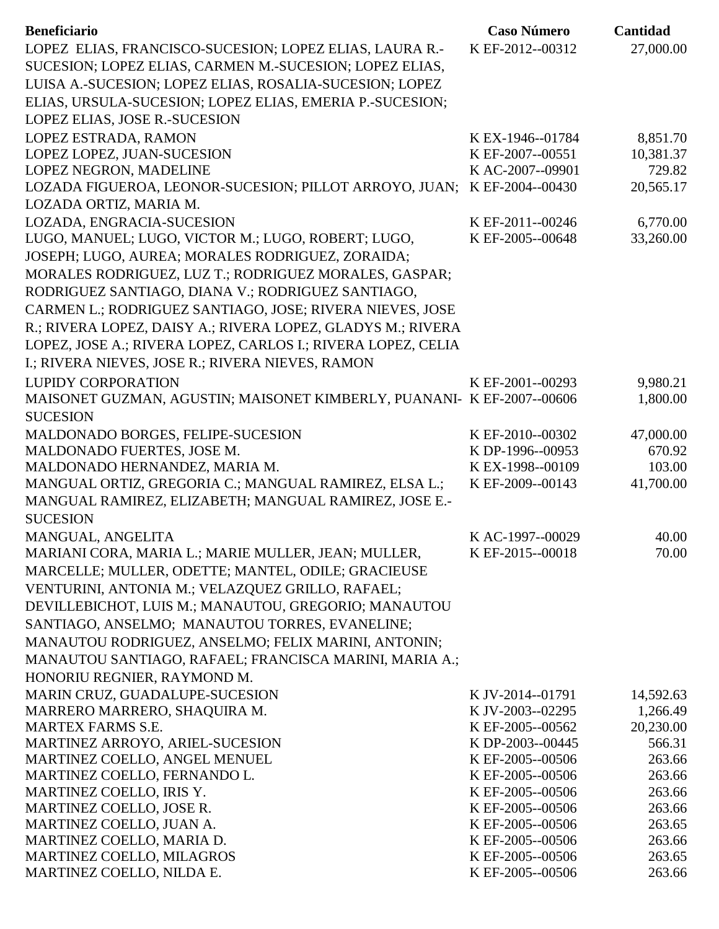| <b>Beneficiario</b>                                                    | <b>Caso Número</b> | Cantidad  |
|------------------------------------------------------------------------|--------------------|-----------|
| LOPEZ ELIAS, FRANCISCO-SUCESION; LOPEZ ELIAS, LAURA R.-                | K EF-2012--00312   | 27,000.00 |
| SUCESION; LOPEZ ELIAS, CARMEN M.-SUCESION; LOPEZ ELIAS,                |                    |           |
| LUISA A.-SUCESION; LOPEZ ELIAS, ROSALIA-SUCESION; LOPEZ                |                    |           |
| ELIAS, URSULA-SUCESION; LOPEZ ELIAS, EMERIA P.-SUCESION;               |                    |           |
| LOPEZ ELIAS, JOSE R.-SUCESION                                          |                    |           |
| LOPEZ ESTRADA, RAMON                                                   | K EX-1946--01784   | 8,851.70  |
| LOPEZ LOPEZ, JUAN-SUCESION                                             | K EF-2007--00551   | 10,381.37 |
| LOPEZ NEGRON, MADELINE                                                 | KAC-2007--09901    | 729.82    |
| LOZADA FIGUEROA, LEONOR-SUCESION; PILLOT ARROYO, JUAN;                 | K EF-2004--00430   | 20,565.17 |
| LOZADA ORTIZ, MARIA M.                                                 |                    |           |
| LOZADA, ENGRACIA-SUCESION                                              | K EF-2011--00246   | 6,770.00  |
| LUGO, MANUEL; LUGO, VICTOR M.; LUGO, ROBERT; LUGO,                     | K EF-2005--00648   | 33,260.00 |
| JOSEPH; LUGO, AUREA; MORALES RODRIGUEZ, ZORAIDA;                       |                    |           |
| MORALES RODRIGUEZ, LUZ T.; RODRIGUEZ MORALES, GASPAR;                  |                    |           |
| RODRIGUEZ SANTIAGO, DIANA V.; RODRIGUEZ SANTIAGO,                      |                    |           |
| CARMEN L.; RODRIGUEZ SANTIAGO, JOSE; RIVERA NIEVES, JOSE               |                    |           |
| R.; RIVERA LOPEZ, DAISY A.; RIVERA LOPEZ, GLADYS M.; RIVERA            |                    |           |
| LOPEZ, JOSE A.; RIVERA LOPEZ, CARLOS I.; RIVERA LOPEZ, CELIA           |                    |           |
| I.; RIVERA NIEVES, JOSE R.; RIVERA NIEVES, RAMON                       |                    |           |
| <b>LUPIDY CORPORATION</b>                                              | K EF-2001--00293   | 9,980.21  |
| MAISONET GUZMAN, AGUSTIN; MAISONET KIMBERLY, PUANANI- K EF-2007--00606 |                    | 1,800.00  |
| <b>SUCESION</b>                                                        |                    |           |
| MALDONADO BORGES, FELIPE-SUCESION                                      | K EF-2010--00302   | 47,000.00 |
| MALDONADO FUERTES, JOSE M.                                             | K DP-1996--00953   | 670.92    |
| MALDONADO HERNANDEZ, MARIA M.                                          | K EX-1998--00109   | 103.00    |
| MANGUAL ORTIZ, GREGORIA C.; MANGUAL RAMIREZ, ELSA L.;                  | K EF-2009--00143   | 41,700.00 |
| MANGUAL RAMIREZ, ELIZABETH; MANGUAL RAMIREZ, JOSE E.-                  |                    |           |
| <b>SUCESION</b>                                                        |                    |           |
| MANGUAL, ANGELITA                                                      | KAC-1997--00029    | 40.00     |
| MARIANI CORA, MARIA L.; MARIE MULLER, JEAN; MULLER,                    | K EF-2015--00018   | 70.00     |
| MARCELLE; MULLER, ODETTE; MANTEL, ODILE; GRACIEUSE                     |                    |           |
| VENTURINI, ANTONIA M.; VELAZQUEZ GRILLO, RAFAEL;                       |                    |           |
| DEVILLEBICHOT, LUIS M.; MANAUTOU, GREGORIO; MANAUTOU                   |                    |           |
| SANTIAGO, ANSELMO; MANAUTOU TORRES, EVANELINE;                         |                    |           |
| MANAUTOU RODRIGUEZ, ANSELMO; FELIX MARINI, ANTONIN;                    |                    |           |
| MANAUTOU SANTIAGO, RAFAEL; FRANCISCA MARINI, MARIA A.;                 |                    |           |
| HONORIU REGNIER, RAYMOND M.                                            |                    |           |
| MARIN CRUZ, GUADALUPE-SUCESION                                         | K JV-2014--01791   | 14,592.63 |
| MARRERO MARRERO, SHAQUIRA M.                                           | K JV-2003--02295   | 1,266.49  |
| <b>MARTEX FARMS S.E.</b>                                               | K EF-2005--00562   | 20,230.00 |
| MARTINEZ ARROYO, ARIEL-SUCESION                                        | K DP-2003--00445   | 566.31    |
| MARTINEZ COELLO, ANGEL MENUEL                                          | K EF-2005--00506   | 263.66    |
| MARTINEZ COELLO, FERNANDO L.                                           | K EF-2005--00506   | 263.66    |
| MARTINEZ COELLO, IRIS Y.                                               | K EF-2005--00506   | 263.66    |
| MARTINEZ COELLO, JOSE R.                                               | K EF-2005--00506   | 263.66    |
| MARTINEZ COELLO, JUAN A.                                               | K EF-2005--00506   | 263.65    |
| MARTINEZ COELLO, MARIA D.                                              | K EF-2005--00506   | 263.66    |
| MARTINEZ COELLO, MILAGROS                                              | K EF-2005--00506   | 263.65    |
| MARTINEZ COELLO, NILDA E.                                              | K EF-2005--00506   | 263.66    |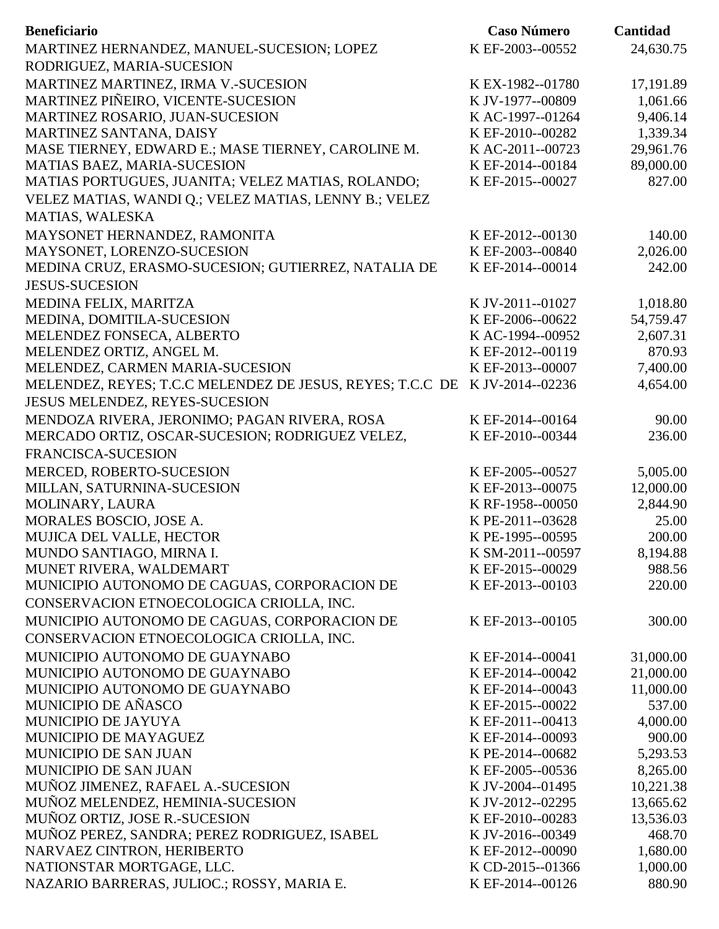| <b>Beneficiario</b>                                       | <b>Caso Número</b> | Cantidad  |
|-----------------------------------------------------------|--------------------|-----------|
| MARTINEZ HERNANDEZ, MANUEL-SUCESION; LOPEZ                | K EF-2003--00552   | 24,630.75 |
| RODRIGUEZ, MARIA-SUCESION                                 |                    |           |
| MARTINEZ MARTINEZ, IRMA V.-SUCESION                       | K EX-1982--01780   | 17,191.89 |
| MARTINEZ PIÑEIRO, VICENTE-SUCESION                        | K JV-1977--00809   | 1,061.66  |
| MARTINEZ ROSARIO, JUAN-SUCESION                           | K AC-1997--01264   | 9,406.14  |
| MARTINEZ SANTANA, DAISY                                   | K EF-2010--00282   | 1,339.34  |
| MASE TIERNEY, EDWARD E.; MASE TIERNEY, CAROLINE M.        | KAC-2011--00723    | 29,961.76 |
| MATIAS BAEZ, MARIA-SUCESION                               | K EF-2014--00184   | 89,000.00 |
| MATIAS PORTUGUES, JUANITA; VELEZ MATIAS, ROLANDO;         | K EF-2015--00027   | 827.00    |
| VELEZ MATIAS, WANDI Q.; VELEZ MATIAS, LENNY B.; VELEZ     |                    |           |
| MATIAS, WALESKA                                           |                    |           |
| MAYSONET HERNANDEZ, RAMONITA                              | K EF-2012--00130   | 140.00    |
| MAYSONET, LORENZO-SUCESION                                | K EF-2003--00840   | 2,026.00  |
| MEDINA CRUZ, ERASMO-SUCESION; GUTIERREZ, NATALIA DE       | K EF-2014--00014   | 242.00    |
| <b>JESUS-SUCESION</b>                                     |                    |           |
|                                                           |                    |           |
| MEDINA FELIX, MARITZA                                     | K JV-2011--01027   | 1,018.80  |
| MEDINA, DOMITILA-SUCESION                                 | K EF-2006--00622   | 54,759.47 |
| MELENDEZ FONSECA, ALBERTO                                 | K AC-1994--00952   | 2,607.31  |
| MELENDEZ ORTIZ, ANGEL M.                                  | K EF-2012--00119   | 870.93    |
| MELENDEZ, CARMEN MARIA-SUCESION                           | K EF-2013--00007   | 7,400.00  |
| MELENDEZ, REYES; T.C.C MELENDEZ DE JESUS, REYES; T.C.C DE | K JV-2014--02236   | 4,654.00  |
| JESUS MELENDEZ, REYES-SUCESION                            |                    |           |
| MENDOZA RIVERA, JERONIMO; PAGAN RIVERA, ROSA              | K EF-2014--00164   | 90.00     |
| MERCADO ORTIZ, OSCAR-SUCESION; RODRIGUEZ VELEZ,           | K EF-2010--00344   | 236.00    |
| FRANCISCA-SUCESION                                        |                    |           |
| MERCED, ROBERTO-SUCESION                                  | K EF-2005--00527   | 5,005.00  |
| MILLAN, SATURNINA-SUCESION                                | K EF-2013--00075   | 12,000.00 |
| MOLINARY, LAURA                                           | K RF-1958--00050   | 2,844.90  |
| MORALES BOSCIO, JOSE A.                                   | K PE-2011--03628   | 25.00     |
| MUJICA DEL VALLE, HECTOR                                  | K PE-1995--00595   | 200.00    |
| MUNDO SANTIAGO, MIRNA I.                                  | K SM-2011--00597   | 8,194.88  |
| MUNET RIVERA, WALDEMART                                   | K EF-2015--00029   | 988.56    |
| MUNICIPIO AUTONOMO DE CAGUAS, CORPORACION DE              | K EF-2013--00103   | 220.00    |
| CONSERVACION ETNOECOLOGICA CRIOLLA, INC.                  |                    |           |
| MUNICIPIO AUTONOMO DE CAGUAS, CORPORACION DE              | K EF-2013--00105   | 300.00    |
| CONSERVACION ETNOECOLOGICA CRIOLLA, INC.                  |                    |           |
| MUNICIPIO AUTONOMO DE GUAYNABO                            | K EF-2014--00041   | 31,000.00 |
| MUNICIPIO AUTONOMO DE GUAYNABO                            | K EF-2014--00042   | 21,000.00 |
| MUNICIPIO AUTONOMO DE GUAYNABO                            | K EF-2014--00043   | 11,000.00 |
| MUNICIPIO DE AÑASCO                                       | K EF-2015--00022   | 537.00    |
| MUNICIPIO DE JAYUYA                                       | K EF-2011--00413   | 4,000.00  |
| MUNICIPIO DE MAYAGUEZ                                     | K EF-2014--00093   | 900.00    |
| <b>MUNICIPIO DE SAN JUAN</b>                              | K PE-2014--00682   | 5,293.53  |
| MUNICIPIO DE SAN JUAN                                     | K EF-2005--00536   | 8,265.00  |
| MUÑOZ JIMENEZ, RAFAEL A.-SUCESION                         | K JV-2004--01495   | 10,221.38 |
| MUÑOZ MELENDEZ, HEMINIA-SUCESION                          | K JV-2012--02295   | 13,665.62 |
| MUÑOZ ORTIZ, JOSE R.-SUCESION                             | K EF-2010--00283   | 13,536.03 |
| MUÑOZ PEREZ, SANDRA; PEREZ RODRIGUEZ, ISABEL              | K JV-2016--00349   | 468.70    |
| NARVAEZ CINTRON, HERIBERTO                                | K EF-2012--00090   | 1,680.00  |
| NATIONSTAR MORTGAGE, LLC.                                 | K CD-2015--01366   | 1,000.00  |
| NAZARIO BARRERAS, JULIOC.; ROSSY, MARIA E.                | K EF-2014--00126   | 880.90    |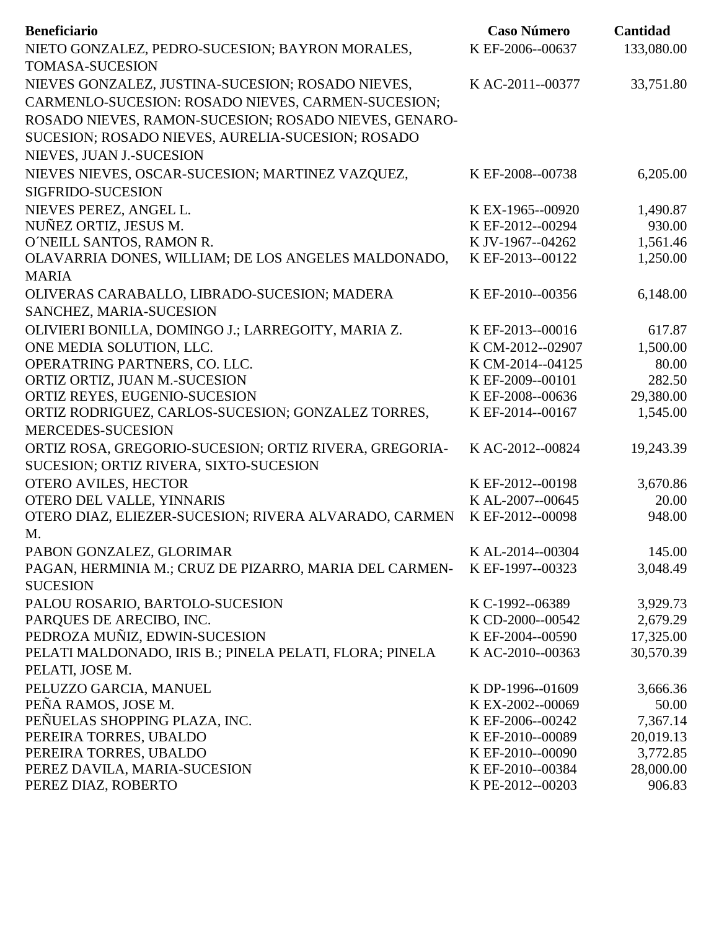| <b>Beneficiario</b>                                     | <b>Caso Número</b> | Cantidad   |
|---------------------------------------------------------|--------------------|------------|
| NIETO GONZALEZ, PEDRO-SUCESION; BAYRON MORALES,         | K EF-2006--00637   | 133,080.00 |
| <b>TOMASA-SUCESION</b>                                  |                    |            |
| NIEVES GONZALEZ, JUSTINA-SUCESION; ROSADO NIEVES,       | K AC-2011--00377   | 33,751.80  |
| CARMENLO-SUCESION: ROSADO NIEVES, CARMEN-SUCESION;      |                    |            |
| ROSADO NIEVES, RAMON-SUCESION; ROSADO NIEVES, GENARO-   |                    |            |
| SUCESION; ROSADO NIEVES, AURELIA-SUCESION; ROSADO       |                    |            |
| NIEVES, JUAN J.-SUCESION                                |                    |            |
|                                                         |                    |            |
| NIEVES NIEVES, OSCAR-SUCESION; MARTINEZ VAZQUEZ,        | K EF-2008--00738   | 6,205.00   |
| SIGFRIDO-SUCESION                                       |                    |            |
| NIEVES PEREZ, ANGEL L.                                  | K EX-1965--00920   | 1,490.87   |
| NUÑEZ ORTIZ, JESUS M.                                   | K EF-2012--00294   | 930.00     |
| O'NEILL SANTOS, RAMON R.                                | K JV-1967--04262   | 1,561.46   |
| OLAVARRIA DONES, WILLIAM; DE LOS ANGELES MALDONADO,     | K EF-2013--00122   | 1,250.00   |
| <b>MARIA</b>                                            |                    |            |
| OLIVERAS CARABALLO, LIBRADO-SUCESION; MADERA            | K EF-2010--00356   | 6,148.00   |
| SANCHEZ, MARIA-SUCESION                                 |                    |            |
| OLIVIERI BONILLA, DOMINGO J.; LARREGOITY, MARIA Z.      | K EF-2013--00016   | 617.87     |
| ONE MEDIA SOLUTION, LLC.                                | K CM-2012--02907   | 1,500.00   |
| OPERATRING PARTNERS, CO. LLC.                           | K CM-2014--04125   | 80.00      |
| ORTIZ ORTIZ, JUAN M.-SUCESION                           | K EF-2009--00101   | 282.50     |
| ORTIZ REYES, EUGENIO-SUCESION                           | K EF-2008--00636   | 29,380.00  |
| ORTIZ RODRIGUEZ, CARLOS-SUCESION; GONZALEZ TORRES,      | K EF-2014--00167   | 1,545.00   |
| <b>MERCEDES-SUCESION</b>                                |                    |            |
| ORTIZ ROSA, GREGORIO-SUCESION; ORTIZ RIVERA, GREGORIA-  | K AC-2012--00824   | 19,243.39  |
| SUCESION; ORTIZ RIVERA, SIXTO-SUCESION                  |                    |            |
| <b>OTERO AVILES, HECTOR</b>                             | K EF-2012--00198   | 3,670.86   |
| OTERO DEL VALLE, YINNARIS                               | K AL-2007--00645   | 20.00      |
| OTERO DIAZ, ELIEZER-SUCESION; RIVERA ALVARADO, CARMEN   | K EF-2012--00098   | 948.00     |
| M.                                                      |                    |            |
| PABON GONZALEZ, GLORIMAR                                | K AL-2014--00304   | 145.00     |
| PAGAN, HERMINIA M.; CRUZ DE PIZARRO, MARIA DEL CARMEN-  | K EF-1997--00323   | 3,048.49   |
| <b>SUCESION</b>                                         |                    |            |
| PALOU ROSARIO, BARTOLO-SUCESION                         | K C-1992--06389    | 3,929.73   |
| PARQUES DE ARECIBO, INC.                                | K CD-2000--00542   | 2,679.29   |
| PEDROZA MUÑIZ, EDWIN-SUCESION                           | K EF-2004--00590   | 17,325.00  |
| PELATI MALDONADO, IRIS B.; PINELA PELATI, FLORA; PINELA | K AC-2010--00363   | 30,570.39  |
| PELATI, JOSE M.                                         |                    |            |
| PELUZZO GARCIA, MANUEL                                  | K DP-1996--01609   | 3,666.36   |
| PEÑA RAMOS, JOSE M.                                     | K EX-2002--00069   | 50.00      |
| PEÑUELAS SHOPPING PLAZA, INC.                           | K EF-2006--00242   | 7,367.14   |
| PEREIRA TORRES, UBALDO                                  | K EF-2010--00089   | 20,019.13  |
| PEREIRA TORRES, UBALDO                                  | K EF-2010--00090   | 3,772.85   |
| PEREZ DAVILA, MARIA-SUCESION                            | K EF-2010--00384   | 28,000.00  |
| PEREZ DIAZ, ROBERTO                                     | K PE-2012--00203   | 906.83     |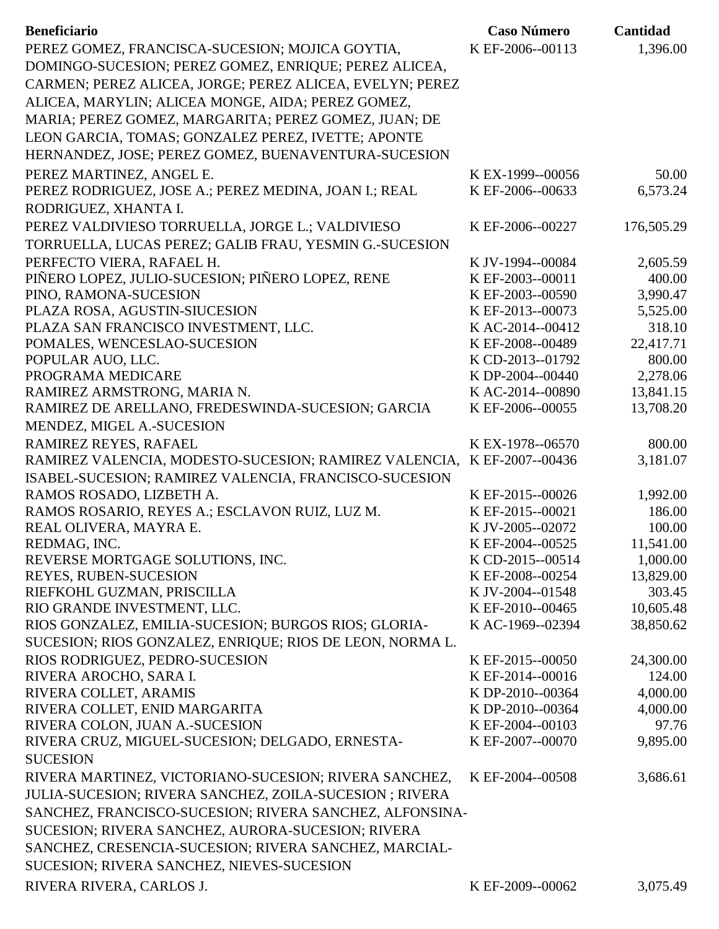| <b>Beneficiario</b>                                      | <b>Caso Número</b> | Cantidad   |
|----------------------------------------------------------|--------------------|------------|
| PEREZ GOMEZ, FRANCISCA-SUCESION; MOJICA GOYTIA,          | K EF-2006--00113   | 1,396.00   |
| DOMINGO-SUCESION; PEREZ GOMEZ, ENRIQUE; PEREZ ALICEA,    |                    |            |
| CARMEN; PEREZ ALICEA, JORGE; PEREZ ALICEA, EVELYN; PEREZ |                    |            |
| ALICEA, MARYLIN; ALICEA MONGE, AIDA; PEREZ GOMEZ,        |                    |            |
| MARIA; PEREZ GOMEZ, MARGARITA; PEREZ GOMEZ, JUAN; DE     |                    |            |
| LEON GARCIA, TOMAS; GONZALEZ PEREZ, IVETTE; APONTE       |                    |            |
|                                                          |                    |            |
| HERNANDEZ, JOSE; PEREZ GOMEZ, BUENAVENTURA-SUCESION      |                    |            |
| PEREZ MARTINEZ, ANGEL E.                                 | KEX-1999--00056    | 50.00      |
| PEREZ RODRIGUEZ, JOSE A.; PEREZ MEDINA, JOAN I.; REAL    | K EF-2006--00633   | 6,573.24   |
| RODRIGUEZ, XHANTA I.                                     |                    |            |
| PEREZ VALDIVIESO TORRUELLA, JORGE L.; VALDIVIESO         | K EF-2006--00227   | 176,505.29 |
| TORRUELLA, LUCAS PEREZ; GALIB FRAU, YESMIN G.-SUCESION   |                    |            |
| PERFECTO VIERA, RAFAEL H.                                | K JV-1994--00084   | 2,605.59   |
| PIÑERO LOPEZ, JULIO-SUCESION; PIÑERO LOPEZ, RENE         | K EF-2003--00011   | 400.00     |
| PINO, RAMONA-SUCESION                                    | K EF-2003--00590   | 3,990.47   |
| PLAZA ROSA, AGUSTIN-SIUCESION                            | K EF-2013--00073   | 5,525.00   |
| PLAZA SAN FRANCISCO INVESTMENT, LLC.                     | KAC-2014--00412    | 318.10     |
| POMALES, WENCESLAO-SUCESION                              | K EF-2008--00489   | 22,417.71  |
| POPULAR AUO, LLC.                                        | K CD-2013--01792   | 800.00     |
| PROGRAMA MEDICARE                                        | K DP-2004--00440   | 2,278.06   |
| RAMIREZ ARMSTRONG, MARIA N.                              | K AC-2014--00890   | 13,841.15  |
| RAMIREZ DE ARELLANO, FREDESWINDA-SUCESION; GARCIA        | K EF-2006--00055   | 13,708.20  |
| MENDEZ, MIGEL A.-SUCESION                                |                    |            |
| RAMIREZ REYES, RAFAEL                                    | K EX-1978--06570   | 800.00     |
| RAMIREZ VALENCIA, MODESTO-SUCESION; RAMIREZ VALENCIA,    | K EF-2007--00436   | 3,181.07   |
| ISABEL-SUCESION; RAMIREZ VALENCIA, FRANCISCO-SUCESION    |                    |            |
| RAMOS ROSADO, LIZBETH A.                                 | K EF-2015--00026   | 1,992.00   |
| RAMOS ROSARIO, REYES A.; ESCLAVON RUIZ, LUZ M.           | K EF-2015--00021   | 186.00     |
| REAL OLIVERA, MAYRA E.                                   | K JV-2005--02072   | 100.00     |
| REDMAG, INC.                                             | K EF-2004--00525   | 11,541.00  |
| REVERSE MORTGAGE SOLUTIONS, INC.                         | K CD-2015--00514   | 1,000.00   |
| <b>REYES, RUBEN-SUCESION</b>                             | K EF-2008--00254   | 13,829.00  |
| RIEFKOHL GUZMAN, PRISCILLA                               | K JV-2004--01548   | 303.45     |
| RIO GRANDE INVESTMENT, LLC.                              | K EF-2010--00465   | 10,605.48  |
| RIOS GONZALEZ, EMILIA-SUCESION; BURGOS RIOS; GLORIA-     | K AC-1969--02394   | 38,850.62  |
| SUCESION; RIOS GONZALEZ, ENRIQUE; RIOS DE LEON, NORMA L. |                    |            |
| RIOS RODRIGUEZ, PEDRO-SUCESION                           | K EF-2015--00050   | 24,300.00  |
| RIVERA AROCHO, SARA I.                                   | K EF-2014--00016   | 124.00     |
| RIVERA COLLET, ARAMIS                                    | K DP-2010--00364   | 4,000.00   |
| RIVERA COLLET, ENID MARGARITA                            | K DP-2010--00364   | 4,000.00   |
| RIVERA COLON, JUAN A.-SUCESION                           | K EF-2004--00103   | 97.76      |
| RIVERA CRUZ, MIGUEL-SUCESION; DELGADO, ERNESTA-          | K EF-2007--00070   | 9,895.00   |
| <b>SUCESION</b>                                          |                    |            |
| RIVERA MARTINEZ, VICTORIANO-SUCESION; RIVERA SANCHEZ,    | K EF-2004--00508   | 3,686.61   |
| JULIA-SUCESION; RIVERA SANCHEZ, ZOILA-SUCESION; RIVERA   |                    |            |
| SANCHEZ, FRANCISCO-SUCESION; RIVERA SANCHEZ, ALFONSINA-  |                    |            |
| SUCESION; RIVERA SANCHEZ, AURORA-SUCESION; RIVERA        |                    |            |
| SANCHEZ, CRESENCIA-SUCESION; RIVERA SANCHEZ, MARCIAL-    |                    |            |
| SUCESION; RIVERA SANCHEZ, NIEVES-SUCESION                |                    |            |
| RIVERA RIVERA, CARLOS J.                                 | K EF-2009--00062   | 3,075.49   |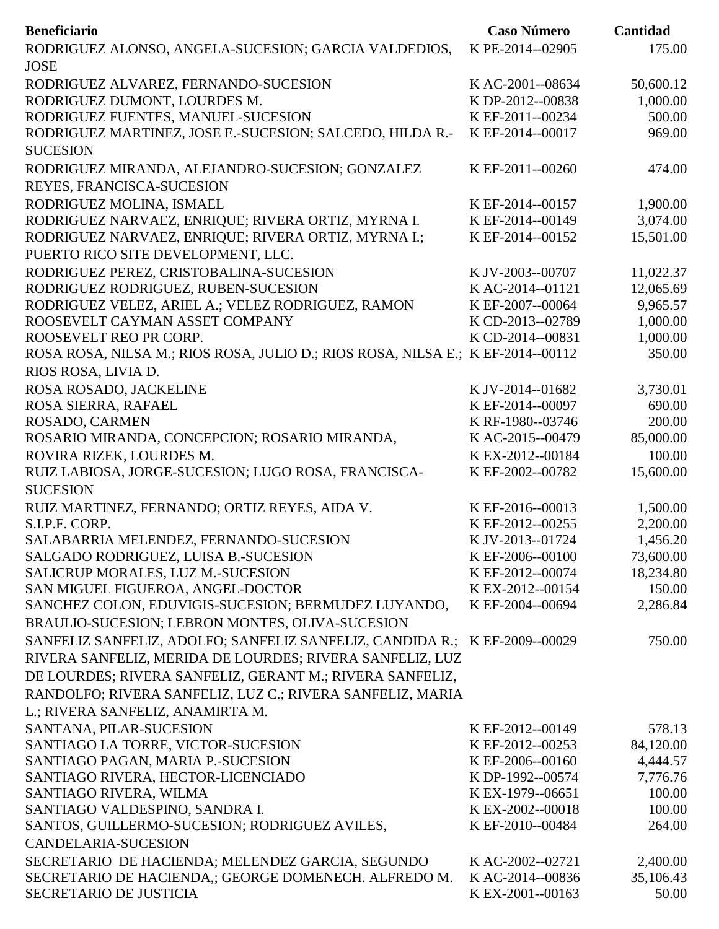| <b>Beneficiario</b>                                                             | <b>Caso Número</b>                   | Cantidad           |
|---------------------------------------------------------------------------------|--------------------------------------|--------------------|
| RODRIGUEZ ALONSO, ANGELA-SUCESION; GARCIA VALDEDIOS,                            | K PE-2014--02905                     | 175.00             |
| <b>JOSE</b>                                                                     |                                      |                    |
| RODRIGUEZ ALVAREZ, FERNANDO-SUCESION                                            | K AC-2001--08634                     | 50,600.12          |
| RODRIGUEZ DUMONT, LOURDES M.                                                    | K DP-2012--00838                     | 1,000.00           |
| RODRIGUEZ FUENTES, MANUEL-SUCESION                                              | K EF-2011--00234                     | 500.00             |
| RODRIGUEZ MARTINEZ, JOSE E.-SUCESION; SALCEDO, HILDA R.-<br><b>SUCESION</b>     | K EF-2014--00017                     | 969.00             |
| RODRIGUEZ MIRANDA, ALEJANDRO-SUCESION; GONZALEZ                                 | K EF-2011--00260                     | 474.00             |
| REYES, FRANCISCA-SUCESION                                                       |                                      |                    |
| RODRIGUEZ MOLINA, ISMAEL                                                        | K EF-2014--00157                     | 1,900.00           |
| RODRIGUEZ NARVAEZ, ENRIQUE; RIVERA ORTIZ, MYRNA I.                              | K EF-2014--00149                     | 3,074.00           |
| RODRIGUEZ NARVAEZ, ENRIQUE; RIVERA ORTIZ, MYRNA I.;                             | K EF-2014--00152                     | 15,501.00          |
| PUERTO RICO SITE DEVELOPMENT, LLC.                                              |                                      |                    |
| RODRIGUEZ PEREZ, CRISTOBALINA-SUCESION                                          | K JV-2003--00707                     | 11,022.37          |
| RODRIGUEZ RODRIGUEZ, RUBEN-SUCESION                                             | KAC-2014--01121                      | 12,065.69          |
| RODRIGUEZ VELEZ, ARIEL A.; VELEZ RODRIGUEZ, RAMON                               | K EF-2007--00064                     | 9,965.57           |
| ROOSEVELT CAYMAN ASSET COMPANY                                                  | K CD-2013--02789                     | 1,000.00           |
| ROOSEVELT REO PR CORP.                                                          | K CD-2014--00831                     | 1,000.00           |
| ROSA ROSA, NILSA M.; RIOS ROSA, JULIO D.; RIOS ROSA, NILSA E.; K EF-2014--00112 |                                      | 350.00             |
| RIOS ROSA, LIVIA D.                                                             |                                      |                    |
| ROSA ROSADO, JACKELINE                                                          | K JV-2014--01682                     | 3,730.01           |
| ROSA SIERRA, RAFAEL                                                             | K EF-2014--00097                     | 690.00             |
| ROSADO, CARMEN                                                                  | K RF-1980--03746                     | 200.00             |
| ROSARIO MIRANDA, CONCEPCION; ROSARIO MIRANDA,                                   | K AC-2015--00479                     | 85,000.00          |
| ROVIRA RIZEK, LOURDES M.                                                        | KEX-2012--00184                      | 100.00             |
| RUIZ LABIOSA, JORGE-SUCESION; LUGO ROSA, FRANCISCA-                             | K EF-2002--00782                     | 15,600.00          |
| <b>SUCESION</b>                                                                 |                                      |                    |
| RUIZ MARTINEZ, FERNANDO; ORTIZ REYES, AIDA V.                                   | K EF-2016--00013                     | 1,500.00           |
| S.I.P.F. CORP.                                                                  | K EF-2012--00255                     | 2,200.00           |
| SALABARRIA MELENDEZ, FERNANDO-SUCESION                                          | K JV-2013--01724                     | 1,456.20           |
| SALGADO RODRIGUEZ, LUISA B.-SUCESION                                            | K EF-2006--00100                     | 73,600.00          |
| SALICRUP MORALES, LUZ M.-SUCESION                                               | K EF-2012--00074                     | 18,234.80          |
| SAN MIGUEL FIGUEROA, ANGEL-DOCTOR                                               | KEX-2012--00154                      | 150.00             |
| SANCHEZ COLON, EDUVIGIS-SUCESION; BERMUDEZ LUYANDO,                             | K EF-2004--00694                     | 2,286.84           |
| BRAULIO-SUCESION; LEBRON MONTES, OLIVA-SUCESION                                 |                                      |                    |
| SANFELIZ SANFELIZ, ADOLFO; SANFELIZ SANFELIZ, CANDIDA R.; K EF-2009--00029      |                                      | 750.00             |
| RIVERA SANFELIZ, MERIDA DE LOURDES; RIVERA SANFELIZ, LUZ                        |                                      |                    |
| DE LOURDES; RIVERA SANFELIZ, GERANT M.; RIVERA SANFELIZ,                        |                                      |                    |
| RANDOLFO; RIVERA SANFELIZ, LUZ C.; RIVERA SANFELIZ, MARIA                       |                                      |                    |
| L.; RIVERA SANFELIZ, ANAMIRTA M.                                                |                                      |                    |
| SANTANA, PILAR-SUCESION                                                         | K EF-2012--00149                     | 578.13             |
| SANTIAGO LA TORRE, VICTOR-SUCESION                                              | K EF-2012--00253                     | 84,120.00          |
| SANTIAGO PAGAN, MARIA P.-SUCESION                                               | K EF-2006--00160                     | 4,444.57           |
| SANTIAGO RIVERA, HECTOR-LICENCIADO<br>SANTIAGO RIVERA, WILMA                    | K DP-1992--00574<br>K EX-1979--06651 | 7,776.76<br>100.00 |
| SANTIAGO VALDESPINO, SANDRA I.                                                  | K EX-2002--00018                     | 100.00             |
| SANTOS, GUILLERMO-SUCESION; RODRIGUEZ AVILES,                                   | K EF-2010--00484                     | 264.00             |
| <b>CANDELARIA-SUCESION</b>                                                      |                                      |                    |
| SECRETARIO DE HACIENDA; MELENDEZ GARCIA, SEGUNDO                                | K AC-2002--02721                     | 2,400.00           |
| SECRETARIO DE HACIENDA,; GEORGE DOMENECH. ALFREDO M.                            | K AC-2014--00836                     | 35,106.43          |
| <b>SECRETARIO DE JUSTICIA</b>                                                   | K EX-2001--00163                     | 50.00              |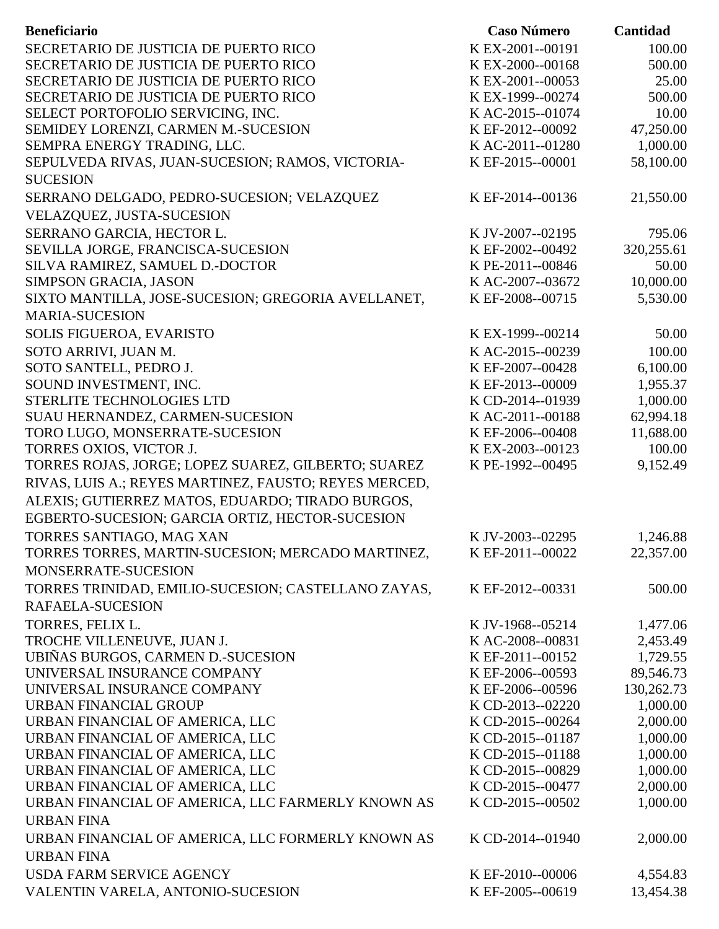| SECRETARIO DE JUSTICIA DE PUERTO RICO<br>KEX-2001--00191<br>100.00<br>SECRETARIO DE JUSTICIA DE PUERTO RICO<br>K EX-2000--00168<br>500.00<br>SECRETARIO DE JUSTICIA DE PUERTO RICO<br>25.00<br>K EX-2001--00053<br>SECRETARIO DE JUSTICIA DE PUERTO RICO<br>K EX-1999--00274<br>500.00<br>SELECT PORTOFOLIO SERVICING, INC.<br>10.00<br>K AC-2015--01074<br>47,250.00<br>SEMIDEY LORENZI, CARMEN M.-SUCESION<br>K EF-2012--00092<br>1,000.00<br>SEMPRA ENERGY TRADING, LLC.<br>K AC-2011--01280<br>58,100.00<br>SEPULVEDA RIVAS, JUAN-SUCESION; RAMOS, VICTORIA-<br>K EF-2015--00001<br><b>SUCESION</b><br>SERRANO DELGADO, PEDRO-SUCESION; VELAZQUEZ<br>K EF-2014--00136<br>21,550.00<br>VELAZQUEZ, JUSTA-SUCESION<br>SERRANO GARCIA, HECTOR L.<br>K JV-2007--02195<br>795.06<br>320,255.61<br>SEVILLA JORGE, FRANCISCA-SUCESION<br>K EF-2002--00492<br>SILVA RAMIREZ, SAMUEL D.-DOCTOR<br>K PE-2011--00846<br>50.00<br>10,000.00<br>K AC-2007--03672<br>SIMPSON GRACIA, JASON<br>SIXTO MANTILLA, JOSE-SUCESION; GREGORIA AVELLANET,<br>5,530.00<br>K EF-2008--00715<br><b>MARIA-SUCESION</b><br>SOLIS FIGUEROA, EVARISTO<br>50.00<br>K EX-1999--00214<br>SOTO ARRIVI, JUAN M.<br>KAC-2015--00239<br>100.00<br>SOTO SANTELL, PEDRO J.<br>K EF-2007--00428<br>6,100.00<br>SOUND INVESTMENT, INC.<br>1,955.37<br>K EF-2013--00009<br>1,000.00<br>STERLITE TECHNOLOGIES LTD<br>K CD-2014--01939<br>62,994.18<br>SUAU HERNANDEZ, CARMEN-SUCESION<br>K AC-2011--00188<br>TORO LUGO, MONSERRATE-SUCESION<br>11,688.00<br>K EF-2006--00408<br>100.00<br>TORRES OXIOS, VICTOR J.<br>K EX-2003--00123<br>9,152.49<br>TORRES ROJAS, JORGE; LOPEZ SUAREZ, GILBERTO; SUAREZ<br>K PE-1992--00495<br>RIVAS, LUIS A.; REYES MARTINEZ, FAUSTO; REYES MERCED,<br>ALEXIS; GUTIERREZ MATOS, EDUARDO; TIRADO BURGOS,<br>EGBERTO-SUCESION; GARCIA ORTIZ, HECTOR-SUCESION<br>TORRES SANTIAGO, MAG XAN<br>K JV-2003--02295<br>1,246.88<br>TORRES TORRES, MARTIN-SUCESION; MERCADO MARTINEZ,<br>K EF-2011--00022<br>22,357.00<br>MONSERRATE-SUCESION<br>TORRES TRINIDAD, EMILIO-SUCESION; CASTELLANO ZAYAS,<br>500.00<br>K EF-2012--00331<br>RAFAELA-SUCESION<br>TORRES, FELIX L.<br>K JV-1968--05214<br>1,477.06<br>TROCHE VILLENEUVE, JUAN J.<br>K AC-2008--00831<br>2,453.49<br>UBIÑAS BURGOS, CARMEN D.-SUCESION<br>K EF-2011--00152<br>1,729.55<br>UNIVERSAL INSURANCE COMPANY<br>89,546.73<br>K EF-2006--00593<br>130,262.73<br>UNIVERSAL INSURANCE COMPANY<br>K EF-2006--00596<br>1,000.00<br>URBAN FINANCIAL GROUP<br>K CD-2013--02220<br>2,000.00<br>URBAN FINANCIAL OF AMERICA, LLC<br>K CD-2015--00264<br>URBAN FINANCIAL OF AMERICA, LLC<br>K CD-2015--01187<br>1,000.00 | <b>Beneficiario</b>             | <b>Caso Número</b> | Cantidad |
|---------------------------------------------------------------------------------------------------------------------------------------------------------------------------------------------------------------------------------------------------------------------------------------------------------------------------------------------------------------------------------------------------------------------------------------------------------------------------------------------------------------------------------------------------------------------------------------------------------------------------------------------------------------------------------------------------------------------------------------------------------------------------------------------------------------------------------------------------------------------------------------------------------------------------------------------------------------------------------------------------------------------------------------------------------------------------------------------------------------------------------------------------------------------------------------------------------------------------------------------------------------------------------------------------------------------------------------------------------------------------------------------------------------------------------------------------------------------------------------------------------------------------------------------------------------------------------------------------------------------------------------------------------------------------------------------------------------------------------------------------------------------------------------------------------------------------------------------------------------------------------------------------------------------------------------------------------------------------------------------------------------------------------------------------------------------------------------------------------------------------------------------------------------------------------------------------------------------------------------------------------------------------------------------------------------------------------------------------------------------------------------------------------------------------------------------------------------------------------------------------------------------------------------------------------------------------------------------------------------------------------------------------------------|---------------------------------|--------------------|----------|
|                                                                                                                                                                                                                                                                                                                                                                                                                                                                                                                                                                                                                                                                                                                                                                                                                                                                                                                                                                                                                                                                                                                                                                                                                                                                                                                                                                                                                                                                                                                                                                                                                                                                                                                                                                                                                                                                                                                                                                                                                                                                                                                                                                                                                                                                                                                                                                                                                                                                                                                                                                                                                                                               |                                 |                    |          |
|                                                                                                                                                                                                                                                                                                                                                                                                                                                                                                                                                                                                                                                                                                                                                                                                                                                                                                                                                                                                                                                                                                                                                                                                                                                                                                                                                                                                                                                                                                                                                                                                                                                                                                                                                                                                                                                                                                                                                                                                                                                                                                                                                                                                                                                                                                                                                                                                                                                                                                                                                                                                                                                               |                                 |                    |          |
|                                                                                                                                                                                                                                                                                                                                                                                                                                                                                                                                                                                                                                                                                                                                                                                                                                                                                                                                                                                                                                                                                                                                                                                                                                                                                                                                                                                                                                                                                                                                                                                                                                                                                                                                                                                                                                                                                                                                                                                                                                                                                                                                                                                                                                                                                                                                                                                                                                                                                                                                                                                                                                                               |                                 |                    |          |
|                                                                                                                                                                                                                                                                                                                                                                                                                                                                                                                                                                                                                                                                                                                                                                                                                                                                                                                                                                                                                                                                                                                                                                                                                                                                                                                                                                                                                                                                                                                                                                                                                                                                                                                                                                                                                                                                                                                                                                                                                                                                                                                                                                                                                                                                                                                                                                                                                                                                                                                                                                                                                                                               |                                 |                    |          |
|                                                                                                                                                                                                                                                                                                                                                                                                                                                                                                                                                                                                                                                                                                                                                                                                                                                                                                                                                                                                                                                                                                                                                                                                                                                                                                                                                                                                                                                                                                                                                                                                                                                                                                                                                                                                                                                                                                                                                                                                                                                                                                                                                                                                                                                                                                                                                                                                                                                                                                                                                                                                                                                               |                                 |                    |          |
|                                                                                                                                                                                                                                                                                                                                                                                                                                                                                                                                                                                                                                                                                                                                                                                                                                                                                                                                                                                                                                                                                                                                                                                                                                                                                                                                                                                                                                                                                                                                                                                                                                                                                                                                                                                                                                                                                                                                                                                                                                                                                                                                                                                                                                                                                                                                                                                                                                                                                                                                                                                                                                                               |                                 |                    |          |
|                                                                                                                                                                                                                                                                                                                                                                                                                                                                                                                                                                                                                                                                                                                                                                                                                                                                                                                                                                                                                                                                                                                                                                                                                                                                                                                                                                                                                                                                                                                                                                                                                                                                                                                                                                                                                                                                                                                                                                                                                                                                                                                                                                                                                                                                                                                                                                                                                                                                                                                                                                                                                                                               |                                 |                    |          |
|                                                                                                                                                                                                                                                                                                                                                                                                                                                                                                                                                                                                                                                                                                                                                                                                                                                                                                                                                                                                                                                                                                                                                                                                                                                                                                                                                                                                                                                                                                                                                                                                                                                                                                                                                                                                                                                                                                                                                                                                                                                                                                                                                                                                                                                                                                                                                                                                                                                                                                                                                                                                                                                               |                                 |                    |          |
|                                                                                                                                                                                                                                                                                                                                                                                                                                                                                                                                                                                                                                                                                                                                                                                                                                                                                                                                                                                                                                                                                                                                                                                                                                                                                                                                                                                                                                                                                                                                                                                                                                                                                                                                                                                                                                                                                                                                                                                                                                                                                                                                                                                                                                                                                                                                                                                                                                                                                                                                                                                                                                                               |                                 |                    |          |
|                                                                                                                                                                                                                                                                                                                                                                                                                                                                                                                                                                                                                                                                                                                                                                                                                                                                                                                                                                                                                                                                                                                                                                                                                                                                                                                                                                                                                                                                                                                                                                                                                                                                                                                                                                                                                                                                                                                                                                                                                                                                                                                                                                                                                                                                                                                                                                                                                                                                                                                                                                                                                                                               |                                 |                    |          |
|                                                                                                                                                                                                                                                                                                                                                                                                                                                                                                                                                                                                                                                                                                                                                                                                                                                                                                                                                                                                                                                                                                                                                                                                                                                                                                                                                                                                                                                                                                                                                                                                                                                                                                                                                                                                                                                                                                                                                                                                                                                                                                                                                                                                                                                                                                                                                                                                                                                                                                                                                                                                                                                               |                                 |                    |          |
|                                                                                                                                                                                                                                                                                                                                                                                                                                                                                                                                                                                                                                                                                                                                                                                                                                                                                                                                                                                                                                                                                                                                                                                                                                                                                                                                                                                                                                                                                                                                                                                                                                                                                                                                                                                                                                                                                                                                                                                                                                                                                                                                                                                                                                                                                                                                                                                                                                                                                                                                                                                                                                                               |                                 |                    |          |
|                                                                                                                                                                                                                                                                                                                                                                                                                                                                                                                                                                                                                                                                                                                                                                                                                                                                                                                                                                                                                                                                                                                                                                                                                                                                                                                                                                                                                                                                                                                                                                                                                                                                                                                                                                                                                                                                                                                                                                                                                                                                                                                                                                                                                                                                                                                                                                                                                                                                                                                                                                                                                                                               |                                 |                    |          |
|                                                                                                                                                                                                                                                                                                                                                                                                                                                                                                                                                                                                                                                                                                                                                                                                                                                                                                                                                                                                                                                                                                                                                                                                                                                                                                                                                                                                                                                                                                                                                                                                                                                                                                                                                                                                                                                                                                                                                                                                                                                                                                                                                                                                                                                                                                                                                                                                                                                                                                                                                                                                                                                               |                                 |                    |          |
|                                                                                                                                                                                                                                                                                                                                                                                                                                                                                                                                                                                                                                                                                                                                                                                                                                                                                                                                                                                                                                                                                                                                                                                                                                                                                                                                                                                                                                                                                                                                                                                                                                                                                                                                                                                                                                                                                                                                                                                                                                                                                                                                                                                                                                                                                                                                                                                                                                                                                                                                                                                                                                                               |                                 |                    |          |
|                                                                                                                                                                                                                                                                                                                                                                                                                                                                                                                                                                                                                                                                                                                                                                                                                                                                                                                                                                                                                                                                                                                                                                                                                                                                                                                                                                                                                                                                                                                                                                                                                                                                                                                                                                                                                                                                                                                                                                                                                                                                                                                                                                                                                                                                                                                                                                                                                                                                                                                                                                                                                                                               |                                 |                    |          |
|                                                                                                                                                                                                                                                                                                                                                                                                                                                                                                                                                                                                                                                                                                                                                                                                                                                                                                                                                                                                                                                                                                                                                                                                                                                                                                                                                                                                                                                                                                                                                                                                                                                                                                                                                                                                                                                                                                                                                                                                                                                                                                                                                                                                                                                                                                                                                                                                                                                                                                                                                                                                                                                               |                                 |                    |          |
|                                                                                                                                                                                                                                                                                                                                                                                                                                                                                                                                                                                                                                                                                                                                                                                                                                                                                                                                                                                                                                                                                                                                                                                                                                                                                                                                                                                                                                                                                                                                                                                                                                                                                                                                                                                                                                                                                                                                                                                                                                                                                                                                                                                                                                                                                                                                                                                                                                                                                                                                                                                                                                                               |                                 |                    |          |
|                                                                                                                                                                                                                                                                                                                                                                                                                                                                                                                                                                                                                                                                                                                                                                                                                                                                                                                                                                                                                                                                                                                                                                                                                                                                                                                                                                                                                                                                                                                                                                                                                                                                                                                                                                                                                                                                                                                                                                                                                                                                                                                                                                                                                                                                                                                                                                                                                                                                                                                                                                                                                                                               |                                 |                    |          |
|                                                                                                                                                                                                                                                                                                                                                                                                                                                                                                                                                                                                                                                                                                                                                                                                                                                                                                                                                                                                                                                                                                                                                                                                                                                                                                                                                                                                                                                                                                                                                                                                                                                                                                                                                                                                                                                                                                                                                                                                                                                                                                                                                                                                                                                                                                                                                                                                                                                                                                                                                                                                                                                               |                                 |                    |          |
|                                                                                                                                                                                                                                                                                                                                                                                                                                                                                                                                                                                                                                                                                                                                                                                                                                                                                                                                                                                                                                                                                                                                                                                                                                                                                                                                                                                                                                                                                                                                                                                                                                                                                                                                                                                                                                                                                                                                                                                                                                                                                                                                                                                                                                                                                                                                                                                                                                                                                                                                                                                                                                                               |                                 |                    |          |
|                                                                                                                                                                                                                                                                                                                                                                                                                                                                                                                                                                                                                                                                                                                                                                                                                                                                                                                                                                                                                                                                                                                                                                                                                                                                                                                                                                                                                                                                                                                                                                                                                                                                                                                                                                                                                                                                                                                                                                                                                                                                                                                                                                                                                                                                                                                                                                                                                                                                                                                                                                                                                                                               |                                 |                    |          |
|                                                                                                                                                                                                                                                                                                                                                                                                                                                                                                                                                                                                                                                                                                                                                                                                                                                                                                                                                                                                                                                                                                                                                                                                                                                                                                                                                                                                                                                                                                                                                                                                                                                                                                                                                                                                                                                                                                                                                                                                                                                                                                                                                                                                                                                                                                                                                                                                                                                                                                                                                                                                                                                               |                                 |                    |          |
|                                                                                                                                                                                                                                                                                                                                                                                                                                                                                                                                                                                                                                                                                                                                                                                                                                                                                                                                                                                                                                                                                                                                                                                                                                                                                                                                                                                                                                                                                                                                                                                                                                                                                                                                                                                                                                                                                                                                                                                                                                                                                                                                                                                                                                                                                                                                                                                                                                                                                                                                                                                                                                                               |                                 |                    |          |
|                                                                                                                                                                                                                                                                                                                                                                                                                                                                                                                                                                                                                                                                                                                                                                                                                                                                                                                                                                                                                                                                                                                                                                                                                                                                                                                                                                                                                                                                                                                                                                                                                                                                                                                                                                                                                                                                                                                                                                                                                                                                                                                                                                                                                                                                                                                                                                                                                                                                                                                                                                                                                                                               |                                 |                    |          |
|                                                                                                                                                                                                                                                                                                                                                                                                                                                                                                                                                                                                                                                                                                                                                                                                                                                                                                                                                                                                                                                                                                                                                                                                                                                                                                                                                                                                                                                                                                                                                                                                                                                                                                                                                                                                                                                                                                                                                                                                                                                                                                                                                                                                                                                                                                                                                                                                                                                                                                                                                                                                                                                               |                                 |                    |          |
|                                                                                                                                                                                                                                                                                                                                                                                                                                                                                                                                                                                                                                                                                                                                                                                                                                                                                                                                                                                                                                                                                                                                                                                                                                                                                                                                                                                                                                                                                                                                                                                                                                                                                                                                                                                                                                                                                                                                                                                                                                                                                                                                                                                                                                                                                                                                                                                                                                                                                                                                                                                                                                                               |                                 |                    |          |
|                                                                                                                                                                                                                                                                                                                                                                                                                                                                                                                                                                                                                                                                                                                                                                                                                                                                                                                                                                                                                                                                                                                                                                                                                                                                                                                                                                                                                                                                                                                                                                                                                                                                                                                                                                                                                                                                                                                                                                                                                                                                                                                                                                                                                                                                                                                                                                                                                                                                                                                                                                                                                                                               |                                 |                    |          |
|                                                                                                                                                                                                                                                                                                                                                                                                                                                                                                                                                                                                                                                                                                                                                                                                                                                                                                                                                                                                                                                                                                                                                                                                                                                                                                                                                                                                                                                                                                                                                                                                                                                                                                                                                                                                                                                                                                                                                                                                                                                                                                                                                                                                                                                                                                                                                                                                                                                                                                                                                                                                                                                               |                                 |                    |          |
|                                                                                                                                                                                                                                                                                                                                                                                                                                                                                                                                                                                                                                                                                                                                                                                                                                                                                                                                                                                                                                                                                                                                                                                                                                                                                                                                                                                                                                                                                                                                                                                                                                                                                                                                                                                                                                                                                                                                                                                                                                                                                                                                                                                                                                                                                                                                                                                                                                                                                                                                                                                                                                                               |                                 |                    |          |
|                                                                                                                                                                                                                                                                                                                                                                                                                                                                                                                                                                                                                                                                                                                                                                                                                                                                                                                                                                                                                                                                                                                                                                                                                                                                                                                                                                                                                                                                                                                                                                                                                                                                                                                                                                                                                                                                                                                                                                                                                                                                                                                                                                                                                                                                                                                                                                                                                                                                                                                                                                                                                                                               |                                 |                    |          |
|                                                                                                                                                                                                                                                                                                                                                                                                                                                                                                                                                                                                                                                                                                                                                                                                                                                                                                                                                                                                                                                                                                                                                                                                                                                                                                                                                                                                                                                                                                                                                                                                                                                                                                                                                                                                                                                                                                                                                                                                                                                                                                                                                                                                                                                                                                                                                                                                                                                                                                                                                                                                                                                               |                                 |                    |          |
|                                                                                                                                                                                                                                                                                                                                                                                                                                                                                                                                                                                                                                                                                                                                                                                                                                                                                                                                                                                                                                                                                                                                                                                                                                                                                                                                                                                                                                                                                                                                                                                                                                                                                                                                                                                                                                                                                                                                                                                                                                                                                                                                                                                                                                                                                                                                                                                                                                                                                                                                                                                                                                                               |                                 |                    |          |
|                                                                                                                                                                                                                                                                                                                                                                                                                                                                                                                                                                                                                                                                                                                                                                                                                                                                                                                                                                                                                                                                                                                                                                                                                                                                                                                                                                                                                                                                                                                                                                                                                                                                                                                                                                                                                                                                                                                                                                                                                                                                                                                                                                                                                                                                                                                                                                                                                                                                                                                                                                                                                                                               |                                 |                    |          |
|                                                                                                                                                                                                                                                                                                                                                                                                                                                                                                                                                                                                                                                                                                                                                                                                                                                                                                                                                                                                                                                                                                                                                                                                                                                                                                                                                                                                                                                                                                                                                                                                                                                                                                                                                                                                                                                                                                                                                                                                                                                                                                                                                                                                                                                                                                                                                                                                                                                                                                                                                                                                                                                               |                                 |                    |          |
|                                                                                                                                                                                                                                                                                                                                                                                                                                                                                                                                                                                                                                                                                                                                                                                                                                                                                                                                                                                                                                                                                                                                                                                                                                                                                                                                                                                                                                                                                                                                                                                                                                                                                                                                                                                                                                                                                                                                                                                                                                                                                                                                                                                                                                                                                                                                                                                                                                                                                                                                                                                                                                                               |                                 |                    |          |
|                                                                                                                                                                                                                                                                                                                                                                                                                                                                                                                                                                                                                                                                                                                                                                                                                                                                                                                                                                                                                                                                                                                                                                                                                                                                                                                                                                                                                                                                                                                                                                                                                                                                                                                                                                                                                                                                                                                                                                                                                                                                                                                                                                                                                                                                                                                                                                                                                                                                                                                                                                                                                                                               |                                 |                    |          |
|                                                                                                                                                                                                                                                                                                                                                                                                                                                                                                                                                                                                                                                                                                                                                                                                                                                                                                                                                                                                                                                                                                                                                                                                                                                                                                                                                                                                                                                                                                                                                                                                                                                                                                                                                                                                                                                                                                                                                                                                                                                                                                                                                                                                                                                                                                                                                                                                                                                                                                                                                                                                                                                               |                                 |                    |          |
|                                                                                                                                                                                                                                                                                                                                                                                                                                                                                                                                                                                                                                                                                                                                                                                                                                                                                                                                                                                                                                                                                                                                                                                                                                                                                                                                                                                                                                                                                                                                                                                                                                                                                                                                                                                                                                                                                                                                                                                                                                                                                                                                                                                                                                                                                                                                                                                                                                                                                                                                                                                                                                                               |                                 |                    |          |
|                                                                                                                                                                                                                                                                                                                                                                                                                                                                                                                                                                                                                                                                                                                                                                                                                                                                                                                                                                                                                                                                                                                                                                                                                                                                                                                                                                                                                                                                                                                                                                                                                                                                                                                                                                                                                                                                                                                                                                                                                                                                                                                                                                                                                                                                                                                                                                                                                                                                                                                                                                                                                                                               |                                 |                    |          |
|                                                                                                                                                                                                                                                                                                                                                                                                                                                                                                                                                                                                                                                                                                                                                                                                                                                                                                                                                                                                                                                                                                                                                                                                                                                                                                                                                                                                                                                                                                                                                                                                                                                                                                                                                                                                                                                                                                                                                                                                                                                                                                                                                                                                                                                                                                                                                                                                                                                                                                                                                                                                                                                               |                                 |                    |          |
|                                                                                                                                                                                                                                                                                                                                                                                                                                                                                                                                                                                                                                                                                                                                                                                                                                                                                                                                                                                                                                                                                                                                                                                                                                                                                                                                                                                                                                                                                                                                                                                                                                                                                                                                                                                                                                                                                                                                                                                                                                                                                                                                                                                                                                                                                                                                                                                                                                                                                                                                                                                                                                                               |                                 |                    |          |
|                                                                                                                                                                                                                                                                                                                                                                                                                                                                                                                                                                                                                                                                                                                                                                                                                                                                                                                                                                                                                                                                                                                                                                                                                                                                                                                                                                                                                                                                                                                                                                                                                                                                                                                                                                                                                                                                                                                                                                                                                                                                                                                                                                                                                                                                                                                                                                                                                                                                                                                                                                                                                                                               |                                 |                    |          |
|                                                                                                                                                                                                                                                                                                                                                                                                                                                                                                                                                                                                                                                                                                                                                                                                                                                                                                                                                                                                                                                                                                                                                                                                                                                                                                                                                                                                                                                                                                                                                                                                                                                                                                                                                                                                                                                                                                                                                                                                                                                                                                                                                                                                                                                                                                                                                                                                                                                                                                                                                                                                                                                               | URBAN FINANCIAL OF AMERICA, LLC | K CD-2015--01188   | 1,000.00 |
| 1,000.00<br>URBAN FINANCIAL OF AMERICA, LLC<br>K CD-2015--00829                                                                                                                                                                                                                                                                                                                                                                                                                                                                                                                                                                                                                                                                                                                                                                                                                                                                                                                                                                                                                                                                                                                                                                                                                                                                                                                                                                                                                                                                                                                                                                                                                                                                                                                                                                                                                                                                                                                                                                                                                                                                                                                                                                                                                                                                                                                                                                                                                                                                                                                                                                                               |                                 |                    |          |
| URBAN FINANCIAL OF AMERICA, LLC<br>2,000.00<br>K CD-2015--00477                                                                                                                                                                                                                                                                                                                                                                                                                                                                                                                                                                                                                                                                                                                                                                                                                                                                                                                                                                                                                                                                                                                                                                                                                                                                                                                                                                                                                                                                                                                                                                                                                                                                                                                                                                                                                                                                                                                                                                                                                                                                                                                                                                                                                                                                                                                                                                                                                                                                                                                                                                                               |                                 |                    |          |
| URBAN FINANCIAL OF AMERICA, LLC FARMERLY KNOWN AS<br>1,000.00<br>K CD-2015--00502                                                                                                                                                                                                                                                                                                                                                                                                                                                                                                                                                                                                                                                                                                                                                                                                                                                                                                                                                                                                                                                                                                                                                                                                                                                                                                                                                                                                                                                                                                                                                                                                                                                                                                                                                                                                                                                                                                                                                                                                                                                                                                                                                                                                                                                                                                                                                                                                                                                                                                                                                                             |                                 |                    |          |
| <b>URBAN FINA</b>                                                                                                                                                                                                                                                                                                                                                                                                                                                                                                                                                                                                                                                                                                                                                                                                                                                                                                                                                                                                                                                                                                                                                                                                                                                                                                                                                                                                                                                                                                                                                                                                                                                                                                                                                                                                                                                                                                                                                                                                                                                                                                                                                                                                                                                                                                                                                                                                                                                                                                                                                                                                                                             |                                 |                    |          |
| URBAN FINANCIAL OF AMERICA, LLC FORMERLY KNOWN AS<br>2,000.00<br>K CD-2014--01940                                                                                                                                                                                                                                                                                                                                                                                                                                                                                                                                                                                                                                                                                                                                                                                                                                                                                                                                                                                                                                                                                                                                                                                                                                                                                                                                                                                                                                                                                                                                                                                                                                                                                                                                                                                                                                                                                                                                                                                                                                                                                                                                                                                                                                                                                                                                                                                                                                                                                                                                                                             |                                 |                    |          |
| <b>URBAN FINA</b>                                                                                                                                                                                                                                                                                                                                                                                                                                                                                                                                                                                                                                                                                                                                                                                                                                                                                                                                                                                                                                                                                                                                                                                                                                                                                                                                                                                                                                                                                                                                                                                                                                                                                                                                                                                                                                                                                                                                                                                                                                                                                                                                                                                                                                                                                                                                                                                                                                                                                                                                                                                                                                             |                                 |                    |          |
| <b>USDA FARM SERVICE AGENCY</b><br>K EF-2010--00006<br>4,554.83                                                                                                                                                                                                                                                                                                                                                                                                                                                                                                                                                                                                                                                                                                                                                                                                                                                                                                                                                                                                                                                                                                                                                                                                                                                                                                                                                                                                                                                                                                                                                                                                                                                                                                                                                                                                                                                                                                                                                                                                                                                                                                                                                                                                                                                                                                                                                                                                                                                                                                                                                                                               |                                 |                    |          |
| 13,454.38<br>K EF-2005--00619<br>VALENTIN VARELA, ANTONIO-SUCESION                                                                                                                                                                                                                                                                                                                                                                                                                                                                                                                                                                                                                                                                                                                                                                                                                                                                                                                                                                                                                                                                                                                                                                                                                                                                                                                                                                                                                                                                                                                                                                                                                                                                                                                                                                                                                                                                                                                                                                                                                                                                                                                                                                                                                                                                                                                                                                                                                                                                                                                                                                                            |                                 |                    |          |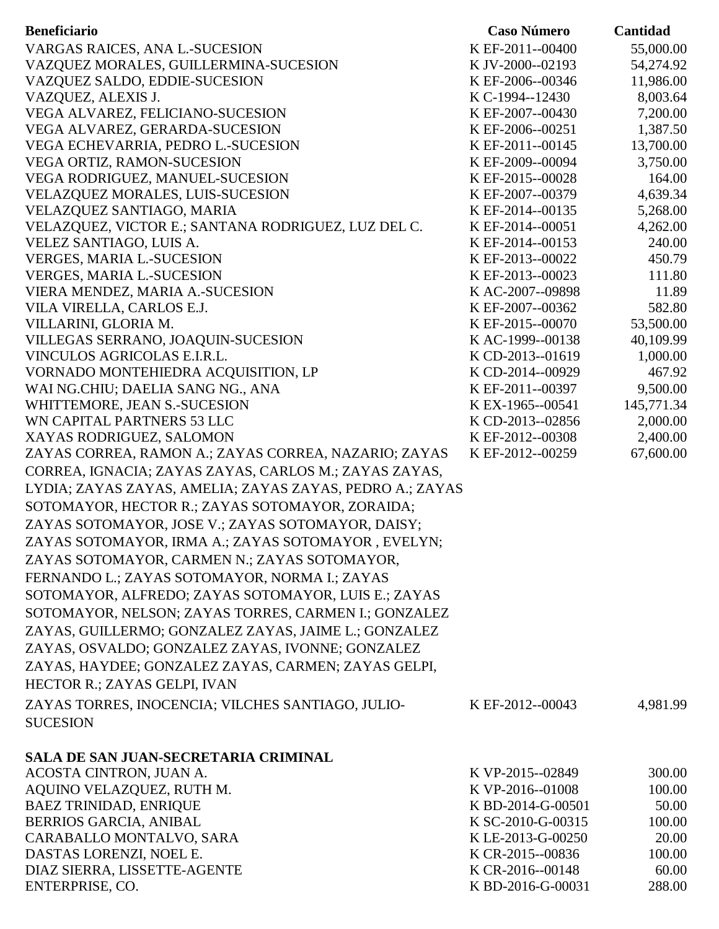| <b>Beneficiario</b>                                                      | <b>Caso Número</b>                   | Cantidad           |
|--------------------------------------------------------------------------|--------------------------------------|--------------------|
| VARGAS RAICES, ANA L.-SUCESION                                           | K EF-2011--00400                     | 55,000.00          |
| VAZQUEZ MORALES, GUILLERMINA-SUCESION                                    | K JV-2000--02193                     | 54,274.92          |
| VAZQUEZ SALDO, EDDIE-SUCESION                                            | K EF-2006--00346                     | 11,986.00          |
| VAZQUEZ, ALEXIS J.                                                       | K C-1994--12430                      | 8,003.64           |
| VEGA ALVAREZ, FELICIANO-SUCESION                                         | K EF-2007--00430                     | 7,200.00           |
| VEGA ALVAREZ, GERARDA-SUCESION                                           | K EF-2006--00251                     | 1,387.50           |
| VEGA ECHEVARRIA, PEDRO L.-SUCESION                                       | K EF-2011--00145                     | 13,700.00          |
| VEGA ORTIZ, RAMON-SUCESION                                               | K EF-2009--00094                     | 3,750.00           |
| VEGA RODRIGUEZ, MANUEL-SUCESION                                          | K EF-2015--00028                     | 164.00             |
| <b>VELAZQUEZ MORALES, LUIS-SUCESION</b>                                  | K EF-2007--00379                     | 4,639.34           |
| VELAZQUEZ SANTIAGO, MARIA                                                | K EF-2014--00135                     | 5,268.00           |
| VELAZQUEZ, VICTOR E.; SANTANA RODRIGUEZ, LUZ DEL C.                      | K EF-2014--00051                     | 4,262.00           |
| VELEZ SANTIAGO, LUIS A.                                                  | K EF-2014--00153                     | 240.00             |
| <b>VERGES, MARIA L.-SUCESION</b>                                         | K EF-2013--00022                     | 450.79             |
| <b>VERGES, MARIA L.-SUCESION</b>                                         | K EF-2013--00023                     | 111.80             |
| VIERA MENDEZ, MARIA A.-SUCESION                                          | KAC-2007--09898                      | 11.89              |
| VILA VIRELLA, CARLOS E.J.                                                | K EF-2007--00362                     | 582.80             |
| VILLARINI, GLORIA M.                                                     | K EF-2015--00070                     | 53,500.00          |
| VILLEGAS SERRANO, JOAQUIN-SUCESION                                       | KAC-1999--00138                      | 40,109.99          |
| VINCULOS AGRICOLAS E.I.R.L.                                              | K CD-2013--01619                     | 1,000.00           |
| VORNADO MONTEHIEDRA ACQUISITION, LP<br>WAI NG.CHIU; DAELIA SANG NG., ANA | K CD-2014--00929<br>K EF-2011--00397 | 467.92<br>9,500.00 |
| WHITTEMORE, JEAN S.-SUCESION                                             | K EX-1965--00541                     | 145,771.34         |
| WN CAPITAL PARTNERS 53 LLC                                               | K CD-2013--02856                     | 2,000.00           |
| XAYAS RODRIGUEZ, SALOMON                                                 | K EF-2012--00308                     | 2,400.00           |
| ZAYAS CORREA, RAMON A.; ZAYAS CORREA, NAZARIO; ZAYAS                     | K EF-2012--00259                     | 67,600.00          |
| CORREA, IGNACIA; ZAYAS ZAYAS, CARLOS M.; ZAYAS ZAYAS,                    |                                      |                    |
| LYDIA; ZAYAS ZAYAS, AMELIA; ZAYAS ZAYAS, PEDRO A.; ZAYAS                 |                                      |                    |
|                                                                          |                                      |                    |
| SOTOMAYOR, HECTOR R.; ZAYAS SOTOMAYOR, ZORAIDA;                          |                                      |                    |
| ZAYAS SOTOMAYOR, JOSE V.; ZAYAS SOTOMAYOR, DAISY;                        |                                      |                    |
| ZAYAS SOTOMAYOR, IRMA A.; ZAYAS SOTOMAYOR, EVELYN;                       |                                      |                    |
| ZAYAS SOTOMAYOR, CARMEN N.; ZAYAS SOTOMAYOR,                             |                                      |                    |
| FERNANDO L.; ZAYAS SOTOMAYOR, NORMA I.; ZAYAS                            |                                      |                    |
| SOTOMAYOR, ALFREDO; ZAYAS SOTOMAYOR, LUIS E.; ZAYAS                      |                                      |                    |
| SOTOMAYOR, NELSON; ZAYAS TORRES, CARMEN I.; GONZALEZ                     |                                      |                    |
| ZAYAS, GUILLERMO; GONZALEZ ZAYAS, JAIME L.; GONZALEZ                     |                                      |                    |
| ZAYAS, OSVALDO; GONZALEZ ZAYAS, IVONNE; GONZALEZ                         |                                      |                    |
| ZAYAS, HAYDEE; GONZALEZ ZAYAS, CARMEN; ZAYAS GELPI,                      |                                      |                    |
| HECTOR R.; ZAYAS GELPI, IVAN                                             |                                      |                    |
| ZAYAS TORRES, INOCENCIA; VILCHES SANTIAGO, JULIO-                        | K EF-2012--00043                     | 4,981.99           |
|                                                                          |                                      |                    |
| <b>SUCESION</b>                                                          |                                      |                    |
| <b>SALA DE SAN JUAN-SECRETARIA CRIMINAL</b>                              |                                      |                    |
| ACOSTA CINTRON, JUAN A.                                                  | K VP-2015--02849                     | 300.00             |
| AQUINO VELAZQUEZ, RUTH M.                                                | K VP-2016--01008                     | 100.00             |
| <b>BAEZ TRINIDAD, ENRIQUE</b>                                            | K BD-2014-G-00501                    | 50.00              |
| BERRIOS GARCIA, ANIBAL                                                   | K SC-2010-G-00315                    | 100.00             |
| CARABALLO MONTALVO, SARA                                                 | K LE-2013-G-00250                    | 20.00              |
| DASTAS LORENZI, NOEL E.                                                  | K CR-2015--00836                     | 100.00             |
| DIAZ SIERRA, LISSETTE-AGENTE                                             | K CR-2016--00148                     | 60.00              |
| ENTERPRISE, CO.                                                          | K BD-2016-G-00031                    | 288.00             |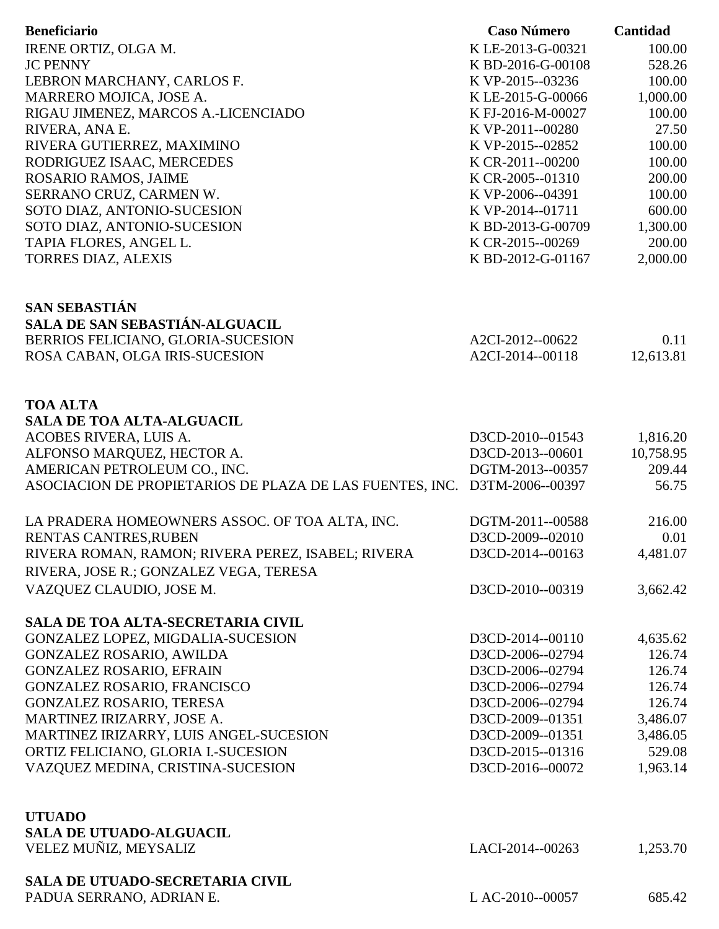| <b>Beneficiario</b>                                                       | <b>Caso Número</b> | Cantidad        |
|---------------------------------------------------------------------------|--------------------|-----------------|
| IRENE ORTIZ, OLGA M.                                                      | K LE-2013-G-00321  | 100.00          |
| <b>JC PENNY</b>                                                           | K BD-2016-G-00108  | 528.26          |
| LEBRON MARCHANY, CARLOS F.                                                | K VP-2015--03236   | 100.00          |
| MARRERO MOJICA, JOSE A.                                                   | K LE-2015-G-00066  | 1,000.00        |
| RIGAU JIMENEZ, MARCOS A.-LICENCIADO                                       | KFJ-2016-M-00027   | 100.00          |
| RIVERA, ANA E.                                                            | K VP-2011--00280   | 27.50           |
| RIVERA GUTIERREZ, MAXIMINO                                                | K VP-2015--02852   | 100.00          |
| RODRIGUEZ ISAAC, MERCEDES                                                 | K CR-2011--00200   | 100.00          |
| ROSARIO RAMOS, JAIME                                                      | K CR-2005--01310   | 200.00          |
| SERRANO CRUZ, CARMEN W.                                                   | K VP-2006--04391   | 100.00          |
| SOTO DIAZ, ANTONIO-SUCESION                                               | K VP-2014--01711   | 600.00          |
| SOTO DIAZ, ANTONIO-SUCESION                                               | K BD-2013-G-00709  | 1,300.00        |
| TAPIA FLORES, ANGEL L.                                                    | K CR-2015--00269   | 200.00          |
| <b>TORRES DIAZ, ALEXIS</b>                                                | K BD-2012-G-01167  | 2,000.00        |
| <b>SAN SEBASTIÁN</b>                                                      |                    |                 |
| SALA DE SAN SEBASTIÁN-ALGUACIL                                            |                    |                 |
| BERRIOS FELICIANO, GLORIA-SUCESION                                        | A2CI-2012--00622   | 0.11            |
| ROSA CABAN, OLGA IRIS-SUCESION                                            | A2CI-2014--00118   | 12,613.81       |
|                                                                           |                    |                 |
| <b>TOA ALTA</b>                                                           |                    |                 |
| <b>SALA DE TOA ALTA-ALGUACIL</b>                                          |                    |                 |
| ACOBES RIVERA, LUIS A.                                                    | D3CD-2010--01543   | 1,816.20        |
| ALFONSO MARQUEZ, HECTOR A.                                                | D3CD-2013--00601   | 10,758.95       |
| AMERICAN PETROLEUM CO., INC.                                              | DGTM-2013--00357   | 209.44<br>56.75 |
| ASOCIACION DE PROPIETARIOS DE PLAZA DE LAS FUENTES, INC. D3TM-2006--00397 |                    |                 |
| LA PRADERA HOMEOWNERS ASSOC. OF TOA ALTA, INC.                            | DGTM-2011--00588   | 216.00          |
| RENTAS CANTRES, RUBEN                                                     | D3CD-2009--02010   | 0.01            |
| RIVERA ROMAN, RAMON; RIVERA PEREZ, ISABEL; RIVERA                         | D3CD-2014--00163   | 4,481.07        |
| RIVERA, JOSE R.; GONZALEZ VEGA, TERESA                                    |                    |                 |
| VAZQUEZ CLAUDIO, JOSE M.                                                  | D3CD-2010--00319   | 3,662.42        |
| SALA DE TOA ALTA-SECRETARIA CIVIL                                         |                    |                 |
| GONZALEZ LOPEZ, MIGDALIA-SUCESION                                         | D3CD-2014--00110   | 4,635.62        |
| <b>GONZALEZ ROSARIO, AWILDA</b>                                           | D3CD-2006--02794   | 126.74          |
| <b>GONZALEZ ROSARIO, EFRAIN</b>                                           | D3CD-2006--02794   | 126.74          |
| GONZALEZ ROSARIO, FRANCISCO                                               | D3CD-2006--02794   | 126.74          |
| GONZALEZ ROSARIO, TERESA                                                  | D3CD-2006--02794   | 126.74          |
| MARTINEZ IRIZARRY, JOSE A.                                                | D3CD-2009--01351   | 3,486.07        |
| MARTINEZ IRIZARRY, LUIS ANGEL-SUCESION                                    | D3CD-2009--01351   | 3,486.05        |
| ORTIZ FELICIANO, GLORIA I.-SUCESION                                       | D3CD-2015--01316   | 529.08          |
| VAZQUEZ MEDINA, CRISTINA-SUCESION                                         | D3CD-2016--00072   | 1,963.14        |
| <b>UTUADO</b>                                                             |                    |                 |
| <b>SALA DE UTUADO-ALGUACIL</b>                                            |                    |                 |
| VELEZ MUÑIZ, MEYSALIZ                                                     | LACI-2014--00263   | 1,253.70        |
| <b>SALA DE UTUADO-SECRETARIA CIVIL</b>                                    |                    |                 |
| PADUA SERRANO, ADRIAN E.                                                  | L AC-2010--00057   | 685.42          |